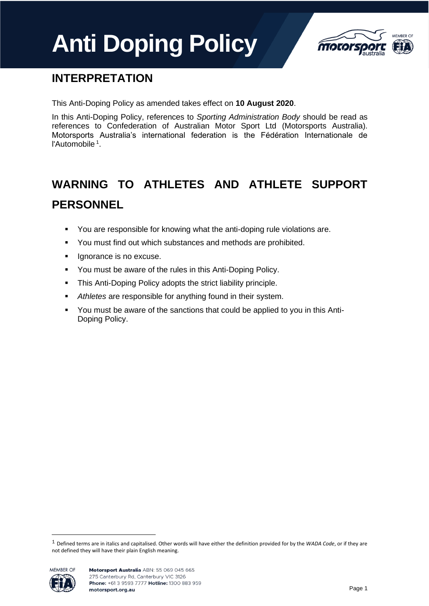# **Anti Doping Policy**



# **INTERPRETATION**

This Anti-Doping Policy as amended takes effect on **10 August 2020**.

In this Anti-Doping Policy, references to *Sporting Administration Body* should be read as references to Confederation of Australian Motor Sport Ltd (Motorsports Australia). Motorsports Australia's international federation is the Fédération Internationale de l'Automobile<sup>1</sup>.

# **WARNING TO ATHLETES AND ATHLETE SUPPORT PERSONNEL**

- You are responsible for knowing what the anti-doping rule violations are.
- You must find out which substances and methods are prohibited.
- **·** Ignorance is no excuse.
- You must be aware of the rules in this Anti-Doping Policy.
- This Anti-Doping Policy adopts the strict liability principle.
- *Athletes* are responsible for anything found in their system.
- You must be aware of the sanctions that could be applied to you in this Anti-Doping Policy.

<sup>1</sup> Defined terms are in italics and capitalised. Other words will have either the definition provided for by the *WADA Code*, or if they are not defined they will have their plain English meaning.

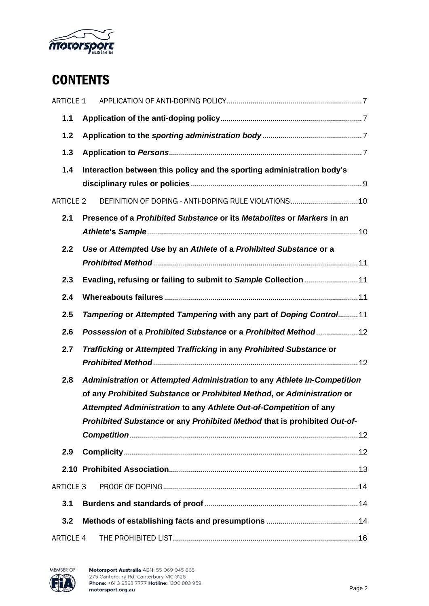

# **CONTENTS**

| <b>ARTICLE 1</b> |                                                                                                                                             |
|------------------|---------------------------------------------------------------------------------------------------------------------------------------------|
| 1.1              |                                                                                                                                             |
| 1.2              |                                                                                                                                             |
| 1.3              |                                                                                                                                             |
| 1.4              | Interaction between this policy and the sporting administration body's                                                                      |
| <b>ARTICLE 2</b> |                                                                                                                                             |
| 2.1              | Presence of a Prohibited Substance or its Metabolites or Markers in an                                                                      |
| 2.2              | Use or Attempted Use by an Athlete of a Prohibited Substance or a                                                                           |
| 2.3              | Evading, refusing or failing to submit to Sample Collection11                                                                               |
| 2.4              |                                                                                                                                             |
| 2.5              | Tampering or Attempted Tampering with any part of Doping Control11                                                                          |
| 2.6              | Possession of a Prohibited Substance or a Prohibited Method12                                                                               |
| 2.7              | Trafficking or Attempted Trafficking in any Prohibited Substance or                                                                         |
|                  |                                                                                                                                             |
| 2.8              | Administration or Attempted Administration to any Athlete In-Competition                                                                    |
|                  | of any Prohibited Substance or Prohibited Method, or Administration or<br>Attempted Administration to any Athlete Out-of-Competition of any |
|                  | Prohibited Substance or any Prohibited Method that is prohibited Out-of-                                                                    |
|                  |                                                                                                                                             |
| 2.9              |                                                                                                                                             |
|                  |                                                                                                                                             |
| <b>ARTICLE 3</b> |                                                                                                                                             |
| 3.1              |                                                                                                                                             |
| 3.2              |                                                                                                                                             |
|                  |                                                                                                                                             |

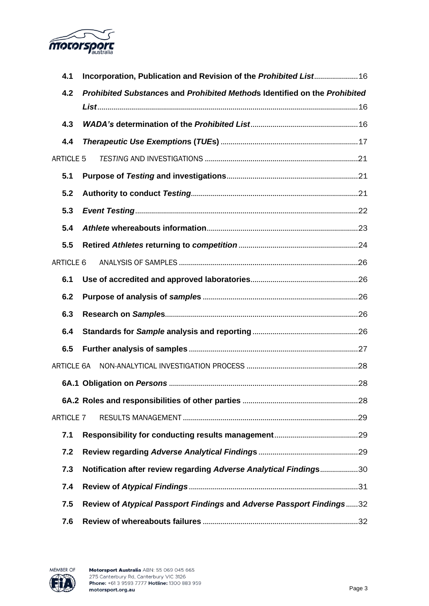

| 4.1               | Incorporation, Publication and Revision of the Prohibited List16          |  |
|-------------------|---------------------------------------------------------------------------|--|
| 4.2               | Prohibited Substances and Prohibited Methods Identified on the Prohibited |  |
|                   |                                                                           |  |
| 4.3               |                                                                           |  |
| 4.4               |                                                                           |  |
| <b>ARTICLE 5</b>  |                                                                           |  |
| 5.1               |                                                                           |  |
| 5.2               |                                                                           |  |
| 5.3               |                                                                           |  |
| 5.4               |                                                                           |  |
| 5.5               |                                                                           |  |
| <b>ARTICLE 6</b>  |                                                                           |  |
| 6.1               |                                                                           |  |
| 6.2               |                                                                           |  |
| 6.3               |                                                                           |  |
| 6.4               |                                                                           |  |
| 6.5               |                                                                           |  |
| <b>ARTICLE 6A</b> |                                                                           |  |
|                   |                                                                           |  |
|                   |                                                                           |  |
| <b>ARTICLE 7</b>  |                                                                           |  |
| 7.1               |                                                                           |  |
| 7.2               |                                                                           |  |
| 7.3               | Notification after review regarding Adverse Analytical Findings30         |  |
| 7.4               |                                                                           |  |
| 7.5               | Review of Atypical Passport Findings and Adverse Passport Findings32      |  |
| 7.6               |                                                                           |  |

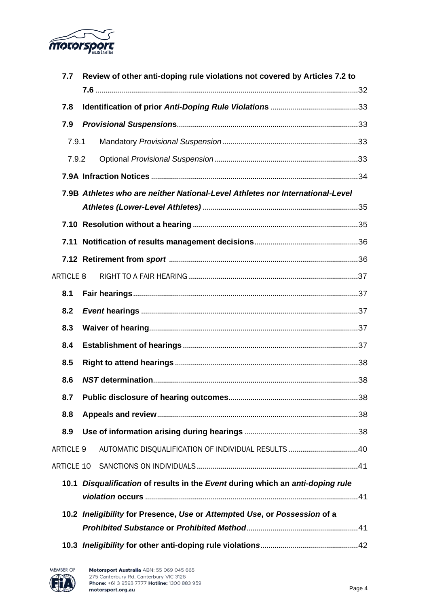

| 7.7 |                  | Review of other anti-doping rule violations not covered by Articles 7.2 to |                                                                                |  |  |
|-----|------------------|----------------------------------------------------------------------------|--------------------------------------------------------------------------------|--|--|
|     |                  |                                                                            |                                                                                |  |  |
|     | 7.8              |                                                                            |                                                                                |  |  |
|     | 7.9              |                                                                            |                                                                                |  |  |
|     | 7.9.1            |                                                                            |                                                                                |  |  |
|     | 7.9.2            |                                                                            |                                                                                |  |  |
|     |                  |                                                                            |                                                                                |  |  |
|     |                  |                                                                            | 7.9B Athletes who are neither National-Level Athletes nor International-Level  |  |  |
|     |                  |                                                                            |                                                                                |  |  |
|     |                  |                                                                            |                                                                                |  |  |
|     |                  |                                                                            |                                                                                |  |  |
|     |                  |                                                                            |                                                                                |  |  |
|     | <b>ARTICLE 8</b> |                                                                            |                                                                                |  |  |
|     | 8.1              |                                                                            |                                                                                |  |  |
|     | 8.2              |                                                                            |                                                                                |  |  |
|     | 8.3              |                                                                            |                                                                                |  |  |
|     | 8.4              |                                                                            |                                                                                |  |  |
|     | 8.5              |                                                                            |                                                                                |  |  |
|     | 8.6              |                                                                            |                                                                                |  |  |
|     | 8.7              |                                                                            |                                                                                |  |  |
|     | 8.8              |                                                                            |                                                                                |  |  |
|     | 8.9              |                                                                            |                                                                                |  |  |
|     | <b>ARTICLE 9</b> |                                                                            | AUTOMATIC DISQUALIFICATION OF INDIVIDUAL RESULTS 40                            |  |  |
|     |                  |                                                                            |                                                                                |  |  |
|     |                  |                                                                            | 10.1 Disqualification of results in the Event during which an anti-doping rule |  |  |
|     |                  |                                                                            |                                                                                |  |  |
|     |                  |                                                                            | 10.2 Ineligibility for Presence, Use or Attempted Use, or Possession of a      |  |  |
|     |                  |                                                                            |                                                                                |  |  |
|     |                  |                                                                            |                                                                                |  |  |

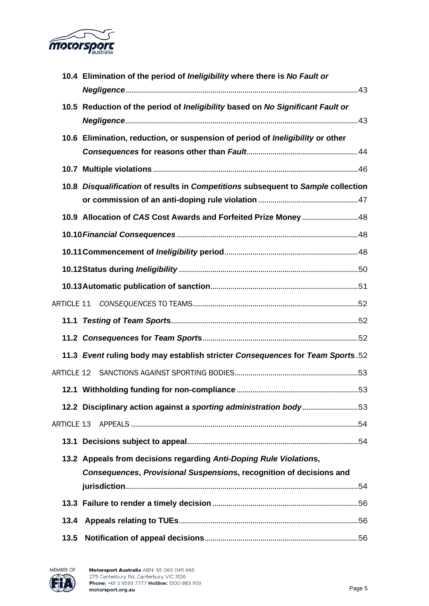

| 10.4 Elimination of the period of Ineligibility where there is No Fault or     |                                                                                                                                                                                                                                                                                                                                                                                      |
|--------------------------------------------------------------------------------|--------------------------------------------------------------------------------------------------------------------------------------------------------------------------------------------------------------------------------------------------------------------------------------------------------------------------------------------------------------------------------------|
| 10.5 Reduction of the period of Ineligibility based on No Significant Fault or |                                                                                                                                                                                                                                                                                                                                                                                      |
| 10.6 Elimination, reduction, or suspension of period of Ineligibility or other |                                                                                                                                                                                                                                                                                                                                                                                      |
|                                                                                |                                                                                                                                                                                                                                                                                                                                                                                      |
|                                                                                |                                                                                                                                                                                                                                                                                                                                                                                      |
|                                                                                |                                                                                                                                                                                                                                                                                                                                                                                      |
|                                                                                |                                                                                                                                                                                                                                                                                                                                                                                      |
|                                                                                |                                                                                                                                                                                                                                                                                                                                                                                      |
|                                                                                |                                                                                                                                                                                                                                                                                                                                                                                      |
|                                                                                |                                                                                                                                                                                                                                                                                                                                                                                      |
|                                                                                |                                                                                                                                                                                                                                                                                                                                                                                      |
|                                                                                |                                                                                                                                                                                                                                                                                                                                                                                      |
|                                                                                |                                                                                                                                                                                                                                                                                                                                                                                      |
|                                                                                |                                                                                                                                                                                                                                                                                                                                                                                      |
|                                                                                |                                                                                                                                                                                                                                                                                                                                                                                      |
|                                                                                |                                                                                                                                                                                                                                                                                                                                                                                      |
|                                                                                |                                                                                                                                                                                                                                                                                                                                                                                      |
|                                                                                |                                                                                                                                                                                                                                                                                                                                                                                      |
|                                                                                |                                                                                                                                                                                                                                                                                                                                                                                      |
|                                                                                |                                                                                                                                                                                                                                                                                                                                                                                      |
|                                                                                |                                                                                                                                                                                                                                                                                                                                                                                      |
|                                                                                |                                                                                                                                                                                                                                                                                                                                                                                      |
|                                                                                |                                                                                                                                                                                                                                                                                                                                                                                      |
|                                                                                |                                                                                                                                                                                                                                                                                                                                                                                      |
|                                                                                |                                                                                                                                                                                                                                                                                                                                                                                      |
| 13.5                                                                           |                                                                                                                                                                                                                                                                                                                                                                                      |
|                                                                                | 10.8 Disqualification of results in Competitions subsequent to Sample collection<br>11.3 Event ruling body may establish stricter Consequences for Team Sports. 52<br>12.2 Disciplinary action against a sporting administration body53<br>13.2 Appeals from decisions regarding Anti-Doping Rule Violations,<br>Consequences, Provisional Suspensions, recognition of decisions and |

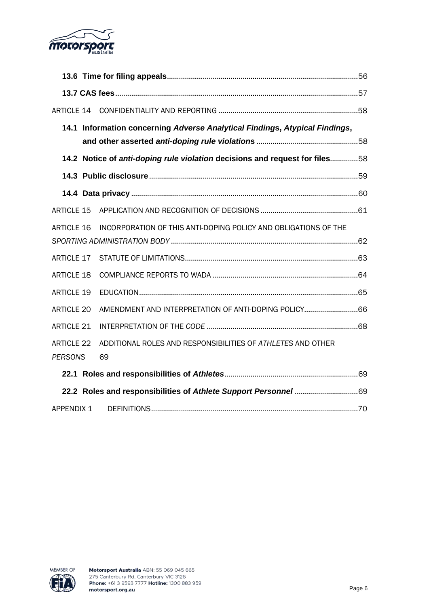

|                   | 14.1 Information concerning Adverse Analytical Findings, Atypical Findings, |  |
|-------------------|-----------------------------------------------------------------------------|--|
|                   |                                                                             |  |
|                   | 14.2 Notice of anti-doping rule violation decisions and request for files58 |  |
|                   |                                                                             |  |
|                   |                                                                             |  |
| <b>ARTICLE 15</b> |                                                                             |  |
| <b>ARTICLE 16</b> | INCORPORATION OF THIS ANTI-DOPING POLICY AND OBLIGATIONS OF THE             |  |
|                   |                                                                             |  |
| <b>ARTICLE 17</b> |                                                                             |  |
| <b>ARTICLE 18</b> |                                                                             |  |
| <b>ARTICLE 19</b> |                                                                             |  |
| <b>ARTICLE 20</b> | AMENDMENT AND INTERPRETATION OF ANTI-DOPING POLICY66                        |  |
| <b>ARTICLE 21</b> |                                                                             |  |
| <b>ARTICLE 22</b> | ADDITIONAL ROLES AND RESPONSIBILITIES OF ATHLETES AND OTHER                 |  |
| <b>PERSONS</b>    | 69                                                                          |  |
|                   |                                                                             |  |
|                   |                                                                             |  |
| <b>APPENDIX 1</b> |                                                                             |  |

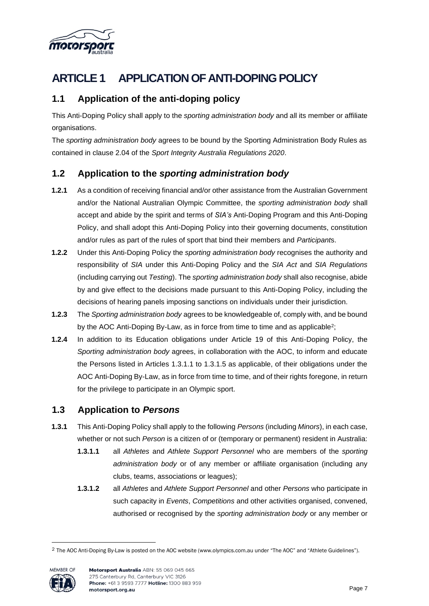

# <span id="page-6-0"></span>**ARTICLE 1 APPLICATION OF ANTI-DOPING POLICY**

## <span id="page-6-1"></span>**1.1 Application of the anti-doping policy**

This Anti-Doping Policy shall apply to the *sporting administration body* and all its member or affiliate organisations.

The *sporting administration body* agrees to be bound by the Sporting Administration Body Rules as contained in clause 2.04 of the *Sport Integrity Australia Regulations 2020*.

## <span id="page-6-2"></span>**1.2 Application to the** *sporting administration body*

- **1.2.1** As a condition of receiving financial and/or other assistance from the Australian Government and/or the National Australian Olympic Committee, the *sporting administration body* shall accept and abide by the spirit and terms of *SIA's* Anti-Doping Program and this Anti-Doping Policy, and shall adopt this Anti-Doping Policy into their governing documents, constitution and/or rules as part of the rules of sport that bind their members and *Participant*s.
- **1.2.2** Under this Anti-Doping Policy the *sporting administration body* recognises the authority and responsibility of *SIA* under this Anti-Doping Policy and the *SIA Act* and *SIA Regulations*  (including carrying out *Testing*). The *sporting administration body* shall also recognise, abide by and give effect to the decisions made pursuant to this Anti-Doping Policy, including the decisions of hearing panels imposing sanctions on individuals under their jurisdiction.
- **1.2.3** The *Sporting administration body* agrees to be knowledgeable of, comply with, and be bound by the AOC Anti-Doping By-Law, as in force from time to time and as applicable<sup>2</sup>;
- **1.2.4** In addition to its Education obligations under Article 19 of this Anti-Doping Policy, the *Sporting administration body* agrees, in collaboration with the AOC, to inform and educate the Persons listed in Articles 1.3.1.1 to 1.3.1.5 as applicable, of their obligations under the AOC Anti-Doping By-Law, as in force from time to time, and of their rights foregone, in return for the privilege to participate in an Olympic sport.

## <span id="page-6-3"></span>**1.3 Application to** *Persons*

- **1.3.1** This Anti-Doping Policy shall apply to the following *Persons* (including *Minors*), in each case, whether or not such *Person* is a citizen of or (temporary or permanent) resident in Australia:
	- **1.3.1.1** all *Athletes* and *Athlete Support Personnel* who are members of the *sporting administration body* or of any member or affiliate organisation (including any clubs, teams, associations or leagues);
	- **1.3.1.2** all *Athletes* and *Athlete Support Personnel* and other *Persons* who participate in such capacity in *Events*, *Competitions* and other activities organised, convened, authorised or recognised by the *sporting administration body* or any member or

<sup>2</sup> The AOC Anti-Doping By-Law is posted on the AOC website (www.olympics.com.au under "The AOC" and "Athlete Guidelines").

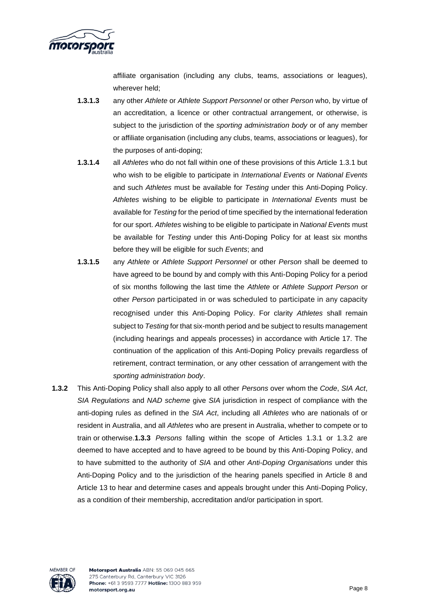

affiliate organisation (including any clubs, teams, associations or leagues), wherever held;

- **1.3.1.3** any other *Athlete* or *Athlete Support Personnel* or other *Person* who, by virtue of an accreditation, a licence or other contractual arrangement, or otherwise, is subject to the jurisdiction of the *sporting administration body* or of any member or affiliate organisation (including any clubs, teams, associations or leagues), for the purposes of anti-doping;
- **1.3.1.4** all *Athletes* who do not fall within one of these provisions of this Article 1.3.1 but who wish to be eligible to participate in *International Events* or *National Events* and such *Athletes* must be available for *Testing* under this Anti-Doping Policy. *Athletes* wishing to be eligible to participate in *International Events* must be available for *Testing* for the period of time specified by the international federation for our sport. *Athletes* wishing to be eligible to participate in *National Events* must be available for *Testing* under this Anti-Doping Policy for at least six months before they will be eligible for such *Events*; and
- **1.3.1.5** any *Athlete* or *Athlete Support Personnel* or other *Person* shall be deemed to have agreed to be bound by and comply with this Anti-Doping Policy for a period of six months following the last time the *Athlete* or *Athlete Support Person* or other *Person* participated in or was scheduled to participate in any capacity recognised under this Anti-Doping Policy. For clarity *Athletes* shall remain subject to *Testing* for that six-month period and be subject to results management (including hearings and appeals processes) in accordance with Article 17. The continuation of the application of this Anti-Doping Policy prevails regardless of retirement, contract termination, or any other cessation of arrangement with the *sporting administration body*.
- **1.3.2** This Anti-Doping Policy shall also apply to all other *Persons* over whom the *Code*, *SIA Act*, *SIA Regulations* and *NAD scheme* give *SIA* jurisdiction in respect of compliance with the anti-doping rules as defined in the *SIA Act*, including all *Athletes* who are nationals of or resident in Australia, and all *Athletes* who are present in Australia, whether to compete or to train or otherwise.**1.3.3** *Persons* falling within the scope of Articles 1.3.1 or 1.3.2 are deemed to have accepted and to have agreed to be bound by this Anti-Doping Policy, and to have submitted to the authority of *SIA* and other *Anti-Doping Organisations* under this Anti-Doping Policy and to the jurisdiction of the hearing panels specified in Article 8 and Article 13 to hear and determine cases and appeals brought under this Anti-Doping Policy, as a condition of their membership, accreditation and/or participation in sport.

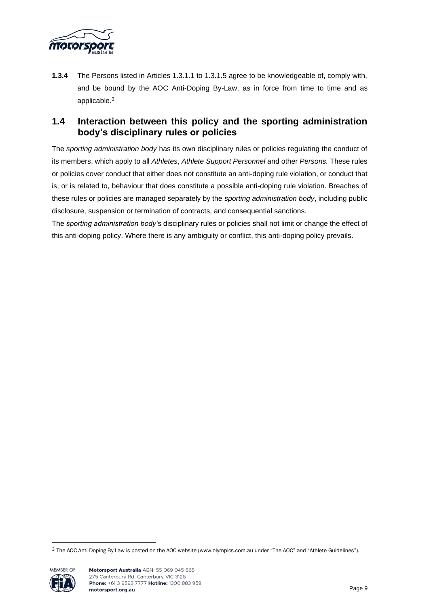

**1.3.4** The Persons listed in Articles 1.3.1.1 to 1.3.1.5 agree to be knowledgeable of, comply with, and be bound by the AOC Anti-Doping By-Law, as in force from time to time and as applicable.<sup>3</sup>

## <span id="page-8-0"></span>**1.4 Interaction between this policy and the sporting administration body's disciplinary rules or policies**

The *sporting administration body* has its own disciplinary rules or policies regulating the conduct of its members, which apply to all *Athletes*, *Athlete Support Personnel* and other *Persons.* These rules or policies cover conduct that either does not constitute an anti-doping rule violation, or conduct that is, or is related to, behaviour that does constitute a possible anti-doping rule violation. Breaches of these rules or policies are managed separately by the *sporting administration body*, including public disclosure, suspension or termination of contracts, and consequential sanctions.

The *sporting administration body'*s disciplinary rules or policies shall not limit or change the effect of this anti-doping policy. Where there is any ambiguity or conflict, this anti-doping policy prevails.

<sup>3</sup> The AOC Anti-Doping By-Law is posted on the AOC website (www.olympics.com.au under "The AOC" and "Athlete Guidelines").

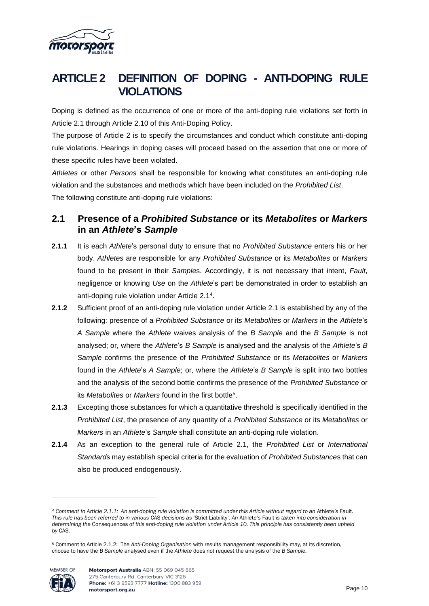

## <span id="page-9-0"></span>**ARTICLE 2 DEFINITION OF DOPING - ANTI-DOPING RULE VIOLATIONS**

Doping is defined as the occurrence of one or more of the anti-doping rule violations set forth in Article 2.1 through Article 2.10 of this Anti-Doping Policy.

The purpose of Article 2 is to specify the circumstances and conduct which constitute anti-doping rule violations. Hearings in doping cases will proceed based on the assertion that one or more of these specific rules have been violated.

*Athletes* or other *Persons* shall be responsible for knowing what constitutes an anti-doping rule violation and the substances and methods which have been included on the *Prohibited List*. The following constitute anti-doping rule violations:

## <span id="page-9-1"></span>**2.1 Presence of a** *Prohibited Substance* **or its** *Metabolites* **or** *Markers* **in an** *Athlete***'s** *Sample*

- **2.1.1** It is each *Athlete*'s personal duty to ensure that no *Prohibited Substance* enters his or her body. *Athletes* are responsible for any *Prohibited Substance* or its *Metabolites* or *Markers* found to be present in their *Sample*s. Accordingly, it is not necessary that intent, *Fault*, negligence or knowing *Use* on the *Athlete*'s part be demonstrated in order to establish an anti-doping rule violation under Article 2.1<sup>4</sup> .
- **2.1.2** Sufficient proof of an anti-doping rule violation under Article 2.1 is established by any of the following: presence of a *Prohibited Substance* or its *Metabolites* or *Markers* in the *Athlete*'s *A Sample* where the *Athlete* waives analysis of the *B Sample* and the *B Sample* is not analysed; or, where the *Athlete*'s *B Sample* is analysed and the analysis of the *Athlete*'s *B Sample* confirms the presence of the *Prohibited Substance* or its *Metabolites* or *Markers* found in the *Athlete*'s *A Sample*; or, where the *Athlete*'s *B Sample* is split into two bottles and the analysis of the second bottle confirms the presence of the *Prohibited Substance* or its *Metabolites* or *Markers* found in the first bottle<sup>5</sup>.
- **2.1.3** Excepting those substances for which a quantitative threshold is specifically identified in the *Prohibited List*, the presence of any quantity of a *Prohibited Substance* or its *Metabolites* or *Markers* in an *Athlete*'s *Sample* shall constitute an anti-doping rule violation.
- **2.1.4** As an exception to the general rule of Article 2.1, the *Prohibited List* or *International Standard*s may establish special criteria for the evaluation of *Prohibited Substance*s that can also be produced endogenously.

<sup>5</sup> Comment to Article 2.1.2: The *Anti-Doping Organisation* with results management responsibility may, at its discretion, choose to have the *B Sample* analysed even if the *Athlete* does not request the analysis of the *B Sample*.



*<sup>4</sup> Comment to Article 2.1.1: An anti-doping rule violation is committed under this Article without regard to an* Athlete*'s* Fault*. This rule has been referred to in various* CAS *decisions as* 'Strict Liability'*. An* Athlete*'s* Fault *is taken into consideration in determining the* Consequences *of this anti-doping rule violation under Article 10. This principle has consistently been upheld by* CAS*.*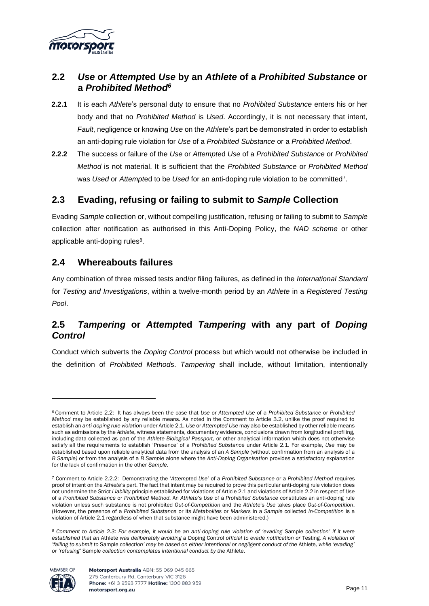

## <span id="page-10-0"></span>**2.2** *Use* **or** *Attempt***ed** *Use* **by an** *Athlete* **of a** *Prohibited Substance* **or a** *Prohibited Method<sup>6</sup>*

- **2.2.1** It is each *Athlete*'s personal duty to ensure that no *Prohibited Substance* enters his or her body and that no *Prohibited Method* is *Used*. Accordingly, it is not necessary that intent, *Fault*, negligence or knowing *Use* on the *Athlete*'s part be demonstrated in order to establish an anti-doping rule violation for *Use* of a *Prohibited Substance* or a *Prohibited Method*.
- **2.2.2** The success or failure of the *Use* or *Attempt*ed *Use* of a *Prohibited Substance* or *Prohibited Method* is not material. It is sufficient that the *Prohibited Substance* or *Prohibited Method* was *Used* or *Attempt*ed to be *Used* for an anti-doping rule violation to be committed<sup>7</sup> .

## <span id="page-10-1"></span>**2.3 Evading, refusing or failing to submit to** *Sample* **Collection**

Evading *Sample* collection or, without compelling justification, refusing or failing to submit to *Sample* collection after notification as authorised in this Anti-Doping Policy, the *NAD scheme* or other applicable anti-doping rules<sup>8</sup>.

## <span id="page-10-2"></span>**2.4 Whereabouts failures**

Any combination of three missed tests and/or filing failures, as defined in the *International Standard* for *Testing and Investigations*, within a twelve-month period by an *Athlete* in a *Registered Testing Pool*.

## <span id="page-10-3"></span>**2.5** *Tampering* **or** *Attempt***ed** *Tampering* **with any part of** *Doping Control*

Conduct which subverts the *Doping Control* process but which would not otherwise be included in the definition of *Prohibited Method*s. *Tampering* shall include, without limitation, intentionally

*<sup>8</sup> Comment to Article 2.3: For example, it would be an anti-doping rule violation of 'evading* Sample *collection' if it were established that an* Athlete *was deliberately avoiding a* Doping Control *official to evade notification or* Testing*. A violation of 'failing to submit to* Sample *collection' may be based on either intentional or negligent conduct of the* Athlete*, while 'evading' or 'refusing'* Sample *collection contemplates intentional conduct by the* Athlete*.*



<sup>6</sup> Comment to Article 2.2: It has always been the case that *Use* or *Attempted Use* of a *Prohibited Substance* or *Prohibited Method* may be established by any reliable means. As noted in the Comment to Article 3.2, unlike the proof required to establish an *anti-doping rule violation* under Article 2.1, *Use* or *Attempted Use* may also be established by other reliable means such as admissions by the *Athlete*, witness statements, documentary evidence, conclusions drawn from longitudinal profiling, including data collected as part of the *Athlete Biological Passport*, or other analytical information which does not otherwise satisfy all the requirements to establish 'Presence' of a *Prohibited Substance* under Article 2.1. For example, *Use* may be established based upon reliable analytical data from the analysis of an *A Sample* (without confirmation from an analysis of a *B Sample)* or from the analysis of a *B Sample* alone where the *Anti-Doping Organisation* provides a satisfactory explanation for the lack of confirmation in the other *Sample.*

*<sup>7</sup>* Comment to Article 2.2.2: Demonstrating the '*Attempt*ed *Use*' of a *Prohibited Substance* or a *Prohibited Method* requires proof of intent on the *Athlete*'s part. The fact that intent may be required to prove this particular anti-doping rule violation does not undermine the *Strict Liability* principle established for violations of Article 2.1 and violations of Article 2.2 in respect of *Use* of a *Prohibited Substance* or *Prohibited Method*. An *Athlete*'s *Use* of a *Prohibited Substance* constitutes an anti-doping rule violation unless such substance is not prohibited *Out-of-Competition* and the *Athlete*'s *Use* takes place *Out-of-Competition*. (However, the presence of a *Prohibited Substance* or its *Metabolites* or *Markers* in a *Sample* collected *In-Competition* is a violation of Article 2.1 regardless of when that substance might have been administered.)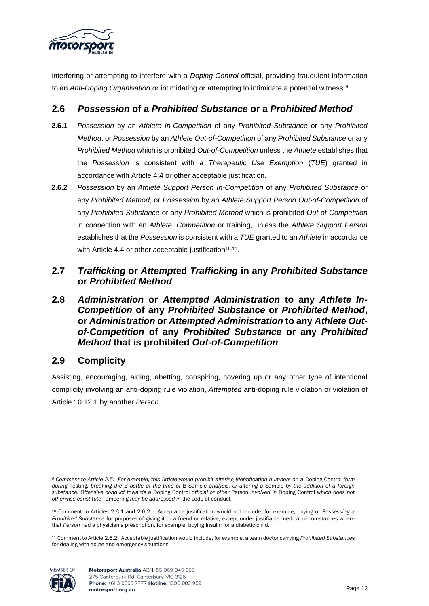

interfering or attempting to interfere with a *Doping Control* official, providing fraudulent information to an *Anti-Doping Organisation* or intimidating or attempting to intimidate a potential witness.<sup>9</sup>

## <span id="page-11-0"></span>**2.6** *Possession* **of a** *Prohibited Substance* **or a** *Prohibited Method*

- **2.6.1** *Possession* by an *Athlete In-Competition* of any *Prohibited Substance* or any *Prohibited Method*, or *Possession* by an *Athlete Out-of-Competition* of any *Prohibited Substance* or any *Prohibited Method* which is prohibited *Out-of-Competition* unless the *Athlete* establishes that the *Possession* is consistent with a *Therapeutic Use Exemption* (*TUE*) granted in accordance with Article 4.4 or other acceptable justification.
- **2.6.2** *Possession* by an *Athlete Support Person In-Competition* of any *Prohibited Substance* or any *Prohibited Method*, or *Possession* by an *Athlete Support Person Out-of-Competition* of any *Prohibited Substance* or any *Prohibited Method* which is prohibited *Out-of-Competition* in connection with an *Athlete*, *Competition* or training, unless the *Athlete Support Person* establishes that the *Possession* is consistent with a *TUE* granted to an *Athlete* in accordance with Article 4.4 or other acceptable justification $10,11$ .

## <span id="page-11-1"></span>**2.7** *Trafficking* **or** *Attempt***ed** *Trafficking* **in any** *Prohibited Substance* **or** *Prohibited Method*

<span id="page-11-2"></span>**2.8** *Administration* **or** *Attempted Administration* **to any** *Athlete In-Competition* **of any** *Prohibited Substance* **or** *Prohibited Method***, or** *Administration* **or** *Attempted Administration* **to any** *Athlete Outof-Competition* **of any** *Prohibited Substance* **or any** *Prohibited Method* **that is prohibited** *Out-of-Competition*

## <span id="page-11-3"></span>**2.9 Complicity**

Assisting, encouraging, aiding, abetting, conspiring, covering up or any other type of intentional complicity involving an anti-doping rule violation, *Attempted* anti-doping rule violation or violation of Article 10.12.1 by another *Person*.

<sup>11</sup> Comment to Article 2.6.2: Acceptable justification would include, for example, a team doctor carrying *Prohibited Substance*s for dealing with acute and emergency situations.



*<sup>9</sup> Comment to Article 2.5: For example, this Article would prohibit altering identification numbers on a* Doping Control *form during* Testing*, breaking the B bottle at the time of* B Sample *analysis, or altering a* Sample *by the addition of a foreign substance. Offensive conduct towards a* Doping Control *official or other* Person *involved in* Doping Control *which does not otherwise constitute* Tampering *may be addressed in* the code of conduct*.*

<sup>10</sup> Comment to Articles 2.6.1 and 2.6.2: Acceptable justification would not include, for example, buying or *Possessing a Prohibited Substance* for purposes of giving it to a friend or relative, except under justifiable medical circumstances where that *Person* had a physician's prescription, for example, buying Insulin for a diabetic child.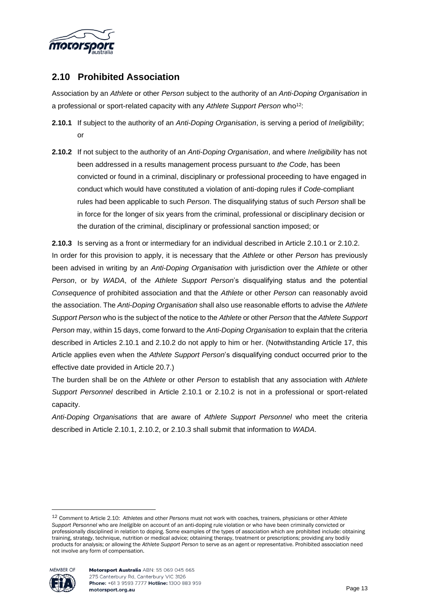

## <span id="page-12-0"></span>**2.10 Prohibited Association**

Association by an *Athlete* or other *Person* subject to the authority of an *Anti-Doping Organisation* in a professional or sport-related capacity with any *Athlete Support Person* who<sup>12</sup>:

- **2.10.1** If subject to the authority of an *Anti-Doping Organisation*, is serving a period of *Ineligibility*; or
- **2.10.2** If not subject to the authority of an *Anti-Doping Organisation*, and where *Ineligibility* has not been addressed in a results management process pursuant to *the Code*, has been convicted or found in a criminal, disciplinary or professional proceeding to have engaged in conduct which would have constituted a violation of anti-doping rules if *Code*-compliant rules had been applicable to such *Person*. The disqualifying status of such *Person* shall be in force for the longer of six years from the criminal, professional or disciplinary decision or the duration of the criminal, disciplinary or professional sanction imposed; or

**2.10.3** Is serving as a front or intermediary for an individual described in Article 2.10.1 or 2.10.2. In order for this provision to apply, it is necessary that the *Athlete* or other *Person* has previously been advised in writing by an *Anti-Doping Organisation* with jurisdiction over the *Athlete* or other *Person*, or by *WADA*, of the *Athlete Support Person*'s disqualifying status and the potential *Consequence* of prohibited association and that the *Athlete* or other *Person* can reasonably avoid the association. The *Anti-Doping Organisation* shall also use reasonable efforts to advise the *Athlete Support Person* who is the subject of the notice to the *Athlete* or other *Person* that the *Athlete Support Person* may, within 15 days, come forward to the *Anti-Doping Organisation* to explain that the criteria described in Articles 2.10.1 and 2.10.2 do not apply to him or her. (Notwithstanding Article 17, this Article applies even when the *Athlete Support Person*'s disqualifying conduct occurred prior to the effective date provided in Article 20.7.)

The burden shall be on the *Athlete* or other *Person* to establish that any association with *Athlete Support Personnel* described in Article 2.10.1 or 2.10.2 is not in a professional or sport-related capacity.

*Anti-Doping Organisations* that are aware of *Athlete Support Personnel* who meet the criteria described in Article 2.10.1, 2.10.2, or 2.10.3 shall submit that information to *WADA*.

<sup>12</sup> Comment to Article 2.10: *Athletes* and other *Persons* must not work with coaches, trainers, physicians or other *Athlete Support Personnel* who are *Ineligible* on account of an anti-doping rule violation or who have been criminally convicted or professionally disciplined in relation to doping. Some examples of the types of association which are prohibited include: obtaining training, strategy, technique, nutrition or medical advice; obtaining therapy, treatment or prescriptions; providing any bodily products for analysis; or allowing the *Athlete Support Person* to serve as an agent or representative. Prohibited association need not involve any form of compensation.

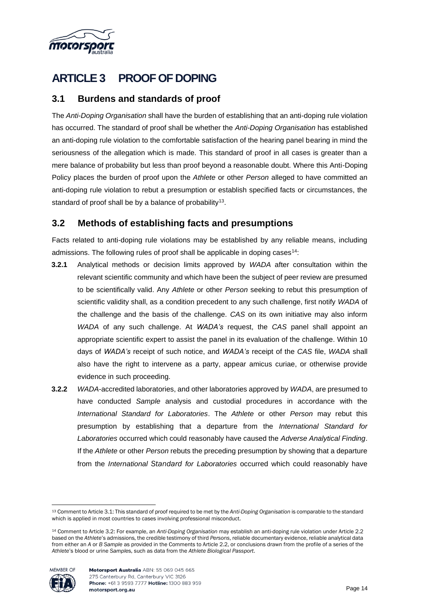

## <span id="page-13-0"></span>**ARTICLE 3 PROOF OF DOPING**

## <span id="page-13-1"></span>**3.1 Burdens and standards of proof**

The *Anti-Doping Organisation* shall have the burden of establishing that an anti-doping rule violation has occurred. The standard of proof shall be whether the *Anti-Doping Organisation* has established an anti-doping rule violation to the comfortable satisfaction of the hearing panel bearing in mind the seriousness of the allegation which is made. This standard of proof in all cases is greater than a mere balance of probability but less than proof beyond a reasonable doubt. Where this Anti-Doping Policy places the burden of proof upon the *Athlete* or other *Person* alleged to have committed an anti-doping rule violation to rebut a presumption or establish specified facts or circumstances, the standard of proof shall be by a balance of probability<sup>13</sup>.

## <span id="page-13-2"></span>**3.2 Methods of establishing facts and presumptions**

Facts related to anti-doping rule violations may be established by any reliable means, including admissions. The following rules of proof shall be applicable in doping cases<sup>14</sup>:

- **3.2.1** Analytical methods or decision limits approved by *WADA* after consultation within the relevant scientific community and which have been the subject of peer review are presumed to be scientifically valid. Any *Athlete* or other *Person* seeking to rebut this presumption of scientific validity shall, as a condition precedent to any such challenge, first notify *WADA* of the challenge and the basis of the challenge. *CAS* on its own initiative may also inform *WADA* of any such challenge. At *WADA's* request, the *CAS* panel shall appoint an appropriate scientific expert to assist the panel in its evaluation of the challenge. Within 10 days of *WADA's* receipt of such notice, and *WADA's* receipt of the *CAS* file, *WADA* shall also have the right to intervene as a party, appear amicus curiae, or otherwise provide evidence in such proceeding.
- **3.2.2** *WADA*-accredited laboratories, and other laboratories approved by *WADA*, are presumed to have conducted *Sample* analysis and custodial procedures in accordance with the *International Standard for Laboratories*. The *Athlete* or other *Person* may rebut this presumption by establishing that a departure from the *International Standard for Laboratories* occurred which could reasonably have caused the *Adverse Analytical Finding*. If the *Athlete* or other *Person* rebuts the preceding presumption by showing that a departure from the *International Standard for Laboratories* occurred which could reasonably have

<sup>14</sup> Comment to Article 3.2: For example, an *Anti-Doping Organisation* may establish an anti-doping rule violation under Article 2.2 based on the *Athlete*'s admissions, the credible testimony of third *Persons*, reliable documentary evidence, reliable analytical data from either an *A* or *B Sample* as provided in the Comments to Article 2.2, or conclusions drawn from the profile of a series of the *Athlete*'s blood or urine *Sample*s, such as data from the *Athlete Biological Passport*.



<sup>13</sup> Comment to Article 3.1: This standard of proof required to be met by the *Anti-Doping Organisation* is comparable to the standard which is applied in most countries to cases involving professional misconduct.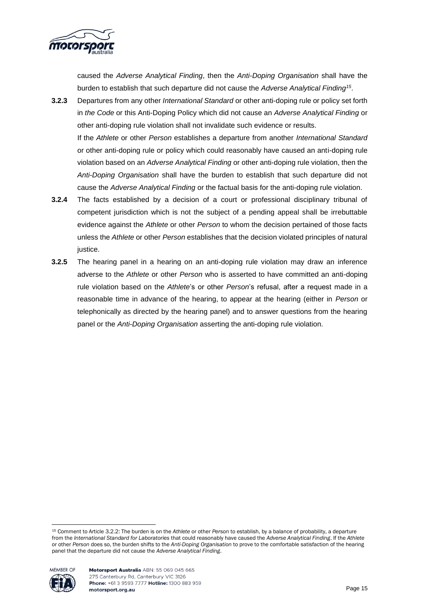

caused the *Adverse Analytical Finding*, then the *Anti-Doping Organisation* shall have the burden to establish that such departure did not cause the *Adverse Analytical Finding<sup>15</sup>* .

**3.2.3** Departures from any other *International Standard* or other anti-doping rule or policy set forth in *the Code* or this Anti-Doping Policy which did not cause an *Adverse Analytical Finding* or other anti-doping rule violation shall not invalidate such evidence or results.

If the *Athlete* or other *Person* establishes a departure from another *International Standard* or other anti-doping rule or policy which could reasonably have caused an anti-doping rule violation based on an *Adverse Analytical Finding* or other anti-doping rule violation, then the *Anti-Doping Organisation* shall have the burden to establish that such departure did not cause the *Adverse Analytical Finding* or the factual basis for the anti-doping rule violation.

- **3.2.4** The facts established by a decision of a court or professional disciplinary tribunal of competent jurisdiction which is not the subject of a pending appeal shall be irrebuttable evidence against the *Athlete* or other *Person* to whom the decision pertained of those facts unless the *Athlete* or other *Person* establishes that the decision violated principles of natural justice.
- **3.2.5** The hearing panel in a hearing on an anti-doping rule violation may draw an inference adverse to the *Athlete* or other *Person* who is asserted to have committed an anti-doping rule violation based on the *Athlete*'s or other *Person*'s refusal, after a request made in a reasonable time in advance of the hearing, to appear at the hearing (either in *Person* or telephonically as directed by the hearing panel) and to answer questions from the hearing panel or the *Anti-Doping Organisation* asserting the anti-doping rule violation.

<sup>15</sup> Comment to Article 3.2.2: The burden is on the *Athlete* or other *Person* to establish, by a balance of probability, a departure from the *International Standard for Laboratories* that could reasonably have caused the *Adverse Analytical Finding*. If the *Athlete* or other *Person* does so, the burden shifts to the *Anti-Doping Organisation* to prove to the comfortable satisfaction of the hearing panel that the departure did not cause the *Adverse Analytical Finding*.

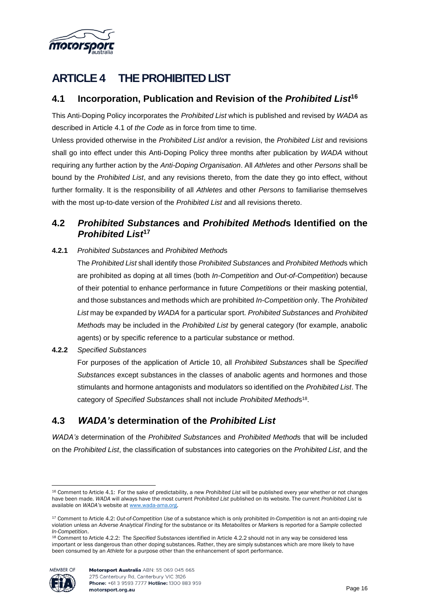

# <span id="page-15-0"></span>**ARTICLE 4 THE PROHIBITED LIST**

## <span id="page-15-1"></span>**4.1 Incorporation, Publication and Revision of the** *Prohibited List***<sup>16</sup>**

This Anti-Doping Policy incorporates the *Prohibited List* which is published and revised by *WADA* as described in Article 4.1 of *the Code* as in force from time to time.

Unless provided otherwise in the *Prohibited List* and/or a revision, the *Prohibited List* and revisions shall go into effect under this Anti-Doping Policy three months after publication by *WADA* without requiring any further action by the *Anti-Doping Organisation*. All *Athletes* and other *Persons* shall be bound by the *Prohibited List*, and any revisions thereto, from the date they go into effect, without further formality. It is the responsibility of all *Athletes* and other *Persons* to familiarise themselves with the most up-to-date version of the *Prohibited List* and all revisions thereto.

## <span id="page-15-2"></span>**4.2** *Prohibited Substance***s and** *Prohibited Method***s Identified on the**  *Prohibited List***<sup>17</sup>**

#### **4.2.1** *Prohibited Substance*s and *Prohibited Method*s

The *Prohibited List* shall identify those *Prohibited Substance*s and *Prohibited Method*s which are prohibited as doping at all times (both *In-Competition* and *Out-of-Competition*) because of their potential to enhance performance in future *Competitions* or their masking potential, and those substances and methods which are prohibited *In-Competition* only. The *Prohibited List* may be expanded by *WADA* for a particular sport. *Prohibited Substance*s and *Prohibited Method*s may be included in the *Prohibited List* by general category (for example, anabolic agents) or by specific reference to a particular substance or method.

**4.2.2** *Specified Substances*

For purposes of the application of Article 10, all *Prohibited Substance*s shall be *Specified Substances* except substances in the classes of anabolic agents and hormones and those stimulants and hormone antagonists and modulators so identified on the *Prohibited List*. The category of *Specified Substances* shall not include *Prohibited Method*s 18 .

## <span id="page-15-3"></span>**4.3** *WADA's* **determination of the** *Prohibited List*

*WADA's* determination of the *Prohibited Substance*s and *Prohibited Method*s that will be included on the *Prohibited List*, the classification of substances into categories on the *Prohibited List*, and the

<sup>18</sup> Comment to Article 4.2.2: The *Specified Substances* identified in Article 4.2.2 should not in any way be considered less important or less dangerous than other doping substances. Rather, they are simply substances which are more likely to have been consumed by an *Athlete* for a purpose other than the enhancement of sport performance.



<sup>16</sup> Comment to Article 4.1: For the sake of predictability, a new *Prohibited List* will be published every year whether or not changes have been made. *WADA* will always have the most current *Prohibited List* published on its website. The current *Prohibited List* is available on *WADA's* website at [www.wada-ama.org.](http://www.wada-ama.org/)

<sup>17</sup> Comment to Article 4.2: *Out-of-Competition Use* of a substance which is only prohibited *In-Competition* is not an anti-doping rule violation unless an *Adverse Analytical Finding* for the substance or its *Metabolites* or *Markers* is reported for a *Sample* collected *In-Competition*.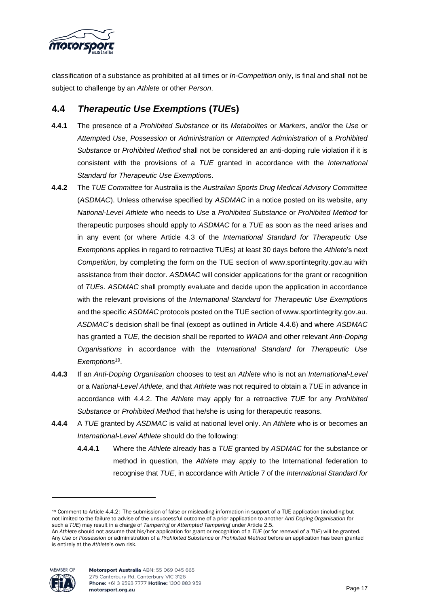

classification of a substance as prohibited at all times or *In-Competition* only, is final and shall not be subject to challenge by an *Athlete* or other *Person*.

## <span id="page-16-0"></span>**4.4** *Therapeutic Use Exemption***s (***TUE***s)**

- **4.4.1** The presence of a *Prohibited Substance* or its *Metabolites* or *Markers*, and/or the *Use* or *Attempt*ed *Use*, *Possession* or *Administration* or *Attempted Administration* of a *Prohibited Substance* or *Prohibited Method* shall not be considered an anti-doping rule violation if it is consistent with the provisions of a *TUE* granted in accordance with the *International Standard for Therapeutic Use Exemption*s.
- **4.4.2** The *TUE Committee* for Australia is the *Australian Sports Drug Medical Advisory Committee* (*ASDMAC*). Unless otherwise specified by *ASDMAC* in a notice posted on its website, any *National-Level Athlete* who needs to *Use* a *Prohibited Substance* or *Prohibited Method* for therapeutic purposes should apply to *ASDMAC* for a *TUE* as soon as the need arises and in any event (or where Article 4.3 of the *International Standard for Therapeutic Use Exemption*s applies in regard to retroactive TUEs) at least 30 days before the *Athlete*'s next *Competition*, by completing the form on the TUE section of www.sportintegrity.gov.au with assistance from their doctor. *ASDMAC* will consider applications for the grant or recognition of *TUE*s. *ASDMAC* shall promptly evaluate and decide upon the application in accordance with the relevant provisions of the *International Standard* for *Therapeutic Use Exemption*s and the specific *ASDMAC* protocols posted on the TUE section of www.sportintegrity.gov.au. *ASDMAC*'s decision shall be final (except as outlined in Article 4.4.6) and where *ASDMAC* has granted a *TUE*, the decision shall be reported to *WADA* and other relevant *Anti-Doping Organisations* in accordance with the *International Standard for Therapeutic Use Exemption*s 19 .
- **4.4.3** If an *Anti-Doping Organisation* chooses to test an *Athlete* who is not an *International-Level* or a *National-Level Athlete*, and that *Athlete* was not required to obtain a *TUE* in advance in accordance with 4.4.2. The *Athlete* may apply for a retroactive *TUE* for any *Prohibited Substance* or *Prohibited Method* that he/she is using for therapeutic reasons.
- **4.4.4** A *TUE* granted by *ASDMAC* is valid at national level only. An *Athlete* who is or becomes an *International-Level Athlete* should do the following:
	- **4.4.4.1** Where the *Athlete* already has a *TUE* granted by *ASDMAC* for the substance or method in question, the *Athlete* may apply to the International federation to recognise that *TUE*, in accordance with Article 7 of the *International Standard for*

An *Athlete* should not assume that his/her application for grant or recognition of a *TUE* (or for renewal of a *TUE*) will be granted. Any *Use* or *Possession* or administration of a *Prohibited Substance* or *Prohibited Method* before an application has been granted is entirely at the *Athlete*'s own risk.



<sup>19</sup> Comment to Article 4.4.2: The submission of false or misleading information in support of a TUE application (including but not limited to the failure to advise of the unsuccessful outcome of a prior application to another *Anti-Doping Organisation* for such a *TUE*) may result in a charge of *Tampering* or *Attempted Tampering* under Article 2.5.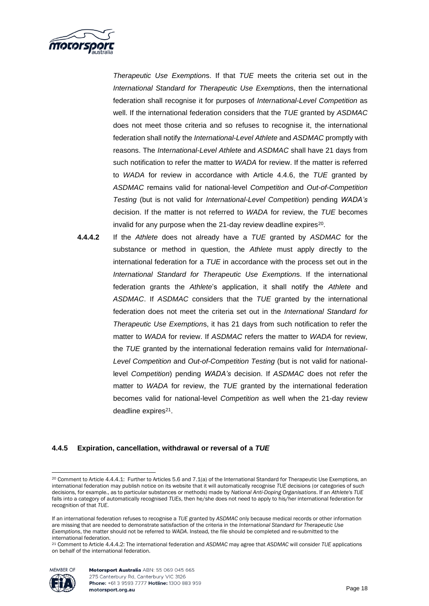

*Therapeutic Use Exemption*s. If that *TUE* meets the criteria set out in the *International Standard for Therapeutic Use Exemption*s, then the international federation shall recognise it for purposes of *International-Level Competition* as well. If the international federation considers that the *TUE* granted by *ASDMAC* does not meet those criteria and so refuses to recognise it, the international federation shall notify the *International-Level Athlete* and *ASDMAC* promptly with reasons. The *International-Level Athlete* and *ASDMAC* shall have 21 days from such notification to refer the matter to *WADA* for review. If the matter is referred to *WADA* for review in accordance with Article 4.4.6, the *TUE* granted by *ASDMAC* remains valid for national-level *Competition* and *Out-of-Competition Testing* (but is not valid for *International-Level Competition*) pending *WADA's* decision. If the matter is not referred to *WADA* for review, the *TUE* becomes invalid for any purpose when the 21-day review deadline expires $^{20}$ .

**4.4.4.2** If the *Athlete* does not already have a *TUE* granted by *ASDMAC* for the substance or method in question, the *Athlete* must apply directly to the international federation for a *TUE* in accordance with the process set out in the *International Standard for Therapeutic Use Exemption*s. If the international federation grants the *Athlete*'s application, it shall notify the *Athlete* and *ASDMAC*. If *ASDMAC* considers that the *TUE* granted by the international federation does not meet the criteria set out in the *International Standard for Therapeutic Use Exemption*s, it has 21 days from such notification to refer the matter to *WADA* for review. If *ASDMAC* refers the matter to *WADA* for review, the *TUE* granted by the international federation remains valid for *International-Level Competition* and *Out-of-Competition Testing* (but is not valid for nationallevel *Competition*) pending *WADA's* decision. If *ASDMAC* does not refer the matter to *WADA* for review, the *TUE* granted by the international federation becomes valid for national-level *Competition* as well when the 21-day review deadline expires<sup>21</sup>.

#### **4.4.5 Expiration, cancellation, withdrawal or reversal of a** *TUE*

<sup>21</sup> Comment to Article 4.4.4.2: The international federation and *ASDMAC* may agree that *ASDMAC* will consider *TUE* applications on behalf of the international federation.



<sup>20</sup> Comment to Article 4.4.4.1: Further to Articles 5.6 and 7.1(a) of the International Standard for Therapeutic Use Exemptions, an international federation may publish notice on its website that it will automatically recognise *TUE* decisions (or categories of such decisions, for example., as to particular substances or methods) made by *National Anti-Doping Organisations*. If an *Athlete's TUE* falls into a category of automatically recognised *TUEs*, then he/she does not need to apply to his/her international federation for recognition of that *TUE*.

If an international federation refuses to recognise a *TUE* granted by *ASDMAC* only because medical records or other information are missing that are needed to demonstrate satisfaction of the criteria in the *International Standard for Therapeutic Use Exemptions*, the matter should not be referred to *WADA*. Instead, the file should be completed and re-submitted to the international federation*.*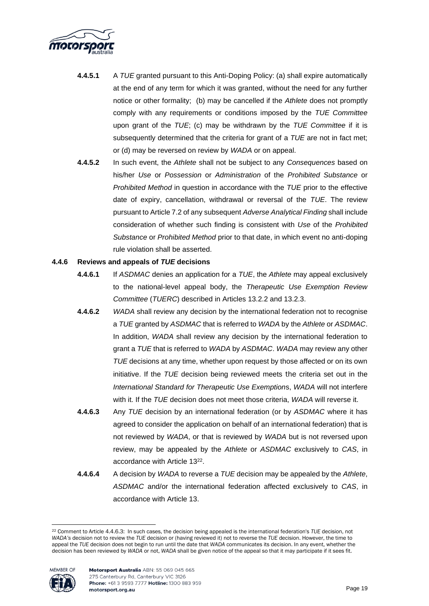

- **4.4.5.1** A *TUE* granted pursuant to this Anti-Doping Policy: (a) shall expire automatically at the end of any term for which it was granted, without the need for any further notice or other formality; (b) may be cancelled if the *Athlete* does not promptly comply with any requirements or conditions imposed by the *TUE Committee* upon grant of the *TUE*; (c) may be withdrawn by the *TUE Committee* if it is subsequently determined that the criteria for grant of a *TUE* are not in fact met; or (d) may be reversed on review by *WADA* or on appeal.
- **4.4.5.2** In such event, the *Athlete* shall not be subject to any *Consequences* based on his/her *Use* or *Possession* or *Administration* of the *Prohibited Substance* or *Prohibited Method* in question in accordance with the *TUE* prior to the effective date of expiry, cancellation, withdrawal or reversal of the *TUE*. The review pursuant to Article 7.2 of any subsequent *Adverse Analytical Finding* shall include consideration of whether such finding is consistent with *Use* of the *Prohibited Substance* or *Prohibited Method* prior to that date, in which event no anti-doping rule violation shall be asserted.

#### **4.4.6 Reviews and appeals of** *TUE* **decisions**

- **4.4.6.1** If *ASDMAC* denies an application for a *TUE*, the *Athlete* may appeal exclusively to the national-level appeal body, the *Therapeutic Use Exemption Review Committee* (*TUERC*) described in Articles 13.2.2 and 13.2.3.
- **4.4.6.2** *WADA* shall review any decision by the international federation not to recognise a *TUE* granted by *ASDMAC* that is referred to *WADA* by the *Athlete* or *ASDMAC*. In addition, *WADA* shall review any decision by the international federation to grant a *TUE* that is referred to *WADA* by *ASDMAC*. *WADA* may review any other *TUE* decisions at any time, whether upon request by those affected or on its own initiative. If the *TUE* decision being reviewed meets the criteria set out in the *International Standard for Therapeutic Use Exemption*s, *WADA* will not interfere with it. If the *TUE* decision does not meet those criteria, *WADA* will reverse it.
- **4.4.6.3** Any *TUE* decision by an international federation (or by *ASDMAC* where it has agreed to consider the application on behalf of an international federation) that is not reviewed by *WADA*, or that is reviewed by *WADA* but is not reversed upon review, may be appealed by the *Athlete* or *ASDMAC* exclusively to *CAS*, in accordance with Article 13<sup>22</sup>.
- **4.4.6.4** A decision by *WADA* to reverse a *TUE* decision may be appealed by the *Athlete*, *ASDMAC* and/or the international federation affected exclusively to *CAS*, in accordance with Article 13.

<sup>22</sup> Comment to Article 4.4.6.3: In such cases, the decision being appealed is the international federation's *TUE* decision, not *WADA's* decision not to review the *TUE* decision or (having reviewed it) not to reverse the *TUE* decision. However, the time to appeal the *TUE* decision does not begin to run until the date that *WADA* communicates its decision. In any event, whether the decision has been reviewed by *WADA* or not, *WADA* shall be given notice of the appeal so that it may participate if it sees fit.

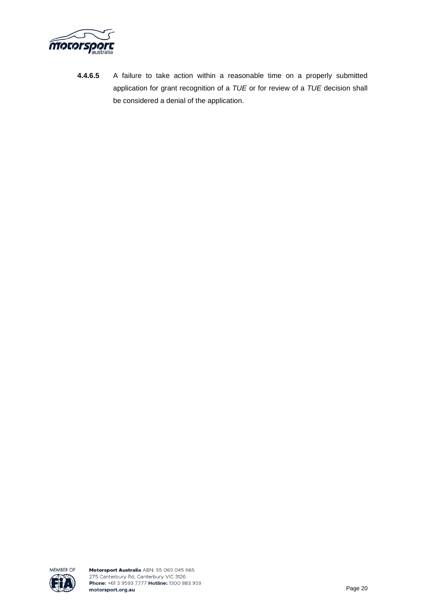

**4.4.6.5** A failure to take action within a reasonable time on a properly submitted application for grant recognition of a *TUE* or for review of a *TUE* decision shall be considered a denial of the application.

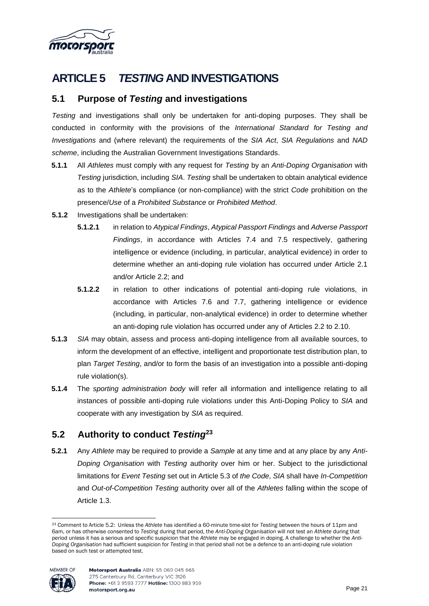

## <span id="page-20-0"></span>**ARTICLE 5** *TESTING* **AND INVESTIGATIONS**

## <span id="page-20-1"></span>**5.1 Purpose of** *Testing* **and investigations**

*Testing* and investigations shall only be undertaken for anti-doping purposes. They shall be conducted in conformity with the provisions of the *International Standard for Testing and Investigations* and (where relevant) the requirements of the *SIA Act*, *SIA Regulations* and *NAD scheme*, including the Australian Government Investigations Standards.

- **5.1.1** All *Athletes* must comply with any request for *Testing* by an *Anti-Doping Organisation* with *Testing* jurisdiction, including *SIA*. *Testing* shall be undertaken to obtain analytical evidence as to the *Athlete*'s compliance (or non-compliance) with the strict *Code* prohibition on the presence/*Use* of a *Prohibited Substance* or *Prohibited Method*.
- **5.1.2** Investigations shall be undertaken:
	- **5.1.2.1** in relation to *Atypical Findings*, *Atypical Passport Findings* and *Adverse Passport Findings*, in accordance with Articles 7.4 and 7.5 respectively, gathering intelligence or evidence (including, in particular, analytical evidence) in order to determine whether an anti-doping rule violation has occurred under Article 2.1 and/or Article 2.2; and
	- **5.1.2.2** in relation to other indications of potential anti-doping rule violations, in accordance with Articles 7.6 and 7.7, gathering intelligence or evidence (including, in particular, non-analytical evidence) in order to determine whether an anti-doping rule violation has occurred under any of Articles 2.2 to 2.10.
- **5.1.3** *SIA* may obtain, assess and process anti-doping intelligence from all available sources, to inform the development of an effective, intelligent and proportionate test distribution plan, to plan *Target Testing*, and/or to form the basis of an investigation into a possible anti-doping rule violation(s).
- **5.1.4** The *sporting administration body* will refer all information and intelligence relating to all instances of possible anti-doping rule violations under this Anti-Doping Policy to *SIA* and cooperate with any investigation by *SIA* as required.

## <span id="page-20-2"></span>**5.2 Authority to conduct** *Testing***<sup>23</sup>**

**5.2.1** Any *Athlete* may be required to provide a *Sample* at any time and at any place by any *Anti-Doping Organisation* with *Testing* authority over him or her. Subject to the jurisdictional limitations for *Event Testing* set out in Article 5.3 of *the Code*, *SIA* shall have *In-Competition* and *Out-of-Competition Testing* authority over all of the *Athletes* falling within the scope of Article 1.3.

<sup>23</sup> Comment to Article 5.2: Unless the *Athlete* has identified a 60-minute time-slot for *Testing* between the hours of 11pm and 6am, or has otherwise consented to *Testing* during that period, the *Anti-Doping Organisation* will not test an *Athlete* during that period unless it has a serious and specific suspicion that the *Athlete* may be engaged in doping. A challenge to whether the *Anti-Doping Organisation* had sufficient suspicion for *Testing* in that period shall not be a defence to an anti-doping rule violation based on such test or attempted test.

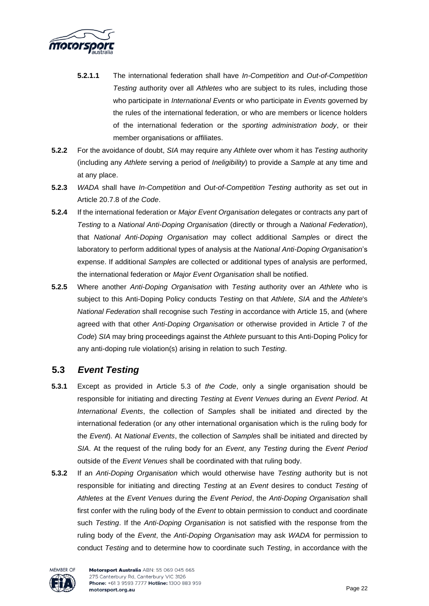

- **5.2.1.1** The international federation shall have *In-Competition* and *Out-of-Competition Testing* authority over all *Athletes* who are subject to its rules, including those who participate in *International Events* or who participate in *Events* governed by the rules of the international federation, or who are members or licence holders of the international federation or the *sporting administration body*, or their member organisations or affiliates.
- **5.2.2** For the avoidance of doubt, *SIA* may require any *Athlete* over whom it has *Testing* authority (including any *Athlete* serving a period of *Ineligibility*) to provide a *Sample* at any time and at any place.
- **5.2.3** *WADA* shall have *In-Competition* and *Out-of-Competition Testing* authority as set out in Article 20.7.8 of *the Code*.
- **5.2.4** If the international federation or *Major Event Organisation* delegates or contracts any part of *Testing* to a *National Anti-Doping Organisation* (directly or through a *National Federation*), that *National Anti-Doping Organisation* may collect additional *Sample*s or direct the laboratory to perform additional types of analysis at the *National Anti-Doping Organisation*'s expense. If additional *Sample*s are collected or additional types of analysis are performed, the international federation or *Major Event Organisation* shall be notified.
- **5.2.5** Where another *Anti-Doping Organisation* with *Testing* authority over an *Athlete* who is subject to this Anti-Doping Policy conducts *Testing* on that *Athlete*, *SIA* and the *Athlete*'s *National Federation* shall recognise such *Testing* in accordance with Article 15, and (where agreed with that other *Anti-Doping Organisation* or otherwise provided in Article 7 of *the Code*) *SIA* may bring proceedings against the *Athlete* pursuant to this Anti-Doping Policy for any anti-doping rule violation(s) arising in relation to such *Testing*.

## <span id="page-21-0"></span>**5.3** *Event Testing*

- **5.3.1** Except as provided in Article 5.3 of *the Code*, only a single organisation should be responsible for initiating and directing *Testing* at *Event Venues* during an *Event Period*. At *International Events*, the collection of *Sample*s shall be initiated and directed by the international federation (or any other international organisation which is the ruling body for the *Event*). At *National Events*, the collection of *Sample*s shall be initiated and directed by *SIA*. At the request of the ruling body for an *Event*, any *Testing* during the *Event Period* outside of the *Event Venues* shall be coordinated with that ruling body.
- **5.3.2** If an *Anti-Doping Organisation* which would otherwise have *Testing* authority but is not responsible for initiating and directing *Testing* at an *Event* desires to conduct *Testing* of *Athletes* at the *Event Venues* during the *Event Period*, the *Anti-Doping Organisation* shall first confer with the ruling body of the *Event* to obtain permission to conduct and coordinate such *Testing*. If the *Anti-Doping Organisation* is not satisfied with the response from the ruling body of the *Event*, the *Anti-Doping Organisation* may ask *WADA* for permission to conduct *Testing* and to determine how to coordinate such *Testing*, in accordance with the

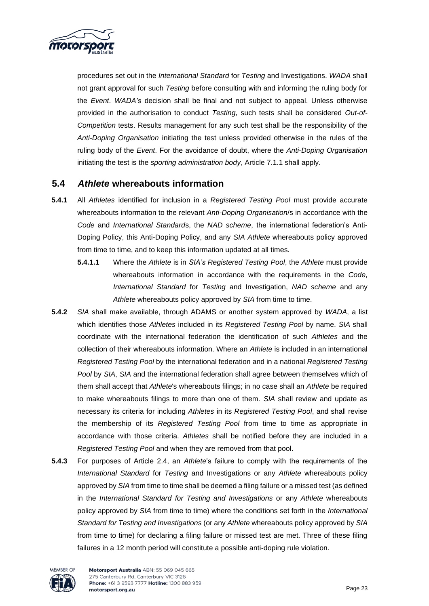

procedures set out in the *International Standard* for *Testing* and Investigations. *WADA* shall not grant approval for such *Testing* before consulting with and informing the ruling body for the *Event*. *WADA's* decision shall be final and not subject to appeal. Unless otherwise provided in the authorisation to conduct *Testing*, such tests shall be considered *Out-of-Competition* tests. Results management for any such test shall be the responsibility of the *Anti-Doping Organisation* initiating the test unless provided otherwise in the rules of the ruling body of the *Event*. For the avoidance of doubt, where the *Anti-Doping Organisation* initiating the test is the *sporting administration body*, Article 7.1.1 shall apply.

## <span id="page-22-0"></span>**5.4** *Athlete* **whereabouts information**

- **5.4.1** All *Athletes* identified for inclusion in a *Registered Testing Pool* must provide accurate whereabouts information to the relevant *Anti-Doping Organisation*/s in accordance with the *Code* and *International Standard*s, the *NAD scheme*, the international federation's Anti-Doping Policy, this Anti-Doping Policy, and any *SIA Athlete* whereabouts policy approved from time to time, and to keep this information updated at all times.
	- **5.4.1.1** Where the *Athlete* is in *SIA's Registered Testing Pool*, the *Athlete* must provide whereabouts information in accordance with the requirements in the *Code*, *International Standard* for *Testing* and Investigation, *NAD scheme* and any *Athlete* whereabouts policy approved by *SIA* from time to time.
- **5.4.2** *SIA* shall make available, through ADAMS or another system approved by *WADA*, a list which identifies those *Athletes* included in its *Registered Testing Pool* by name. *SIA* shall coordinate with the international federation the identification of such *Athletes* and the collection of their whereabouts information. Where an *Athlete* is included in an international *Registered Testing Pool* by the international federation and in a national *Registered Testing Pool* by *SIA*, *SIA* and the international federation shall agree between themselves which of them shall accept that *Athlete*'s whereabouts filings; in no case shall an *Athlete* be required to make whereabouts filings to more than one of them. *SIA* shall review and update as necessary its criteria for including *Athletes* in its *Registered Testing Pool*, and shall revise the membership of its *Registered Testing Pool* from time to time as appropriate in accordance with those criteria. *Athletes* shall be notified before they are included in a *Registered Testing Pool* and when they are removed from that pool.
- **5.4.3** For purposes of Article 2.4, an *Athlete*'s failure to comply with the requirements of the *International Standard* for *Testing* and Investigations or any *Athlete* whereabouts policy approved by *SIA* from time to time shall be deemed a filing failure or a missed test (as defined in the *International Standard for Testing and Investigations* or any *Athlete* whereabouts policy approved by *SIA* from time to time) where the conditions set forth in the *International Standard for Testing and Investigations* (or any *Athlete* whereabouts policy approved by *SIA* from time to time) for declaring a filing failure or missed test are met. Three of these filing failures in a 12 month period will constitute a possible anti-doping rule violation.

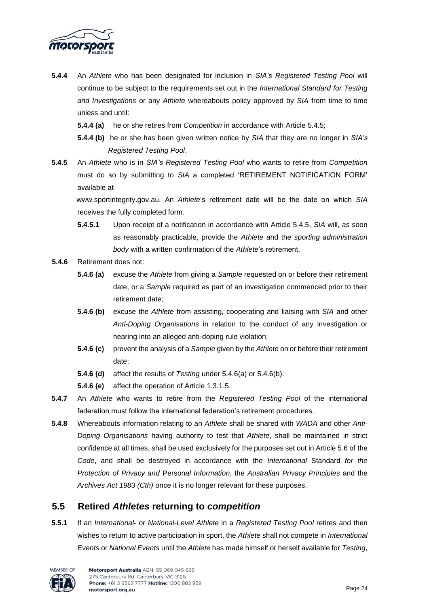

- **5.4.4** An *Athlete* who has been designated for inclusion in *SIA's Registered Testing Pool* will continue to be subject to the requirements set out in the *International Standard for Testing and Investigations* or any *Athlete* whereabouts policy approved by *SIA* from time to time unless and until:
	- **5.4.4 (a)** he or she retires from *Competition* in accordance with Article 5.4.5;
	- **5.4.4 (b)** he or she has been given written notice by *SIA* that they are no longer in *SIA's Registered Testing Pool*.
- **5.4.5** An *Athlete* who is in *SIA's Registered Testing Pool* who wants to retire from *Competition* must do so by submitting to *SIA* a completed 'RETIREMENT NOTIFICATION FORM' available at

www.sportintegrity.gov.au. An *Athlete*'s retirement date will be the date on which *SIA* receives the fully completed form.

- **5.4.5.1** Upon receipt of a notification in accordance with Article 5.4.5, *SIA* will, as soon as reasonably practicable, provide the *Athlete* and the *sporting administration body* with a written confirmation of the *Athlete*'s retirement.
- **5.4.6** Retirement does not:
	- **5.4.6 (a)** excuse the *Athlete* from giving a *Sample* requested on or before their retirement date, or a *Sample* required as part of an investigation commenced prior to their retirement date;
	- **5.4.6 (b)** excuse the *Athlete* from assisting, cooperating and liaising with *SIA* and other *Anti-Doping Organisations* in relation to the conduct of any investigation or hearing into an alleged anti-doping rule violation;
	- **5.4.6 (c)** prevent the analysis of a *Sample* given by the *Athlete* on or before their retirement date;
	- **5.4.6 (d)** affect the results of *Testing* under 5.4.6(a) or 5.4.6(b).
	- **5.4.6 (e)** affect the operation of Article 1.3.1.5.
- **5.4.7** An *Athlete* who wants to retire from the *Registered Testing Pool* of the international federation must follow the international federation's retirement procedures.
- **5.4.8** Whereabouts information relating to an *Athlete* shall be shared with *WADA* and other *Anti-Doping Organisations* having authority to test that *Athlete*, shall be maintained in strict confidence at all times, shall be used exclusively for the purposes set out in Article 5.6 of the *Code*, and shall be destroyed in accordance with the *International* Standard *for the Protection of Privacy and* Person*al Information*, the *Australian Privacy Principles* and the *Archives Act 1983 (Cth)* once it is no longer relevant for these purposes.

## <span id="page-23-0"></span>**5.5 Retired** *Athletes* **returning to** *competition*

**5.5.1** If an *International*- or *National-Level Athlete* in a *Registered Testing Pool* retires and then wishes to return to active participation in sport, the *Athlete* shall not compete in *International Events* or *National Events* until the *Athlete* has made himself or herself available for *Testing*,

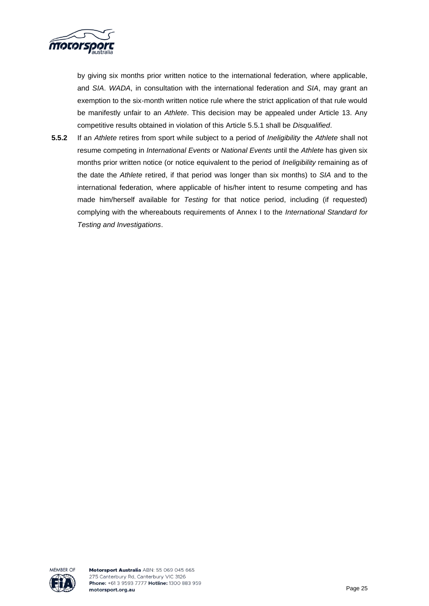

by giving six months prior written notice to the international federation*,* where applicable, and *SIA*. *WADA*, in consultation with the international federation and *SIA*, may grant an exemption to the six-month written notice rule where the strict application of that rule would be manifestly unfair to an *Athlete*. This decision may be appealed under Article 13. Any competitive results obtained in violation of this Article 5.5.1 shall be *Disqualified*.

**5.5.2** If an *Athlete* retires from sport while subject to a period of *Ineligibility* the *Athlete* shall not resume competing in *International Events* or *National Events* until the *Athlete* has given six months prior written notice (or notice equivalent to the period of *Ineligibility* remaining as of the date the *Athlete* retired, if that period was longer than six months) to *SIA* and to the international federation*,* where applicable of his/her intent to resume competing and has made him/herself available for *Testing* for that notice period, including (if requested) complying with the whereabouts requirements of Annex I to the *International Standard for Testing and Investigations*.

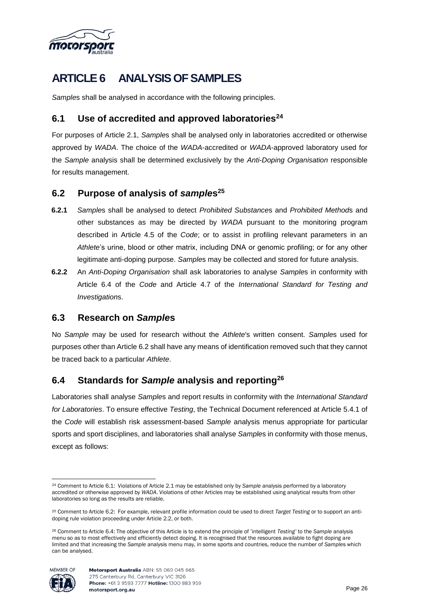

# <span id="page-25-0"></span>**ARTICLE 6 ANALYSIS OF SAMPLES**

*Sample*s shall be analysed in accordance with the following principles.

## <span id="page-25-1"></span>**6.1 Use of accredited and approved laboratories<sup>24</sup>**

For purposes of Article 2.1, *Sample*s shall be analysed only in laboratories accredited or otherwise approved by *WADA*. The choice of the *WADA*-accredited or *WADA*-approved laboratory used for the *Sample* analysis shall be determined exclusively by the *Anti-Doping Organisation* responsible for results management.

## <span id="page-25-2"></span>**6.2 Purpose of analysis of** *sample***s 25**

- **6.2.1** *Sample*s shall be analysed to detect *Prohibited Substance*s and *Prohibited Method*s and other substances as may be directed by *WADA* pursuant to the monitoring program described in Article 4.5 of the *Code*; or to assist in profiling relevant parameters in an *Athlete*'s urine, blood or other matrix, including DNA or genomic profiling; or for any other legitimate anti-doping purpose. *Sample*s may be collected and stored for future analysis.
- **6.2.2** An *Anti-Doping Organisation* shall ask laboratories to analyse *Sample*s in conformity with Article 6.4 of the *Code* and Article 4.7 of the *International Standard for Testing and Investigation*s.

## <span id="page-25-3"></span>**6.3 Research on** *Sample***s**

No *Sample* may be used for research without the *Athlete*'s written consent. *Sample*s used for purposes other than Article 6.2 shall have any means of identification removed such that they cannot be traced back to a particular *Athlete*.

## <span id="page-25-4"></span>**6.4 Standards for** *Sample* **analysis and reporting<sup>26</sup>**

Laboratories shall analyse *Sample*s and report results in conformity with the *International Standard for Laboratories*. To ensure effective *Testing*, the Technical Document referenced at Article 5.4.1 of the *Code* will establish risk assessment-based *Sample* analysis menus appropriate for particular sports and sport disciplines, and laboratories shall analyse *Sample*s in conformity with those menus, except as follows:

<sup>26</sup> Comment to Article 6.4: The objective of this Article is to extend the principle of 'intelligent *Testing'* to the *Sample* analysis menu so as to most effectively and efficiently detect doping. It is recognised that the resources available to fight doping are limited and that increasing the *Sample* analysis menu may, in some sports and countries, reduce the number of *Sample*s which can be analysed.



<sup>24</sup> Comment to Article 6.1: Violations of Article 2.1 may be established only by *Sample* analysis performed by a laboratory accredited or otherwise approved by *WADA*. Violations of other Articles may be established using analytical results from other laboratories so long as the results are reliable.

<sup>25</sup> Comment to Article 6.2: For example, relevant profile information could be used to direct *Target Testing* or to support an antidoping rule violation proceeding under Article 2.2, or both.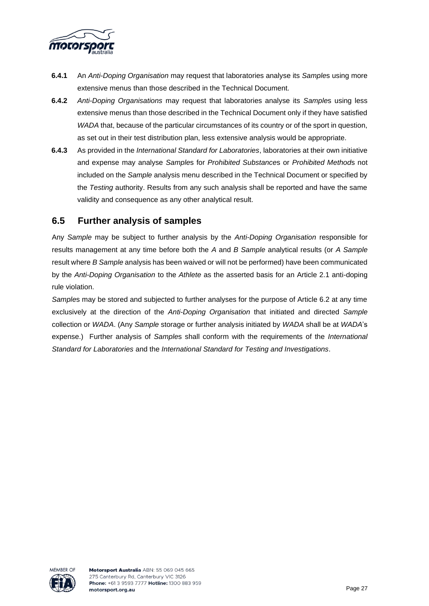

- **6.4.1** An *Anti-Doping Organisation* may request that laboratories analyse its *Sample*s using more extensive menus than those described in the Technical Document.
- **6.4.2** *Anti-Doping Organisations* may request that laboratories analyse its *Sample*s using less extensive menus than those described in the Technical Document only if they have satisfied *WADA* that, because of the particular circumstances of its country or of the sport in question, as set out in their test distribution plan, less extensive analysis would be appropriate.
- **6.4.3** As provided in the *International Standard for Laboratories*, laboratories at their own initiative and expense may analyse *Sample*s for *Prohibited Substance*s or *Prohibited Method*s not included on the *Sample* analysis menu described in the Technical Document or specified by the *Testing* authority. Results from any such analysis shall be reported and have the same validity and consequence as any other analytical result.

## <span id="page-26-0"></span>**6.5 Further analysis of samples**

Any *Sample* may be subject to further analysis by the *Anti-Doping Organisation* responsible for results management at any time before both the *A* and *B Sample* analytical results (or *A Sample* result where *B Sample* analysis has been waived or will not be performed) have been communicated by the *Anti-Doping Organisation* to the *Athlete* as the asserted basis for an Article 2.1 anti-doping rule violation.

*Sample*s may be stored and subjected to further analyses for the purpose of Article 6.2 at any time exclusively at the direction of the *Anti-Doping Organisation* that initiated and directed *Sample* collection or *WADA*. (Any *Sample* storage or further analysis initiated by *WADA* shall be at *WADA*'s expense.) Further analysis of *Sample*s shall conform with the requirements of the *International Standard for Laboratories* and the *International Standard for Testing and Investigations*.

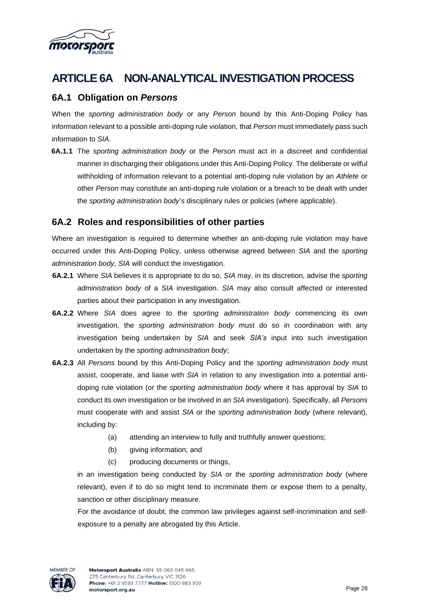

## <span id="page-27-0"></span>**ARTICLE 6A NON-ANALYTICAL INVESTIGATION PROCESS**

#### <span id="page-27-1"></span>**6A.1 Obligation on** *Persons*

When the *sporting administration body* or any *Person* bound by this Anti-Doping Policy has information relevant to a possible anti-doping rule violation, that *Person* must immediately pass such information to *SIA*.

**6A.1.1** The *sporting administration body* or the *Person* must act in a discreet and confidential manner in discharging their obligations under this Anti-Doping Policy. The deliberate or wilful withholding of information relevant to a potential anti-doping rule violation by an *Athlete* or other *Person* may constitute an anti-doping rule violation or a breach to be dealt with under the *sporting administration body*'*s* disciplinary rules or policies (where applicable).

## <span id="page-27-2"></span>**6A.2 Roles and responsibilities of other parties**

Where an investigation is required to determine whether an anti-doping rule violation may have occurred under this Anti-Doping Policy, unless otherwise agreed between *SIA* and the *sporting administration body*, *SIA* will conduct the investigation.

- **6A.2.1** Where *SIA* believes it is appropriate to do so, *SIA* may, in its discretion, advise the *sporting administration body* of a *SIA* investigation. *SIA* may also consult affected or interested parties about their participation in any investigation.
- **6A.2.2** Where *SIA* does agree to the *sporting administration body* commencing its own investigation, the *sporting administration body* must do so in coordination with any investigation being undertaken by *SIA* and seek *SIA's* input into such investigation undertaken by the *sporting administration body*;
- **6A.2.3** All *Persons* bound by this Anti-Doping Policy and the *sporting administration body* must assist, cooperate, and liaise with *SIA* in relation to any investigation into a potential antidoping rule violation (or the *sporting administration body* where it has approval by *SIA* to conduct its own investigation or be involved in an *SIA* investigation). Specifically, all *Persons* must cooperate with and assist *SIA* or the *sporting administration body* (where relevant), including by:
	- (a) attending an interview to fully and truthfully answer questions;
	- (b) giving information; and
	- (c) producing documents or things,

in an investigation being conducted by *SIA* or the *sporting administration body* (where relevant), even if to do so might tend to incriminate them or expose them to a penalty, sanction or other disciplinary measure.

For the avoidance of doubt, the common law privileges against self-incrimination and selfexposure to a penalty are abrogated by this Article.

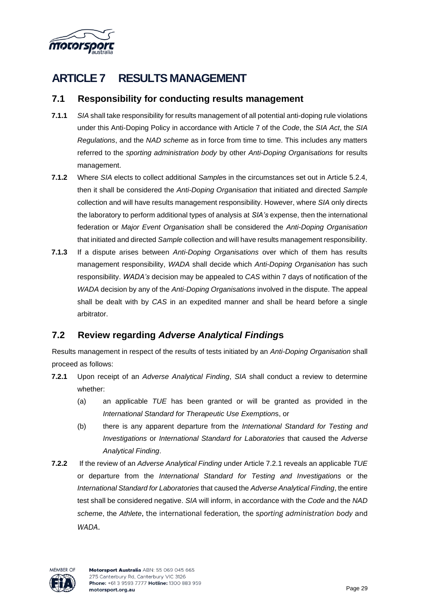

## <span id="page-28-0"></span>**ARTICLE 7 RESULTS MANAGEMENT**

## <span id="page-28-1"></span>**7.1 Responsibility for conducting results management**

- **7.1.1** *SIA* shall take responsibility for results management of all potential anti-doping rule violations under this Anti-Doping Policy in accordance with Article 7 of the *Code*, the *SIA Act*, the *SIA Regulations*, and the *NAD scheme* as in force from time to time. This includes any matters referred to the *sporting administration body* by other *Anti-Doping Organisations* for results management.
- **7.1.2** Where *SIA* elects to collect additional *Sample*s in the circumstances set out in Article 5.2.4, then it shall be considered the *Anti-Doping Organisation* that initiated and directed *Sample* collection and will have results management responsibility. However, where *SIA* only directs the laboratory to perform additional types of analysis at *SIA's* expense, then the international federation or *Major Event Organisation* shall be considered the *Anti-Doping Organisation* that initiated and directed *Sample* collection and will have results management responsibility.
- **7.1.3** If a dispute arises between *Anti-Doping Organisations* over which of them has results management responsibility, *WADA* shall decide which *Anti-Doping Organisation* has such responsibility. *WADA's* decision may be appealed to *CAS* within 7 days of notification of the *WADA* decision by any of the *Anti-Doping Organisations* involved in the dispute. The appeal shall be dealt with by *CAS* in an expedited manner and shall be heard before a single arbitrator.

## <span id="page-28-2"></span>**7.2 Review regarding** *Adverse Analytical Finding***s**

Results management in respect of the results of tests initiated by an *Anti-Doping Organisation* shall proceed as follows:

- **7.2.1** Upon receipt of an *Adverse Analytical Finding*, *SIA* shall conduct a review to determine whether:
	- (a) an applicable *TUE* has been granted or will be granted as provided in the *International Standard for Therapeutic Use Exemption*s, or
	- (b) there is any apparent departure from the *International Standard for Testing and Investigations* or *International Standard for Laboratories* that caused the *Adverse Analytical Finding*.
- **7.2.2** If the review of an *Adverse Analytical Finding* under Article 7.2.1 reveals an applicable *TUE* or departure from the *International Standard for Testing and Investigations* or the *International Standard for Laboratories* that caused the *Adverse Analytical Finding*, the entire test shall be considered negative. *SIA* will inform, in accordance with the *Code* and the *NAD scheme*, the *Athlete*, the international federation*,* the *sporting administration body* and *WADA*.

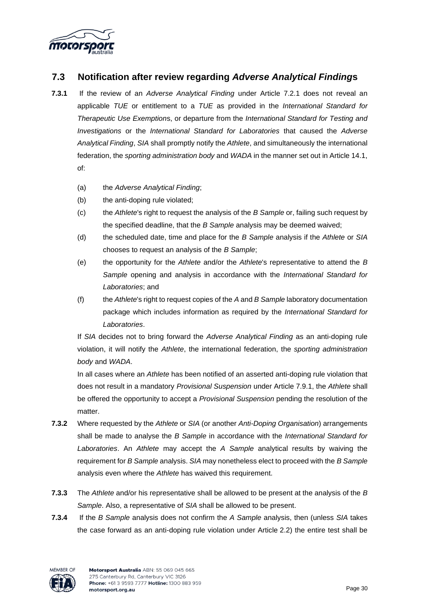

## <span id="page-29-0"></span>**7.3 Notification after review regarding** *Adverse Analytical Finding***s**

- **7.3.1** If the review of an *Adverse Analytical Finding* under Article 7.2.1 does not reveal an applicable *TUE* or entitlement to a *TUE* as provided in the *International Standard for Therapeutic Use Exemption*s, or departure from the *International Standard for Testing and Investigations* or the *International Standard for Laboratories* that caused the *Adverse Analytical Finding*, *SIA* shall promptly notify the *Athlete*, and simultaneously the international federation, the *sporting administration body* and *WADA* in the manner set out in Article 14.1, of:
	- (a) the *Adverse Analytical Finding*;
	- (b) the anti-doping rule violated;
	- (c) the *Athlete*'s right to request the analysis of the *B Sample* or, failing such request by the specified deadline, that the *B Sample* analysis may be deemed waived;
	- (d) the scheduled date, time and place for the *B Sample* analysis if the *Athlete* or *SIA* chooses to request an analysis of the *B Sample*;
	- (e) the opportunity for the *Athlete* and/or the *Athlete*'s representative to attend the *B Sample* opening and analysis in accordance with the *International Standard for Laboratories*; and
	- (f) the *Athlete*'s right to request copies of the *A* and *B Sample* laboratory documentation package which includes information as required by the *International Standard for Laboratories*.

If *SIA* decides not to bring forward the *Adverse Analytical Finding* as an anti-doping rule violation, it will notify the *Athlete*, the international federation, the *sporting administration body* and *WADA*.

In all cases where an *Athlete* has been notified of an asserted anti-doping rule violation that does not result in a mandatory *Provisional Suspension* under Article 7.9.1, the *Athlete* shall be offered the opportunity to accept a *Provisional Suspension* pending the resolution of the matter.

- **7.3.2** Where requested by the *Athlete* or *SIA* (or another *Anti-Doping Organisation*) arrangements shall be made to analyse the *B Sample* in accordance with the *International Standard for Laboratories*. An *Athlete* may accept the *A Sample* analytical results by waiving the requirement for *B Sample* analysis. *SIA* may nonetheless elect to proceed with the *B Sample* analysis even where the *Athlete* has waived this requirement.
- **7.3.3** The *Athlete* and/or his representative shall be allowed to be present at the analysis of the *B Sample*. Also, a representative of *SIA* shall be allowed to be present.
- **7.3.4** If the *B Sample* analysis does not confirm the *A Sample* analysis, then (unless *SIA* takes the case forward as an anti-doping rule violation under Article 2.2) the entire test shall be

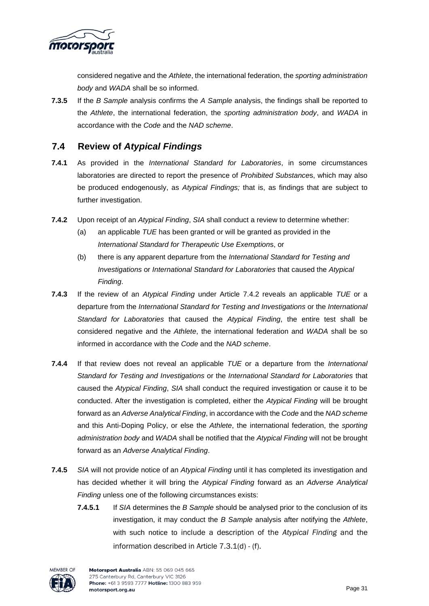

considered negative and the *Athlete*, the international federation, the *sporting administration body* and *WADA* shall be so informed.

**7.3.5** If the *B Sample* analysis confirms the *A Sample* analysis, the findings shall be reported to the *Athlete*, the international federation, the *sporting administration body*, and *WADA* in accordance with the *Code* and the *NAD scheme*.

## <span id="page-30-0"></span>**7.4 Review of** *Atypical Findings*

- **7.4.1** As provided in the *International Standard for Laboratories*, in some circumstances laboratories are directed to report the presence of *Prohibited Substance*s, which may also be produced endogenously, as *Atypical Findings;* that is, as findings that are subject to further investigation.
- **7.4.2** Upon receipt of an *Atypical Finding*, *SIA* shall conduct a review to determine whether:
	- (a) an applicable *TUE* has been granted or will be granted as provided in the *International Standard for Therapeutic Use Exemption*s, or
	- (b) there is any apparent departure from the *International Standard for Testing and Investigations* or *International Standard for Laboratories* that caused the *Atypical Finding*.
- **7.4.3** If the review of an *Atypical Finding* under Article 7.4.2 reveals an applicable *TUE* or a departure from the *International Standard for Testing and Investigations* or the *International Standard for Laboratories* that caused the *Atypical Finding*, the entire test shall be considered negative and the *Athlete*, the international federation and *WADA* shall be so informed in accordance with the *Code* and the *NAD scheme*.
- **7.4.4** If that review does not reveal an applicable *TUE* or a departure from the *International Standard for Testing and Investigations* or the *International Standard for Laboratories* that caused the *Atypical Finding*, *SIA* shall conduct the required investigation or cause it to be conducted. After the investigation is completed, either the *Atypical Finding* will be brought forward as an *Adverse Analytical Finding*, in accordance with the *Code* and the *NAD scheme* and this Anti-Doping Policy, or else the *Athlete*, the international federation, the *sporting administration body* and *WADA* shall be notified that the *Atypical Finding* will not be brought forward as an *Adverse Analytical Finding*.
- **7.4.5** *SIA* will not provide notice of an *Atypical Finding* until it has completed its investigation and has decided whether it will bring the *Atypical Finding* forward as an *Adverse Analytical Finding* unless one of the following circumstances exists:
	- **7.4.5.1** If *SIA* determines the *B Sample* should be analysed prior to the conclusion of its investigation, it may conduct the *B Sample* analysis after notifying the *Athlete*, with such notice to include a description of the *Atypical Finding* and the information described in Article 7.3.1(d) - (f).

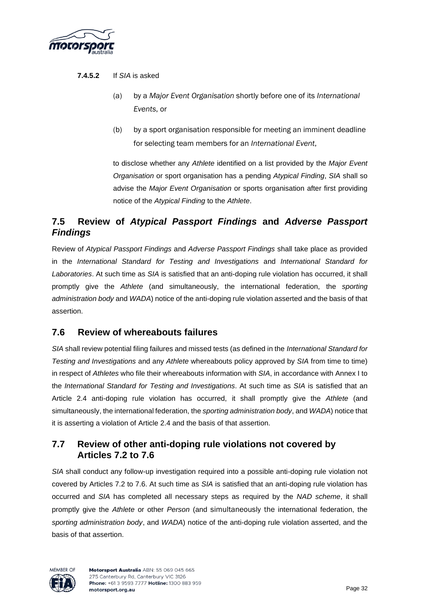

- **7.4.5.2** If *SIA* is asked
	- (a) by a *Major Event Organisation* shortly before one of its *International Events*, or
	- (b) by a sport organisation responsible for meeting an imminent deadline for selecting team members for an *International Event*,

to disclose whether any *Athlete* identified on a list provided by the *Major Event Organisation* or sport organisation has a pending *Atypical Finding*, *SIA* shall so advise the *Major Event Organisation* or sports organisation after first providing notice of the *Atypical Finding* to the *Athlete*.

## <span id="page-31-0"></span>**7.5 Review of** *Atypical Passport Findings* **and** *Adverse Passport Findings*

Review of *Atypical Passport Findings* and *Adverse Passport Findings* shall take place as provided in the *International Standard for Testing and Investigations* and *International Standard for Laboratories*. At such time as *SIA* is satisfied that an anti-doping rule violation has occurred, it shall promptly give the *Athlete* (and simultaneously, the international federation, the *sporting administration body* and *WADA*) notice of the anti-doping rule violation asserted and the basis of that assertion.

## <span id="page-31-1"></span>**7.6 Review of whereabouts failures**

*SIA* shall review potential filing failures and missed tests (as defined in the *International Standard for Testing and Investigations* and any *Athlete* whereabouts policy approved by *SIA* from time to time) in respect of *Athletes* who file their whereabouts information with *SIA*, in accordance with Annex I to the *International Standard for Testing and Investigations*. At such time as *SIA* is satisfied that an Article 2.4 anti-doping rule violation has occurred, it shall promptly give the *Athlete* (and simultaneously, the international federation, the *sporting administration body*, and *WADA*) notice that it is asserting a violation of Article 2.4 and the basis of that assertion.

## <span id="page-31-2"></span>**7.7 Review of other anti-doping rule violations not covered by Articles 7.2 to 7.6**

*SIA* shall conduct any follow-up investigation required into a possible anti-doping rule violation not covered by Articles 7.2 to 7.6. At such time as *SIA* is satisfied that an anti-doping rule violation has occurred and *SIA* has completed all necessary steps as required by the *NAD scheme*, it shall promptly give the *Athlete* or other *Person* (and simultaneously the international federation, the *sporting administration body*, and *WADA*) notice of the anti-doping rule violation asserted, and the basis of that assertion.

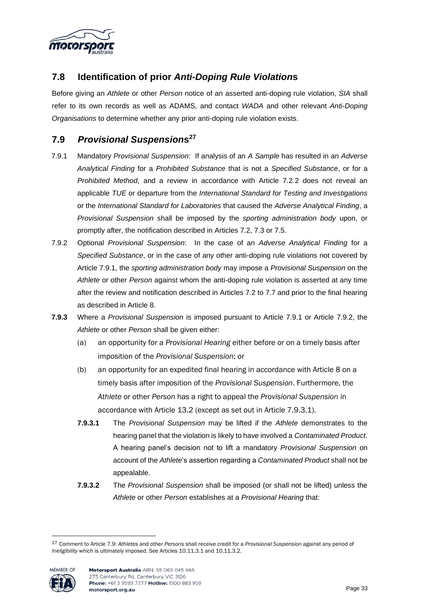

## <span id="page-32-0"></span>**7.8 Identification of prior** *Anti-Doping Rule Violation***s**

Before giving an *Athlete* or other *Person* notice of an asserted anti-doping rule violation, *SIA* shall refer to its own records as well as ADAMS, and contact *WADA* and other relevant *Anti-Doping Organisations* to determine whether any prior anti-doping rule violation exists.

## <span id="page-32-1"></span>**7.9** *Provisional Suspension***s 27**

- <span id="page-32-2"></span>7.9.1 Mandatory *Provisional Suspension*: If analysis of an *A Sample* has resulted in an *Adverse Analytical Finding* for a *Prohibited Substance* that is not a *Specified Substance*, or for a *Prohibited Method*, and a review in accordance with Article 7.2.2 does not reveal an applicable *TUE* or departure from the *International Standard for Testing and Investigations* or the *International Standard for Laboratories* that caused the *Adverse Analytical Finding*, a *Provisional Suspension* shall be imposed by the *sporting administration body* upon, or promptly after, the notification described in Articles 7.2, 7.3 or 7.5.
- <span id="page-32-3"></span>7.9.2 Optional *Provisional Suspension*: In the case of an *Adverse Analytical Finding* for a *Specified Substance*, or in the case of any other anti-doping rule violations not covered by Article 7.9.1, the *sporting administration body* may impose a *Provisional Suspension* on the *Athlete* or other *Person* against whom the anti-doping rule violation is asserted at any time after the review and notification described in Articles 7.2 to 7.7 and prior to the final hearing as described in Article 8.
- **7.9.3** Where a *Provisional Suspension* is imposed pursuant to Article 7.9.1 or Article 7.9.2, the *Athlete* or other *Person* shall be given either:
	- (a) an opportunity for a *Provisional Hearing* either before or on a timely basis after imposition of the *Provisional Suspension*; or
	- (b) an opportunity for an expedited final hearing in accordance with Article 8 on a timely basis after imposition of the *Provisional Suspension*. Furthermore, the *Athlete* or other *Person* has a right to appeal the *Provisional Suspension* in accordance with Article 13.2 (except as set out in Article 7.9.3.1).
	- **7.9.3.1** The *Provisional Suspension* may be lifted if the *Athlete* demonstrates to the hearing panel that the violation is likely to have involved a *Contaminated Product*. A hearing panel's decision not to lift a mandatory *Provisional Suspension* on account of the *Athlete*'s assertion regarding a *Contaminated Product* shall not be appealable.
	- **7.9.3.2** The *Provisional Suspension* shall be imposed (or shall not be lifted) unless the *Athlete* or other *Person* establishes at a *Provisional Hearing* that:

<sup>27</sup> Comment to Article 7.9: *Athletes* and other *Persons* shall receive credit for a *Provisional Suspension* against any period of *Ineligibility* which is ultimately imposed. See Articles 10.11.3.1 and 10.11.3.2.

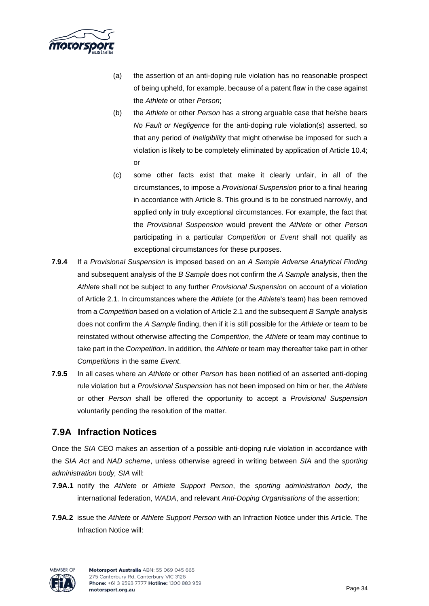

- (a) the assertion of an anti-doping rule violation has no reasonable prospect of being upheld, for example, because of a patent flaw in the case against the *Athlete* or other *Person*;
- (b) the *Athlete* or other *Person* has a strong arguable case that he/she bears *No Fault or Negligence* for the anti-doping rule violation(s) asserted, so that any period of *Ineligibility* that might otherwise be imposed for such a violation is likely to be completely eliminated by application of Article 10.4; or
- (c) some other facts exist that make it clearly unfair, in all of the circumstances, to impose a *Provisional Suspension* prior to a final hearing in accordance with Article 8. This ground is to be construed narrowly, and applied only in truly exceptional circumstances. For example, the fact that the *Provisional Suspension* would prevent the *Athlete* or other *Person* participating in a particular *Competition* or *Event* shall not qualify as exceptional circumstances for these purposes.
- **7.9.4** If a *Provisional Suspension* is imposed based on an *A Sample Adverse Analytical Finding* and subsequent analysis of the *B Sample* does not confirm the *A Sample* analysis, then the *Athlete* shall not be subject to any further *Provisional Suspension* on account of a violation of Article 2.1. In circumstances where the *Athlete* (or the *Athlete*'s team) has been removed from a *Competition* based on a violation of Article 2.1 and the subsequent *B Sample* analysis does not confirm the *A Sample* finding, then if it is still possible for the *Athlete* or team to be reinstated without otherwise affecting the *Competition*, the *Athlete* or team may continue to take part in the *Competition*. In addition, the *Athlete* or team may thereafter take part in other *Competitions* in the same *Event*.
- **7.9.5** In all cases where an *Athlete* or other *Person* has been notified of an asserted anti-doping rule violation but a *Provisional Suspension* has not been imposed on him or her, the *Athlete* or other *Person* shall be offered the opportunity to accept a *Provisional Suspension* voluntarily pending the resolution of the matter.

## <span id="page-33-0"></span>**7.9A Infraction Notices**

Once the *SIA* CEO makes an assertion of a possible anti-doping rule violation in accordance with the *SIA Act* and *NAD scheme*, unless otherwise agreed in writing between *SIA* and the *sporting administration body, SIA* will:

- **7.9A.1** notify the *Athlete* or *Athlete Support Person*, the *sporting administration body*, the international federation, *WADA*, and relevant *Anti-Doping Organisations* of the assertion;
- **7.9A.2** issue the *Athlete* or *Athlete Support Person* with an Infraction Notice under this Article. The Infraction Notice will:

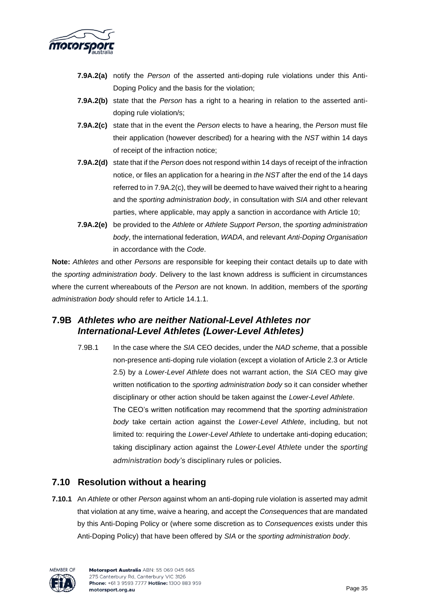

- **7.9A.2(a)** notify the *Person* of the asserted anti-doping rule violations under this Anti-Doping Policy and the basis for the violation;
- **7.9A.2(b)** state that the *Person* has a right to a hearing in relation to the asserted antidoping rule violation/s;
- **7.9A.2(c)** state that in the event the *Person* elects to have a hearing, the *Person* must file their application (however described) for a hearing with the *NST* within 14 days of receipt of the infraction notice;
- **7.9A.2(d)** state that if the *Person* does not respond within 14 days of receipt of the infraction notice, or files an application for a hearing in *the NST* after the end of the 14 days referred to in 7.9A.2(c), they will be deemed to have waived their right to a hearing and the *sporting administration body*, in consultation with *SIA* and other relevant parties, where applicable, may apply a sanction in accordance with Article 10;
- **7.9A.2(e)** be provided to the *Athlete* or *Athlete Support Person*, the *sporting administration body*, the international federation, *WADA*, and relevant *Anti-Doping Organisation* in accordance with the *Code*.

**Note:** *Athletes* and other *Persons* are responsible for keeping their contact details up to date with the *sporting administration body*. Delivery to the last known address is sufficient in circumstances where the current whereabouts of the *Person* are not known. In addition, members of the *sporting administration body* should refer to Article 14.1.1.

## <span id="page-34-0"></span>**7.9B** *Athletes who are neither National-Level Athletes nor International-Level Athletes (Lower-Level Athletes)*

7.9B.1 In the case where the *SIA* CEO decides, under the *NAD scheme*, that a possible non-presence anti-doping rule violation (except a violation of Article 2.3 or Article 2.5) by a *Lower-Level Athlete* does not warrant action, the *SIA* CEO may give written notification to the *sporting administration body* so it can consider whether disciplinary or other action should be taken against the *Lower-Level Athlete*. The CEO's written notification may recommend that the *sporting administration body* take certain action against the *Lower-Level Athlete*, including, but not limited to: requiring the *Lower-Level Athlete* to undertake anti-doping education; taking disciplinary action against the *Lower-Level Athlete* under the *sporting administration body's* disciplinary rules or policies.

## <span id="page-34-1"></span>**7.10 Resolution without a hearing**

**7.10.1** An *Athlete* or other *Person* against whom an anti-doping rule violation is asserted may admit that violation at any time, waive a hearing, and accept the *Consequences* that are mandated by this Anti-Doping Policy or (where some discretion as to *Consequences* exists under this Anti-Doping Policy) that have been offered by *SIA* or the *sporting administration body*.

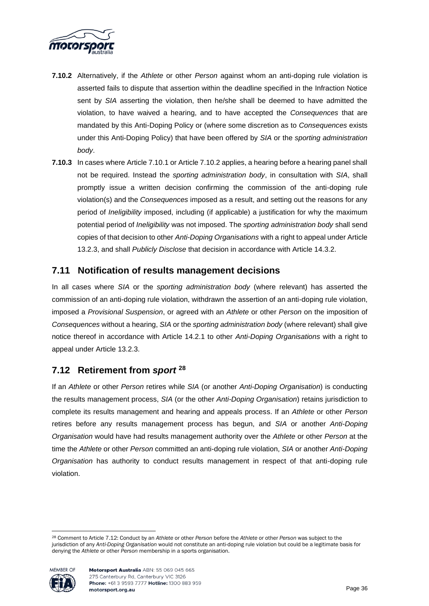

- **7.10.2** Alternatively, if the *Athlete* or other *Person* against whom an anti-doping rule violation is asserted fails to dispute that assertion within the deadline specified in the Infraction Notice sent by *SIA* asserting the violation, then he/she shall be deemed to have admitted the violation, to have waived a hearing, and to have accepted the *Consequences* that are mandated by this Anti-Doping Policy or (where some discretion as to *Consequences* exists under this Anti-Doping Policy) that have been offered by *SIA* or the *sporting administration body*.
- **7.10.3** In cases where Article 7.10.1 or Article 7.10.2 applies, a hearing before a hearing panel shall not be required. Instead the *sporting administration body*, in consultation with *SIA*, shall promptly issue a written decision confirming the commission of the anti-doping rule violation(s) and the *Consequences* imposed as a result, and setting out the reasons for any period of *Ineligibility* imposed, including (if applicable) a justification for why the maximum potential period of *Ineligibility* was not imposed. The *sporting administration body* shall send copies of that decision to other *Anti-Doping Organisations* with a right to appeal under Article 13.2.3, and shall *Publicly Disclose* that decision in accordance with Article 14.3.2.

## <span id="page-35-0"></span>**7.11 Notification of results management decisions**

In all cases where *SIA* or the *sporting administration body* (where relevant) has asserted the commission of an anti-doping rule violation, withdrawn the assertion of an anti-doping rule violation, imposed a *Provisional Suspension*, or agreed with an *Athlete* or other *Person* on the imposition of *Consequences* without a hearing, *SIA* or the *sporting administration body* (where relevant) shall give notice thereof in accordance with Article 14.2.1 to other *Anti-Doping Organisations* with a right to appeal under Article 13.2.3.

#### <span id="page-35-1"></span>**7.12 Retirement from** *sport* **<sup>28</sup>**

If an *Athlete* or other *Person* retires while *SIA* (or another *Anti-Doping Organisation*) is conducting the results management process, *SIA* (or the other *Anti-Doping Organisation*) retains jurisdiction to complete its results management and hearing and appeals process. If an *Athlete* or other *Person* retires before any results management process has begun, and *SIA* or another *Anti-Doping Organisation* would have had results management authority over the *Athlete* or other *Person* at the time the *Athlete* or other *Person* committed an anti-doping rule violation, *SIA* or another *Anti-Doping Organisation* has authority to conduct results management in respect of that anti-doping rule violation.

<sup>28</sup> Comment to Article 7.12: Conduct by an *Athlete* or other *Person* before the *Athlete* or other *Person* was subject to the jurisdiction of any *Anti-Doping Organisation* would not constitute an anti-doping rule violation but could be a legitimate basis for denying the *Athlete* or other *Person* membership in a sports organisation.

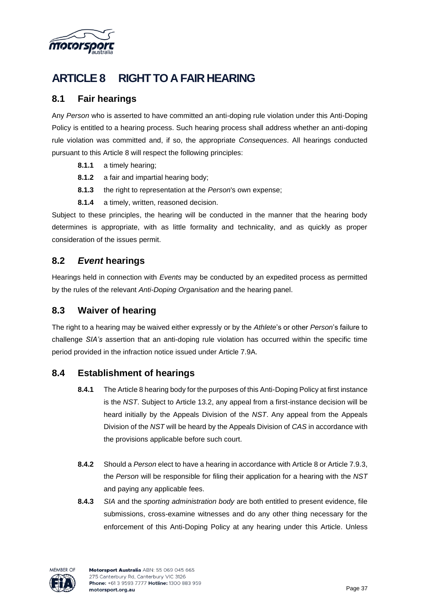

# **ARTICLE 8 RIGHT TO A FAIR HEARING**

### **8.1 Fair hearings**

Any *Person* who is asserted to have committed an anti-doping rule violation under this Anti-Doping Policy is entitled to a hearing process. Such hearing process shall address whether an anti-doping rule violation was committed and, if so, the appropriate *Consequences*. All hearings conducted pursuant to this Article 8 will respect the following principles:

- **8.1.1** a timely hearing;
- **8.1.2** a fair and impartial hearing body;
- **8.1.3** the right to representation at the *Person*'s own expense;
- **8.1.4** a timely, written, reasoned decision.

Subject to these principles, the hearing will be conducted in the manner that the hearing body determines is appropriate, with as little formality and technicality, and as quickly as proper consideration of the issues permit.

#### **8.2** *Event* **hearings**

Hearings held in connection with *Events* may be conducted by an expedited process as permitted by the rules of the relevant *Anti-Doping Organisation* and the hearing panel.

#### **8.3 Waiver of hearing**

The right to a hearing may be waived either expressly or by the *Athlete*'s or other *Person*'s failure to challenge *SIA's* assertion that an anti-doping rule violation has occurred within the specific time period provided in the infraction notice issued under Article 7.9A.

### **8.4 Establishment of hearings**

- **8.4.1** The Article 8 hearing body for the purposes of this Anti-Doping Policy at first instance is the *NST*. Subject to Article 13.2, any appeal from a first-instance decision will be heard initially by the Appeals Division of the *NST*. Any appeal from the Appeals Division of the *NST* will be heard by the Appeals Division of *CAS* in accordance with the provisions applicable before such court.
- **8.4.2** Should a *Person* elect to have a hearing in accordance with Article 8 or Article 7.9.3, the *Person* will be responsible for filing their application for a hearing with the *NST*  and paying any applicable fees.
- **8.4.3** *SIA* and the *sporting administration body* are both entitled to present evidence, file submissions, cross-examine witnesses and do any other thing necessary for the enforcement of this Anti-Doping Policy at any hearing under this Article. Unless

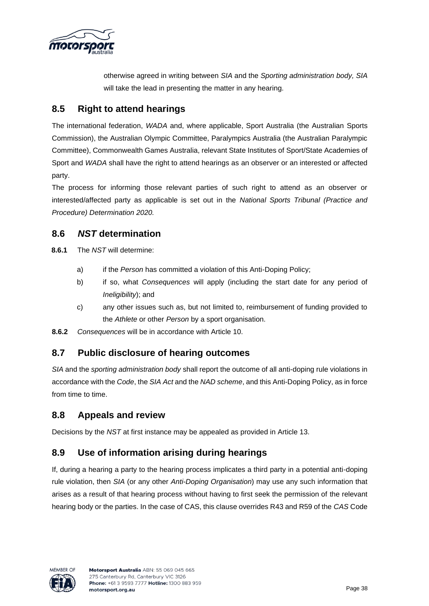

otherwise agreed in writing between *SIA* and the *Sporting administration body, SIA* will take the lead in presenting the matter in any hearing.

### **8.5 Right to attend hearings**

The international federation, *WADA* and, where applicable, Sport Australia (the Australian Sports Commission), the Australian Olympic Committee, Paralympics Australia (the Australian Paralympic Committee), Commonwealth Games Australia, relevant State Institutes of Sport/State Academies of Sport and *WADA* shall have the right to attend hearings as an observer or an interested or affected party.

The process for informing those relevant parties of such right to attend as an observer or interested/affected party as applicable is set out in the *National Sports Tribunal (Practice and Procedure) Determination 2020.* 

### **8.6** *NST* **determination**

**8.6.1** The *NST* will determine:

- a) if the *Person* has committed a violation of this Anti-Doping Policy;
- b) if so, what *Consequences* will apply (including the start date for any period of *Ineligibility*); and
- c) any other issues such as, but not limited to, reimbursement of funding provided to the *Athlete* or other *Person* by a sport organisation.
- **8.6.2** *Consequences* will be in accordance with Article 10.

### **8.7 Public disclosure of hearing outcomes**

*SIA* and the *sporting administration body* shall report the outcome of all anti-doping rule violations in accordance with the *Code*, the *SIA Act* and the *NAD scheme*, and this Anti-Doping Policy, as in force from time to time.

### **8.8 Appeals and review**

Decisions by the *NST* at first instance may be appealed as provided in Article 13.

### **8.9 Use of information arising during hearings**

If, during a hearing a party to the hearing process implicates a third party in a potential anti-doping rule violation, then *SIA* (or any other *Anti-Doping Organisation*) may use any such information that arises as a result of that hearing process without having to first seek the permission of the relevant hearing body or the parties. In the case of CAS, this clause overrides R43 and R59 of the *CAS* Code

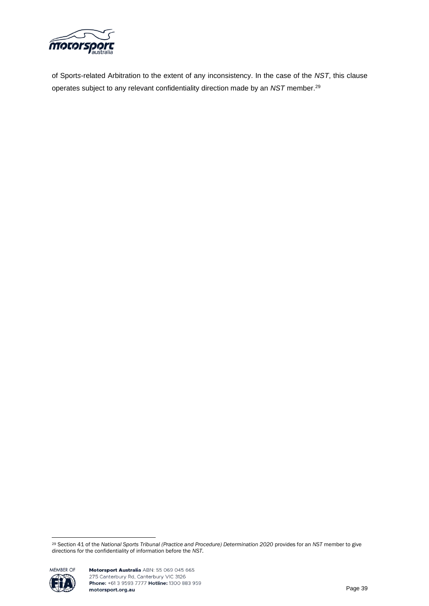

of Sport*s*-related Arbitration to the extent of any inconsistency. In the case of the *NST*, this clause operates subject to any relevant confidentiality direction made by an *NST* member.<sup>29</sup>

<sup>29</sup> Section 41 of the *National Sports Tribunal (Practice and Procedure) Determination 2020* provides for an *NST* member to give directions for the confidentiality of information before the *NST*.

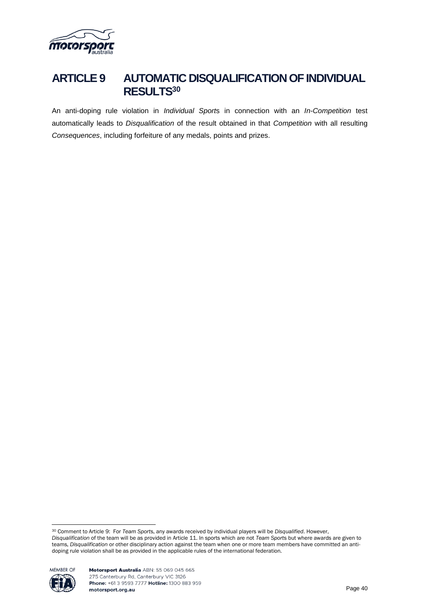

### **ARTICLE 9 AUTOMATIC DISQUALIFICATION OF INDIVIDUAL RESULTS<sup>30</sup>**

An anti-doping rule violation in *Individual Sport*s in connection with an *In-Competition* test automatically leads to *Disqualification* of the result obtained in that *Competition* with all resulting *Consequences*, including forfeiture of any medals, points and prizes.

<sup>30</sup> Comment to Article 9: For *Team Sport*s, any awards received by individual players will be *Disqualified*. However, *Disqualification* of the team will be as provided in Article 11. In sports which are not *Team Sport*s but where awards are given to teams, *Disqualification* or other disciplinary action against the team when one or more team members have committed an antidoping rule violation shall be as provided in the applicable rules of the international federation.

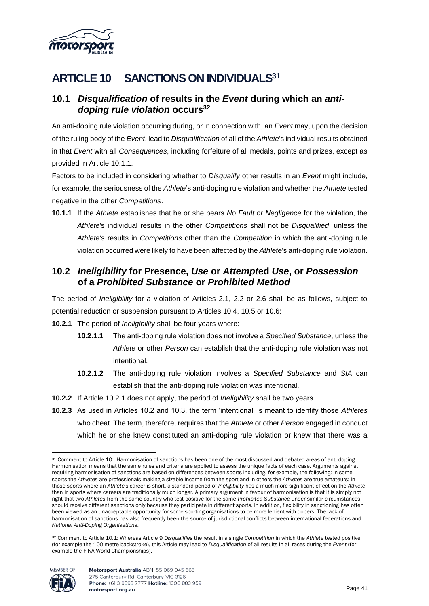

## **ARTICLE 10 SANCTIONS ON INDIVIDUALS<sup>31</sup>**

### **10.1** *Disqualification* **of results in the** *Event* **during which an** *antidoping rule violation* **occurs<sup>32</sup>**

An anti-doping rule violation occurring during, or in connection with, an *Event* may, upon the decision of the ruling body of the *Event*, lead to *Disqualification* of all of the *Athlete*'s individual results obtained in that *Event* with all *Consequences*, including forfeiture of all medals, points and prizes, except as provided in Article 10.1.1.

Factors to be included in considering whether to *Disqualify* other results in an *Event* might include, for example, the seriousness of the *Athlete*'s anti-doping rule violation and whether the *Athlete* tested negative in the other *Competitions*.

**10.1.1** If the *Athlete* establishes that he or she bears *No Fault or Negligence* for the violation, the *Athlete*'s individual results in the other *Competitions* shall not be *Disqualified*, unless the *Athlete*'s results in *Competitions* other than the *Competition* in which the anti-doping rule violation occurred were likely to have been affected by the *Athlete*'s anti-doping rule violation.

### **10.2** *Ineligibility* **for Presence,** *Use* **or** *Attempt***ed** *Use***, or** *Possession* **of a** *Prohibited Substance* **or** *Prohibited Method*

The period of *Ineligibility* for a violation of Articles 2.1, 2.2 or 2.6 shall be as follows, subject to potential reduction or suspension pursuant to Articles 10.4, 10.5 or 10.6:

**10.2.1** The period of *Ineligibility* shall be four years where:

- **10.2.1.1** The anti-doping rule violation does not involve a *Specified Substance*, unless the *Athlete* or other *Person* can establish that the anti-doping rule violation was not intentional.
- **10.2.1.2** The anti-doping rule violation involves a *Specified Substance* and *SIA* can establish that the anti-doping rule violation was intentional.
- **10.2.2** If Article 10.2.1 does not apply, the period of *Ineligibility* shall be two years.
- **10.2.3** As used in Articles 10.2 and 10.3, the term 'intentional' is meant to identify those *Athletes* who cheat. The term, therefore, requires that the *Athlete* or other *Person* engaged in conduct which he or she knew constituted an anti-doping rule violation or knew that there was a

<sup>32</sup> Comment to Article 10.1: Whereas Article 9 *Disqualifies* the result in a single *Competition* in which the *Athlete* tested positive (for example the 100 metre backstroke), this Article may lead to *Disqualification* of all results in all races during the *Event* (for example the FINA World Championships).



<sup>31</sup> Comment to Article 10: Harmonisation of sanctions has been one of the most discussed and debated areas of anti-doping. Harmonisation means that the same rules and criteria are applied to assess the unique facts of each case. Arguments against requiring harmonisation of sanctions are based on differences between sports including, for example, the following: in some sports the *Athletes* are professionals making a sizable income from the sport and in others the *Athletes* are true amateurs; in those sports where an *Athlete*'s career is short, a standard period of *Ineligibility* has a much more significant effect on the *Athlete* than in sports where careers are traditionally much longer. A primary argument in favour of harmonisation is that it is simply not right that two *Athletes* from the same country who test positive for the same *Prohibited Substance* under similar circumstances should receive different sanctions only because they participate in different sports. In addition, flexibility in sanctioning has often been viewed as an unacceptable opportunity for some sporting organisations to be more lenient with dopers. The lack of harmonisation of sanctions has also frequently been the source of jurisdictional conflicts between international federations and *National Anti-Doping Organisations*.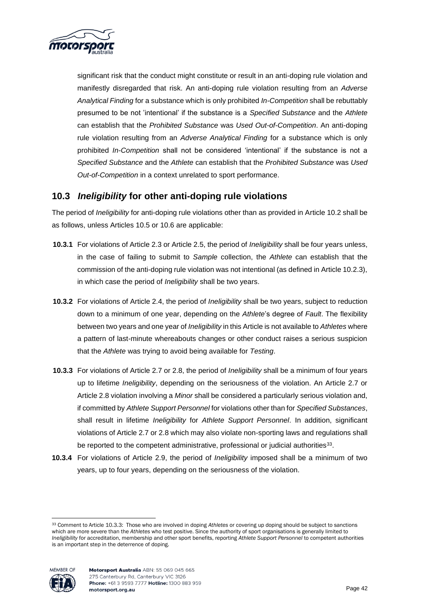

significant risk that the conduct might constitute or result in an anti-doping rule violation and manifestly disregarded that risk. An anti-doping rule violation resulting from an *Adverse Analytical Finding* for a substance which is only prohibited *In-Competition* shall be rebuttably presumed to be not 'intentional' if the substance is a *Specified Substance* and the *Athlete* can establish that the *Prohibited Substance* was *Used Out-of-Competition*. An anti-doping rule violation resulting from an *Adverse Analytical Finding* for a substance which is only prohibited *In-Competition* shall not be considered 'intentional' if the substance is not a *Specified Substance* and the *Athlete* can establish that the *Prohibited Substance* was *Used Out-of-Competition* in a context unrelated to sport performance.

### **10.3** *Ineligibility* **for other anti-doping rule violation***s*

The period of *Ineligibility* for anti-doping rule violations other than as provided in Article 10.2 shall be as follows, unless Articles 10.5 or 10.6 are applicable:

- **10.3.1** For violations of Article 2.3 or Article 2.5, the period of *Ineligibility* shall be four years unless, in the case of failing to submit to *Sample* collection, the *Athlete* can establish that the commission of the anti-doping rule violation was not intentional (as defined in Article 10.2.3), in which case the period of *Ineligibility* shall be two years.
- **10.3.2** For violations of Article 2.4, the period of *Ineligibility* shall be two years, subject to reduction down to a minimum of one year, depending on the *Athlete*'s degree of *Fault*. The flexibility between two years and one year of *Ineligibility* in this Article is not available to *Athletes* where a pattern of last-minute whereabouts changes or other conduct raises a serious suspicion that the *Athlete* was trying to avoid being available for *Testing*.
- **10.3.3** For violations of Article 2.7 or 2.8, the period of *Ineligibility* shall be a minimum of four years up to lifetime *Ineligibility*, depending on the seriousness of the violation. An Article 2.7 or Article 2.8 violation involving a *Minor* shall be considered a particularly serious violation and, if committed by *Athlete Support Personnel* for violations other than for *Specified Substances*, shall result in lifetime *Ineligibility* for *Athlete Support Personnel*. In addition, significant violations of Article 2.7 or 2.8 which may also violate non-sporting laws and regulations shall be reported to the competent administrative, professional or judicial authorities<sup>33</sup>.
- **10.3.4** For violations of Article 2.9, the period of *Ineligibility* imposed shall be a minimum of two years, up to four years, depending on the seriousness of the violation.

<sup>33</sup> Comment to Article 10.3.3: Those who are involved in doping *Athletes* or covering up doping should be subject to sanctions which are more severe than the *Athletes* who test positive. Since the authority of sport organisations is generally limited to *Ineligibility* for accreditation, membership and other sport benefits, reporting *Athlete Support Personnel* to competent authorities is an important step in the deterrence of doping.

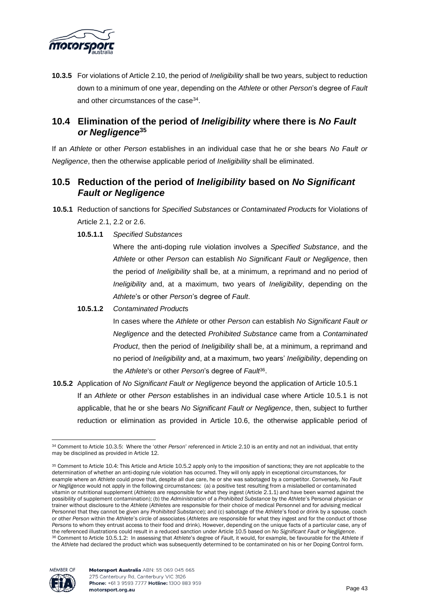

**10.3.5** For violations of Article 2.10, the period of *Ineligibility* shall be two years, subject to reduction down to a minimum of one year, depending on the *Athlete* or other *Person*'s degree of *Fault* and other circumstances of the case<sup>34</sup>.

### **10.4 Elimination of the period of** *Ineligibility* **where there is** *No Fault or Negligence***<sup>35</sup>**

If an *Athlete* or other *Person* establishes in an individual case that he or she bears *No Fault or Negligence*, then the otherwise applicable period of *Ineligibility* shall be eliminated.

### **10.5 Reduction of the period of** *Ineligibility* **based on** *No Significant Fault or Negligence*

- **10.5.1** Reduction of sanctions for *Specified Substances* or *Contaminated Product*s for Violations of Article 2.1, 2.2 or 2.6.
	- **10.5.1.1** *Specified Substances*

Where the anti-doping rule violation involves a *Specified Substance*, and the *Athlete* or other *Person* can establish *No Significant Fault or Negligence*, then the period of *Ineligibility* shall be, at a minimum, a reprimand and no period of *Ineligibility* and, at a maximum, two years of *Ineligibility*, depending on the *Athlete*'s or other *Person*'s degree of *Fault*.

**10.5.1.2** *Contaminated Product*s

In cases where the *Athlete* or other *Person* can establish *No Significant Fault or Negligence* and the detected *Prohibited Substance* came from a *Contaminated Product*, then the period of *Ineligibility* shall be, at a minimum, a reprimand and no period of *Ineligibility* and, at a maximum, two years' *Ineligibility*, depending on the *Athlete*'s or other *Person*'s degree of *Fault*<sup>36</sup> .

**10.5.2** Application of *No Significant Fault or Negligence* beyond the application of Article 10.5.1 If an *Athlete* or other *Person* establishes in an individual case where Article 10.5.1 is not applicable, that he or she bears *No Significant Fault or Negligence*, then, subject to further reduction or elimination as provided in Article 10.6, the otherwise applicable period of

<sup>35</sup> Comment to Article 10.4: This Article and Article 10.5.2 apply only to the imposition of sanctions; they are not applicable to the determination of whether an anti-doping rule violation has occurred. They will only apply in exceptional circumstances, for example where an *Athlete* could prove that, despite all due care, he or she was sabotaged by a competitor. Conversely, *No Fault or Negligence* would not apply in the following circumstances: (a) a positive test resulting from a mislabelled or contaminated vitamin or nutritional supplement (*Athletes* are responsible for what they ingest (Article 2.1.1) and have been warned against the possibility of supplement contamination); (b) the *Administration* of a *Prohibited Substance* by the *Athlete*'s Personal physician or trainer without disclosure to the *Athlete* (*Athletes* are responsible for their choice of medical Personnel and for advising medical Personnel that they cannot be given any *Prohibited Substance*); and (c) sabotage of the *Athlete*'s food or drink by a spouse, coach or other *Person* within the *Athlete*'s circle of associates (*Athletes* are responsible for what they ingest and for the conduct of those *Persons* to whom they entrust access to their food and drink). However, depending on the unique facts of a particular case, any of the referenced illustrations could result in a reduced sanction under Article 10.5 based on *No Significant Fault or Negligence*. <sup>36</sup> Comment to Article 10.5.1.2: In assessing that *Athlete*'s degree of *Fault*, it would, for example, be favourable for the *Athlete* if the *Athlete* had declared the product which was subsequently determined to be contaminated on his or her Doping Control form.



<sup>34</sup> Comment to Article 10.3.5: Where the 'other *Person*' referenced in Article 2.10 is an entity and not an individual, that entity may be disciplined as provided in Article 12.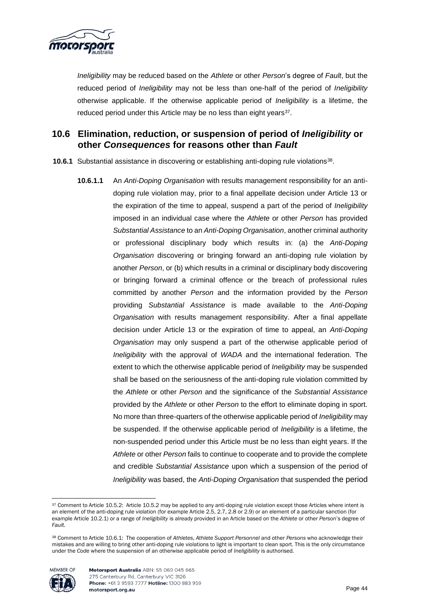

*Ineligibility* may be reduced based on the *Athlete* or other *Person*'s degree of *Fault*, but the reduced period of *Ineligibility* may not be less than one-half of the period of *Ineligibility* otherwise applicable. If the otherwise applicable period of *Ineligibility* is a lifetime, the reduced period under this Article may be no less than eight years<sup>37</sup>.

### **10.6 Elimination, reduction, or suspension of period of** *Ineligibility* **or other** *Consequences* **for reasons other than** *Fault*

- **10.6.1** Substantial assistance in discovering or establishing anti-doping rule violations<sup>38</sup>.
	- **10.6.1.1** An *Anti-Doping Organisation* with results management responsibility for an antidoping rule violation may, prior to a final appellate decision under Article 13 or the expiration of the time to appeal, suspend a part of the period of *Ineligibility* imposed in an individual case where the *Athlete* or other *Person* has provided *Substantial Assistance* to an *Anti-Doping Organisation*, another criminal authority or professional disciplinary body which results in: (a) the *Anti-Doping Organisation* discovering or bringing forward an anti-doping rule violation by another *Person*, or (b) which results in a criminal or disciplinary body discovering or bringing forward a criminal offence or the breach of professional rules committed by another *Person* and the information provided by the *Person* providing *Substantial Assistance* is made available to the *Anti-Doping Organisation* with results management responsibility. After a final appellate decision under Article 13 or the expiration of time to appeal, an *Anti-Doping Organisation* may only suspend a part of the otherwise applicable period of *Ineligibility* with the approval of *WADA* and the international federation. The extent to which the otherwise applicable period of *Ineligibility* may be suspended shall be based on the seriousness of the anti-doping rule violation committed by the *Athlete* or other *Person* and the significance of the *Substantial Assistance* provided by the *Athlete* or other *Person* to the effort to eliminate doping in sport. No more than three-quarters of the otherwise applicable period of *Ineligibility* may be suspended. If the otherwise applicable period of *Ineligibility* is a lifetime, the non-suspended period under this Article must be no less than eight years. If the *Athlete* or other *Person* fails to continue to cooperate and to provide the complete and credible *Substantial Assistance* upon which a suspension of the period of *Ineligibility* was based, the *Anti-Doping Organisation* that suspended the period

<sup>38</sup> Comment to Article 10.6.1: The cooperation of *Athletes*, *Athlete Support Personnel* and other *Persons* who acknowledge their mistakes and are willing to bring other anti-doping rule violations to light is important to clean sport. This is the only circumstance under the *Code* where the suspension of an otherwise applicable period of *Ineligibility* is authorised.



<sup>37</sup> Comment to Article 10.5.2: Article 10.5.2 may be applied to any anti-doping rule violation except those Articles where intent is an element of the anti-doping rule violation (for example Article 2.5, 2.7, 2.8 or 2.9) or an element of a particular sanction (for example Article 10.2.1) or a range of *Ineligibility* is already provided in an Article based on the *Athlete* or other *Person*'s degree of *Fault*.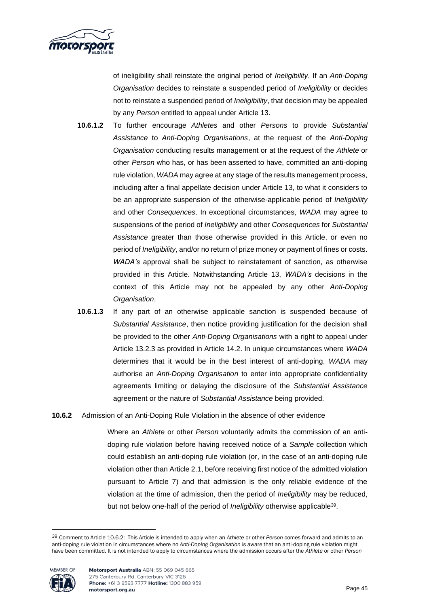

of ineligibility shall reinstate the original period of *Ineligibility*. If an *Anti-Doping Organisation* decides to reinstate a suspended period of *Ineligibility* or decides not to reinstate a suspended period of *Ineligibility*, that decision may be appealed by any *Person* entitled to appeal under Article 13.

- **10.6.1.2** To further encourage *Athletes* and other *Persons* to provide *Substantial Assistance* to *Anti-Doping Organisations*, at the request of the *Anti-Doping Organisation* conducting results management or at the request of the *Athlete* or other *Person* who has, or has been asserted to have, committed an anti-doping rule violation, *WADA* may agree at any stage of the results management process, including after a final appellate decision under Article 13, to what it considers to be an appropriate suspension of the otherwise-applicable period of *Ineligibility* and other *Consequences*. In exceptional circumstances, *WADA* may agree to suspensions of the period of *Ineligibility* and other *Consequences* for *Substantial Assistance* greater than those otherwise provided in this Article, or even no period of *Ineligibility*, and/or no return of prize money or payment of fines or costs. *WADA's* approval shall be subject to reinstatement of sanction, as otherwise provided in this Article. Notwithstanding Article 13, *WADA's* decisions in the context of this Article may not be appealed by any other *Anti-Doping Organisation*.
- **10.6.1.3** If any part of an otherwise applicable sanction is suspended because of *Substantial Assistance*, then notice providing justification for the decision shall be provided to the other *Anti-Doping Organisations* with a right to appeal under Article 13.2.3 as provided in Article 14.2. In unique circumstances where *WADA* determines that it would be in the best interest of anti-doping, *WADA* may authorise an *Anti-Doping Organisation* to enter into appropriate confidentiality agreements limiting or delaying the disclosure of the *Substantial Assistance* agreement or the nature of *Substantial Assistance* being provided.
- **10.6.2** Admission of an Anti-Doping Rule Violation in the absence of other evidence

Where an *Athlete* or other *Person* voluntarily admits the commission of an antidoping rule violation before having received notice of a *Sample* collection which could establish an anti-doping rule violation (or, in the case of an anti-doping rule violation other than Article 2.1, before receiving first notice of the admitted violation pursuant to Article 7) and that admission is the only reliable evidence of the violation at the time of admission, then the period of *Ineligibility* may be reduced, but not below one-half of the period of *Ineligibility* otherwise applicable<sup>39</sup>.

<sup>39</sup> Comment to Article 10.6.2: This Article is intended to apply when an *Athlete* or other *Person* comes forward and admits to an anti-doping rule violation in circumstances where no *Anti-Doping Organisation* is aware that an anti-doping rule violation might have been committed. It is not intended to apply to circumstances where the admission occurs after the *Athlete* or other *Person*

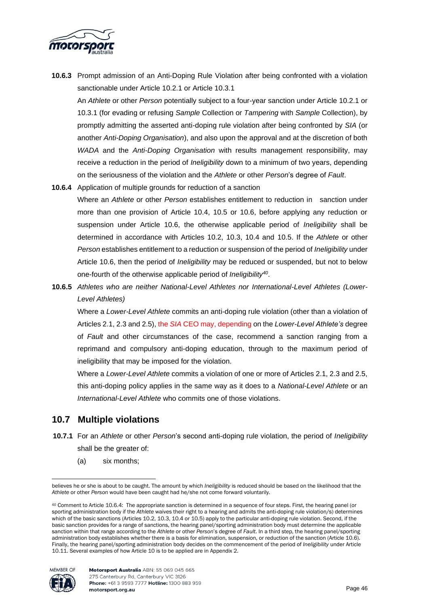

**10.6.3** Prompt admission of an Anti-Doping Rule Violation after being confronted with a violation sanctionable under Article 10.2.1 or Article 10.3.1 An *Athlete* or other *Person* potentially subject to a four-year sanction under Article 10.2.1 or 10.3.1 (for evading or refusing *Sample* Collection or *Tampering* with *Sample* Collection), by promptly admitting the asserted anti-doping rule violation after being confronted by *SIA* (or

another *Anti-Doping Organisation*), and also upon the approval and at the discretion of both *WADA* and the *Anti-Doping Organisation* with results management responsibility, may receive a reduction in the period of *Ineligibility* down to a minimum of two years, depending on the seriousness of the violation and the *Athlete* or other *Person*'s degree of *Fault*.

- **10.6.4** Application of multiple grounds for reduction of a sanction Where an *Athlete* or other *Person* establishes entitlement to reduction in sanction under more than one provision of Article 10.4, 10.5 or 10.6, before applying any reduction or suspension under Article 10.6, the otherwise applicable period of *Ineligibility* shall be determined in accordance with Articles 10.2, 10.3, 10.4 and 10.5. If the *Athlete* or other *Person* establishes entitlement to a reduction or suspension of the period of *Ineligibility* under Article 10.6, then the period of *Ineligibility* may be reduced or suspended, but not to below one-fourth of the otherwise applicable period of *Ineligibility<sup>40</sup>* .
- **10.6.5** *Athletes who are neither National-Level Athletes nor International-Level Athletes (Lower-Level Athletes)*

Where a *Lower-Level Athlete* commits an anti-doping rule violation (other than a violation of Articles 2.1, 2.3 and 2.5), the *SIA* CEO may, depending on the *Lower-Level Athlete's* degree of *Fault* and other circumstances of the case, recommend a sanction ranging from a reprimand and compulsory anti-doping education, through to the maximum period of ineligibility that may be imposed for the violation.

Where a *Lower-Level Athlete* commits a violation of one or more of Articles 2.1, 2.3 and 2.5, this anti-doping policy applies in the same way as it does to a *National-Level Athlete* or an *International-Level Athlete* who commits one of those violations.

### **10.7 Multiple violations**

- **10.7.1** For an *Athlete* or other *Person*'s second anti-doping rule violation, the period of *Ineligibility* shall be the greater of:
	- (a) six months;

<sup>40</sup> Comment to Article 10.6.4: The appropriate sanction is determined in a sequence of four steps. First, the hearing panel (or sporting administration body if the *Athlete* waives their right to a hearing and admits the anti-doping rule violation/s) determines which of the basic sanctions (Articles 10.2, 10.3, 10.4 or 10.5) apply to the particular anti-doping rule violation. Second, if the basic sanction provides for a range of sanctions, the hearing panel/sporting administration body must determine the applicable sanction within that range according to the *Athlete* or other *Person*'s degree of *Fault*. In a third step, the hearing panel/sporting administration body establishes whether there is a basis for elimination, suspension, or reduction of the sanction (Article 10.6). Finally, the hearing panel/sporting administration body decides on the commencement of the period of *Ineligibility* under Article 10.11. Several examples of how Article 10 is to be applied are in Appendix 2.



believes he or she is about to be caught. The amount by which *Ineligibility* is reduced should be based on the likelihood that the *Athlete* or other *Person* would have been caught had he/she not come forward voluntarily.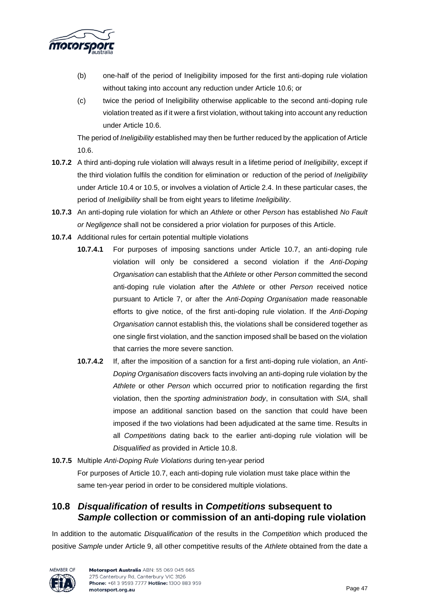

- (b) one-half of the period of Ineligibility imposed for the first anti-doping rule violation without taking into account any reduction under Article 10.6; or
- (c) twice the period of Ineligibility otherwise applicable to the second anti-doping rule violation treated as if it were a first violation, without taking into account any reduction under Article 10.6.

The period of *Ineligibility* established may then be further reduced by the application of Article 10.6.

- **10.7.2** A third anti-doping rule violation will always result in a lifetime period of *Ineligibility*, except if the third violation fulfils the condition for elimination or reduction of the period of *Ineligibility* under Article 10.4 or 10.5, or involves a violation of Article 2.4. In these particular cases, the period of *Ineligibility* shall be from eight years to lifetime *Ineligibility*.
- **10.7.3** An anti-doping rule violation for which an *Athlete* or other *Person* has established *No Fault or Negligence* shall not be considered a prior violation for purposes of this Article.
- **10.7.4** Additional rules for certain potential multiple violations
	- **10.7.4.1** For purposes of imposing sanctions under Article 10.7, an anti-doping rule violation will only be considered a second violation if the *Anti-Doping Organisation* can establish that the *Athlete* or other *Person* committed the second anti-doping rule violation after the *Athlete* or other *Person* received notice pursuant to Article 7, or after the *Anti-Doping Organisation* made reasonable efforts to give notice, of the first anti-doping rule violation. If the *Anti-Doping Organisation* cannot establish this, the violations shall be considered together as one single first violation, and the sanction imposed shall be based on the violation that carries the more severe sanction.
	- **10.7.4.2** If, after the imposition of a sanction for a first anti-doping rule violation, an *Anti-Doping Organisation* discovers facts involving an anti-doping rule violation by the *Athlete* or other *Person* which occurred prior to notification regarding the first violation, then the *sporting administration body*, in consultation with *SIA*, shall impose an additional sanction based on the sanction that could have been imposed if the two violations had been adjudicated at the same time. Results in all *Competitions* dating back to the earlier anti-doping rule violation will be *Disqualified* as provided in Article 10.8.
- **10.7.5** Multiple *Anti-Doping Rule Violations* during ten-year period For purposes of Article 10.7, each anti-doping rule violation must take place within the same ten-year period in order to be considered multiple violations.

### **10.8** *Disqualification* **of results in** *Competitions* **subsequent to**  *Sample* **collection or commission of an anti-doping rule violation**

In addition to the automatic *Disqualification* of the results in the *Competition* which produced the positive *Sample* under Article 9, all other competitive results of the *Athlete* obtained from the date a

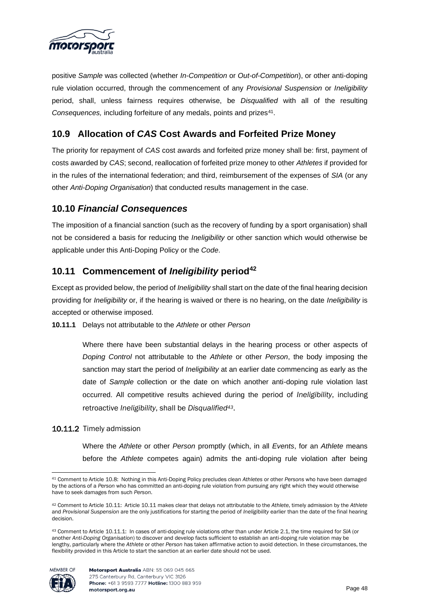

positive *Sample* was collected (whether *In-Competition* or *Out-of-Competition*), or other anti-doping rule violation occurred, through the commencement of any *Provisional Suspension* or *Ineligibility* period, shall, unless fairness requires otherwise, be *Disqualified* with all of the resulting Consequences, including forfeiture of any medals, points and prizes<sup>41</sup>.

### **10.9 Allocation of** *CAS* **Cost Awards and Forfeited Prize Money**

The priority for repayment of *CAS* cost awards and forfeited prize money shall be: first, payment of costs awarded by *CAS*; second, reallocation of forfeited prize money to other *Athletes* if provided for in the rules of the international federation; and third, reimbursement of the expenses of *SIA* (or any other *Anti-Doping Organisation*) that conducted results management in the case.

### **10.10** *Financial Consequences*

The imposition of a financial sanction (such as the recovery of funding by a sport organisation) shall not be considered a basis for reducing the *Ineligibility* or other sanction which would otherwise be applicable under this Anti-Doping Policy or the *Code*.

### **10.11 Commencement of** *Ineligibility* **period<sup>42</sup>**

Except as provided below, the period of *Ineligibility* shall start on the date of the final hearing decision providing for *Ineligibility* or, if the hearing is waived or there is no hearing, on the date *Ineligibility* is accepted or otherwise imposed.

**10.11.1** Delays not attributable to the *Athlete* or other *Person*

Where there have been substantial delays in the hearing process or other aspects of *Doping Control* not attributable to the *Athlete* or other *Person*, the body imposing the sanction may start the period of *Ineligibility* at an earlier date commencing as early as the date of *Sample* collection or the date on which another anti-doping rule violation last occurred. All competitive results achieved during the period of *Ineligibility*, including retroactive *Ineligibility*, shall be *Disqualified43*.

#### 10.11.2 Timely admission

Where the *Athlete* or other *Person* promptly (which, in all *Events*, for an *Athlete* means before the *Athlete* competes again) admits the anti-doping rule violation after being

<sup>43</sup> Comment to Article 10.11.1: In cases of anti-doping rule violations other than under Article 2.1, the time required for *SIA* (or another *Anti-Doping Organisation*) to discover and develop facts sufficient to establish an anti-doping rule violation may be lengthy, particularly where the *Athlete* or other *Person* has taken affirmative action to avoid detection. In these circumstances, the flexibility provided in this Article to start the sanction at an earlier date should not be used.



<sup>41</sup> Comment to Article 10.8: Nothing in this Anti-Doping Policy precludes clean *Athletes* or other *Persons* who have been damaged by the actions of a *Person* who has committed an anti-doping rule violation from pursuing any right which they would otherwise have to seek damages from such *Person*.

<sup>42</sup> Comment to Article 10.11: Article 10.11 makes clear that delays not attributable to the *Athlete*, timely admission by the *Athlete* and *Provisional Suspension* are the only justifications for starting the period of *Ineligibility* earlier than the date of the final hearing decision.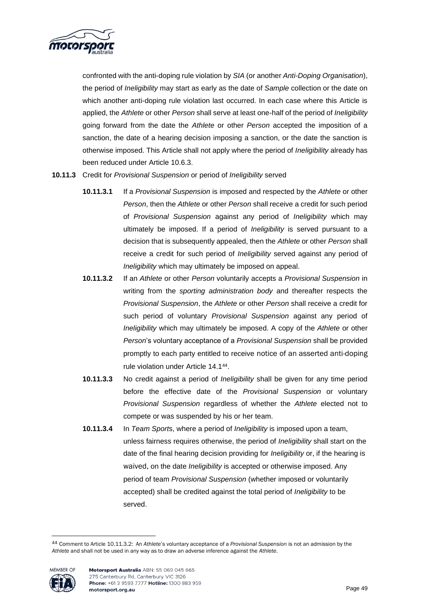

confronted with the anti-doping rule violation by *SIA* (or another *Anti-Doping Organisation*), the period of *Ineligibility* may start as early as the date of *Sample* collection or the date on which another anti-doping rule violation last occurred. In each case where this Article is applied, the *Athlete* or other *Person* shall serve at least one-half of the period of *Ineligibility* going forward from the date the *Athlete* or other *Person* accepted the imposition of a sanction, the date of a hearing decision imposing a sanction, or the date the sanction is otherwise imposed. This Article shall not apply where the period of *Ineligibility* already has been reduced under Article 10.6.3.

- **10.11.3** Credit for *Provisional Suspension* or period of *Ineligibility* served
	- **10.11.3.1** If a *Provisional Suspension* is imposed and respected by the *Athlete* or other *Person*, then the *Athlete* or other *Person* shall receive a credit for such period of *Provisional Suspension* against any period of *Ineligibility* which may ultimately be imposed. If a period of *Ineligibility* is served pursuant to a decision that is subsequently appealed, then the *Athlete* or other *Person* shall receive a credit for such period of *Ineligibility* served against any period of *Ineligibility* which may ultimately be imposed on appeal.
	- **10.11.3.2** If an *Athlete* or other *Person* voluntarily accepts a *Provisional Suspension* in writing from the *sporting administration body* and thereafter respects the *Provisional Suspension*, the *Athlete* or other *Person* shall receive a credit for such period of voluntary *Provisional Suspension* against any period of *Ineligibility* which may ultimately be imposed. A copy of the *Athlete* or other *Person*'s voluntary acceptance of a *Provisional Suspension* shall be provided promptly to each party entitled to receive notice of an asserted anti-doping rule violation under Article 14.144.
	- **10.11.3.3** No credit against a period of *Ineligibility* shall be given for any time period before the effective date of the *Provisional Suspension* or voluntary *Provisional Suspension* regardless of whether the *Athlete* elected not to compete or was suspended by his or her team.
	- **10.11.3.4** In *Team Sport*s, where a period of *Ineligibility* is imposed upon a team, unless fairness requires otherwise, the period of *Ineligibility* shall start on the date of the final hearing decision providing for *Ineligibility* or, if the hearing is waived, on the date *Ineligibility* is accepted or otherwise imposed. Any period of team *Provisional Suspension* (whether imposed or voluntarily accepted) shall be credited against the total period of *Ineligibility* to be served.

<sup>44</sup> Comment to Article 10.11.3.2: An *Athlete*'s voluntary acceptance of a *Provisional Suspension* is not an admission by the *Athlete* and shall not be used in any way as to draw an adverse inference against the *Athlete*.

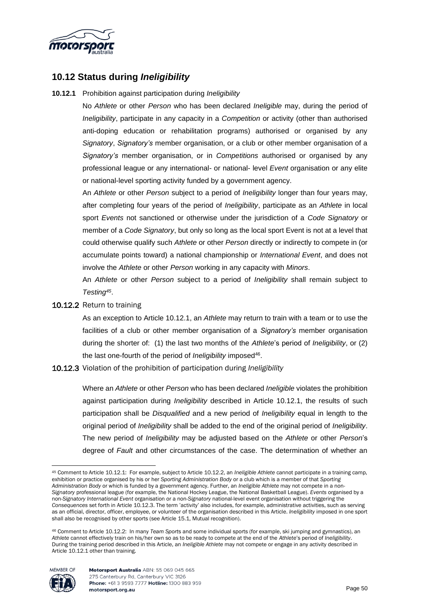

### **10.12 Status during** *Ineligibility*

#### **10.12.1** Prohibition against participation during *Ineligibility*

No *Athlete* or other *Person* who has been declared *Ineligible* may, during the period of *Ineligibility*, participate in any capacity in a *Competition* or activity (other than authorised anti-doping education or rehabilitation programs) authorised or organised by any *Signatory*, *Signatory's* member organisation, or a club or other member organisation of a *Signatory's* member organisation, or in *Competitions* authorised or organised by any professional league or any international- or national- level *Event* organisation or any elite or national-level sporting activity funded by a government agency.

An *Athlete* or other *Person* subject to a period of *Ineligibility* longer than four years may, after completing four years of the period of *Ineligibility*, participate as an *Athlete* in local sport *Events* not sanctioned or otherwise under the jurisdiction of a *Code Signatory* or member of a *Code Signatory*, but only so long as the local sport Event is not at a level that could otherwise qualify such *Athlete* or other *Person* directly or indirectly to compete in (or accumulate points toward) a national championship or *International Event*, and does not involve the *Athlete* or other *Person* working in any capacity with *Minors*.

An *Athlete* or other *Person* subject to a period of *Ineligibility* shall remain subject to *Testing<sup>45</sup>* .

#### 10.12.2 Return to training

As an exception to Article 10.12.1, an *Athlete* may return to train with a team or to use the facilities of a club or other member organisation of a *Signatory's* member organisation during the shorter of: (1) the last two months of the *Athlete*'s period of *Ineligibility*, or (2) the last one-fourth of the period of *Ineligibility* imposed<sup>46</sup> .

10.12.3 Violation of the prohibition of participation during *Ineligibility*

Where an *Athlete* or other *Person* who has been declared *Ineligible* violates the prohibition against participation during *Ineligibility* described in Article 10.12.1, the results of such participation shall be *Disqualified* and a new period of *Ineligibility* equal in length to the original period of *Ineligibility* shall be added to the end of the original period of *Ineligibility*. The new period of *Ineligibility* may be adjusted based on the *Athlete* or other *Person*'s degree of *Fault* and other circumstances of the case. The determination of whether an

<sup>46</sup> Comment to Article 10.12.2: In many *Team Sport*s and some individual sports (for example, ski jumping and gymnastics), an *Athlete* cannot effectively train on his/her own so as to be ready to compete at the end of the *Athlete*'s period of *Ineligibility*. During the training period described in this Article, an *Ineligible Athlete* may not compete or engage in any activity described in Article 10.12.1 other than training.



<sup>45</sup> Comment to Article 10.12.1: For example, subject to Article 10.12.2, an *Ineligible Athlete* cannot participate in a training camp, exhibition or practice organised by his or her *Sporting Administration Body* or a club which is a member of that *Sporting Administration Body* or which is funded by a government agency. Further, an *Ineligible Athlete* may not compete in a non-*Signatory* professional league (for example, the National Hockey League, the National Basketball League). *Events* organised by a non-*Signatory International Event* organisation or a non-*Signatory* national-level event organisation without triggering the *Consequences* set forth in Article 10.12.3. The term 'activity' also includes, for example, administrative activities, such as serving as an official, director, officer, employee, or volunteer of the organisation described in this Article. *Ineligibility* imposed in one sport shall also be recognised by other sports (see Article 15.1, Mutual recognition).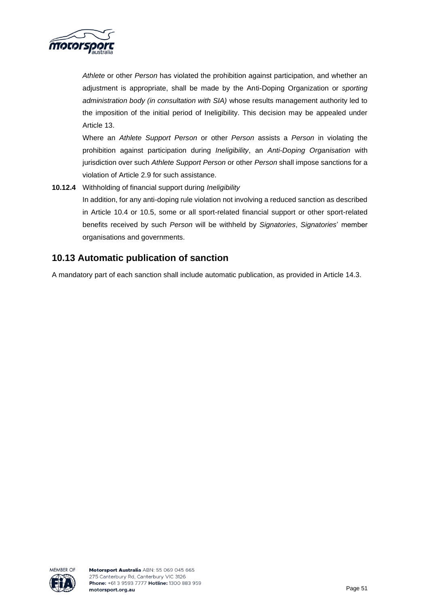

*Athlete* or other *Person* has violated the prohibition against participation, and whether an adjustment is appropriate, shall be made by the Anti-Doping Organization or *sporting administration body (in consultation with SIA)* whose results management authority led to the imposition of the initial period of Ineligibility. This decision may be appealed under Article 13.

Where an *Athlete Support Person* or other *Person* assists a *Person* in violating the prohibition against participation during *Ineligibility*, an *Anti-Doping Organisation* with jurisdiction over such *Athlete Support Person* or other *Person* shall impose sanctions for a violation of Article 2.9 for such assistance.

**10.12.4** Withholding of financial support during *Ineligibility* In addition, for any anti-doping rule violation not involving a reduced sanction as described in Article 10.4 or 10.5, some or all sport-related financial support or other sport-related benefits received by such *Person* will be withheld by *Signatories*, *Signatories*' member organisations and governments.

### **10.13 Automatic publication of sanction**

A mandatory part of each sanction shall include automatic publication, as provided in Article 14.3.

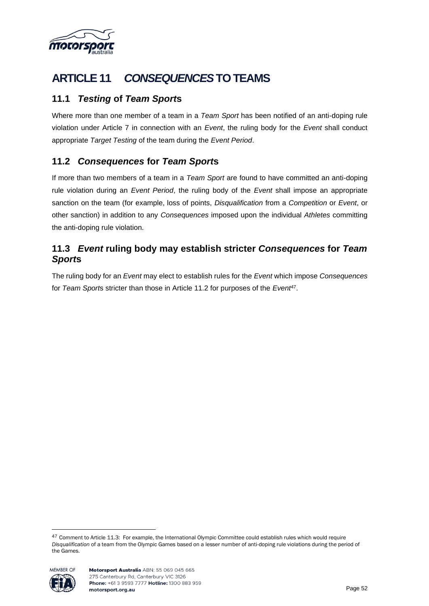

# **ARTICLE 11** *CONSEQUENCES***TO TEAMS**

### **11.1** *Testing* **of** *Team Sport***s**

Where more than one member of a team in a *Team Sport* has been notified of an anti-doping rule violation under Article 7 in connection with an *Event*, the ruling body for the *Event* shall conduct appropriate *Target Testing* of the team during the *Event Period*.

### **11.2** *Consequences* **for** *Team Sport***s**

If more than two members of a team in a *Team Sport* are found to have committed an anti-doping rule violation during an *Event Period*, the ruling body of the *Event* shall impose an appropriate sanction on the team (for example, loss of points, *Disqualification* from a *Competition* or *Event*, or other sanction) in addition to any *Consequences* imposed upon the individual *Athletes* committing the anti-doping rule violation.

### **11.3** *Event* **ruling body may establish stricter** *Consequences* **for** *Team Sport***s**

The ruling body for an *Event* may elect to establish rules for the *Event* which impose *Consequences* for Team Sports stricter than those in Article 11.2 for purposes of the Event<sup>47</sup>.

<sup>&</sup>lt;sup>47</sup> Comment to Article 11.3: For example, the International Olympic Committee could establish rules which would require *Disqualification* of a team from the Olympic Games based on a lesser number of anti-doping rule violations during the period of the Games.

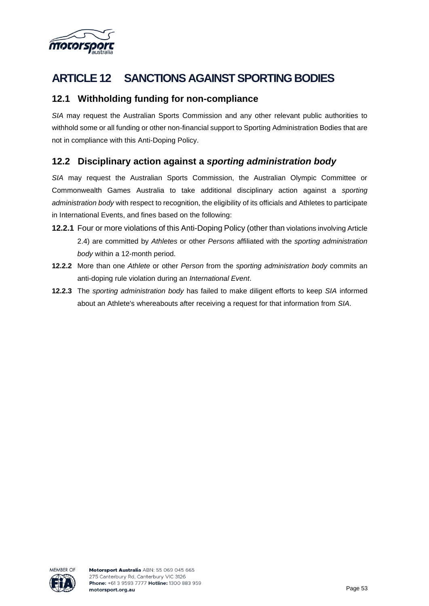

# **ARTICLE 12 SANCTIONS AGAINST SPORTING BODIES**

### **12.1 Withholding funding for non-compliance**

*SIA* may request the Australian Sports Commission and any other relevant public authorities to withhold some or all funding or other non-financial support to Sporting Administration Bodies that are not in compliance with this Anti-Doping Policy.

### **12.2 Disciplinary action against a** *sporting administration body*

*SIA* may request the Australian Sports Commission, the Australian Olympic Committee or Commonwealth Games Australia to take additional disciplinary action against a *sporting administration body* with respect to recognition, the eligibility of its officials and Athletes to participate in International Events, and fines based on the following:

- **12.2.1** Four or more violations of this Anti-Doping Policy (other than violations involving Article 2.4) are committed by *Athletes* or other *Persons* affiliated with the *sporting administration body* within a 12-month period.
- **12.2.2** More than one *Athlete* or other *Person* from the *sporting administration body* commits an anti-doping rule violation during an *International Event*.
- **12.2.3** The *sporting administration body* has failed to make diligent efforts to keep *SIA* informed about an Athlete's whereabouts after receiving a request for that information from *SIA*.

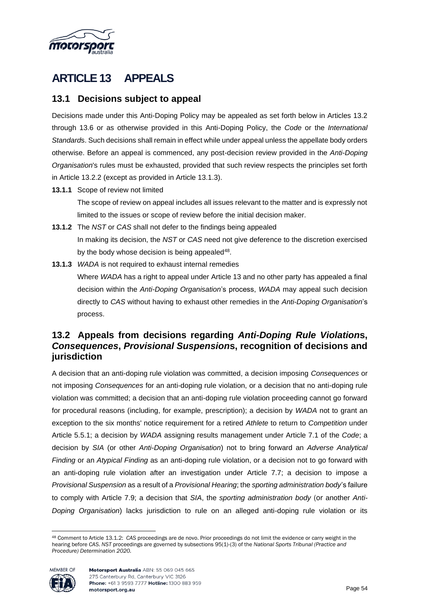

# **ARTICLE 13 APPEALS**

### **13.1 Decisions subject to appeal**

Decisions made under this Anti-Doping Policy may be appealed as set forth below in Articles 13.2 through 13.6 or as otherwise provided in this Anti-Doping Policy, the *Code* or the *International Standard*s. Such decisions shall remain in effect while under appeal unless the appellate body orders otherwise. Before an appeal is commenced, any post-decision review provided in the *Anti-Doping Organisation*'s rules must be exhausted, provided that such review respects the principles set forth in Article 13.2.2 (except as provided in Article 13.1.3).

- **13.1.1** Scope of review not limited The scope of review on appeal includes all issues relevant to the matter and is expressly not limited to the issues or scope of review before the initial decision maker.
- **13.1.2** The *NST* or *CAS* shall not defer to the findings being appealed In making its decision, the *NST* or *CAS* need not give deference to the discretion exercised by the body whose decision is being appealed<sup>48</sup>.
- **13.1.3** *WADA* is not required to exhaust internal remedies Where *WADA* has a right to appeal under Article 13 and no other party has appealed a final decision within the *Anti-Doping Organisation*'s process, *WADA* may appeal such decision directly to *CAS* without having to exhaust other remedies in the *Anti-Doping Organisation*'s process.

### **13.2 Appeals from decisions regarding** *Anti-Doping Rule Violation***s,**  *Consequences***,** *Provisional Suspension***s, recognition of decisions and jurisdiction**

A decision that an anti-doping rule violation was committed, a decision imposing *Consequences* or not imposing *Consequences* for an anti-doping rule violation, or a decision that no anti-doping rule violation was committed; a decision that an anti-doping rule violation proceeding cannot go forward for procedural reasons (including, for example, prescription); a decision by *WADA* not to grant an exception to the six months' notice requirement for a retired *Athlete* to return to *Competition* under Article 5.5.1; a decision by *WADA* assigning results management under Article 7.1 of the *Code*; a decision by *SIA* (or other *Anti-Doping Organisation*) not to bring forward an *Adverse Analytical Finding* or an *Atypical Finding* as an anti-doping rule violation, or a decision not to go forward with an anti-doping rule violation after an investigation under Article 7.7; a decision to impose a *Provisional Suspension* as a result of a *Provisional Hearing*; the *sporting administration body*'s failure to comply with Article 7.9; a decision that *SIA*, the *sporting administration body* (or another *Anti-Doping Organisation*) lacks jurisdiction to rule on an alleged anti-doping rule violation or its

<sup>48</sup> Comment to Article 13.1.2: *CAS* proceedings are de novo. Prior proceedings do not limit the evidence or carry weight in the hearing before *CAS*. *NST* proceedings are governed by subsections 95(1)-(3) of the *National Sports Tribunal (Practice and Procedure) Determination 2020.*

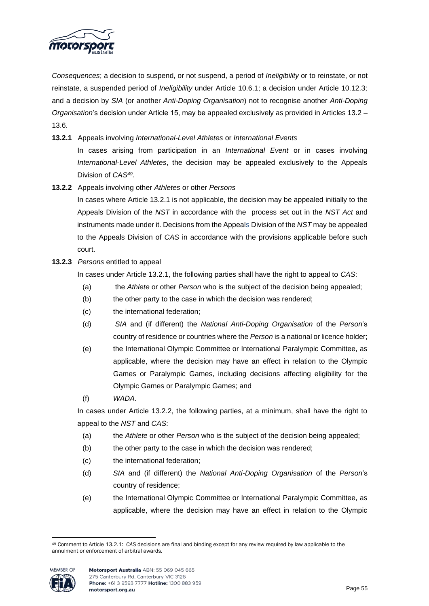

*Consequences*; a decision to suspend, or not suspend, a period of *Ineligibility* or to reinstate, or not reinstate, a suspended period of *Ineligibility* under Article 10.6.1; a decision under Article 10.12.3; and a decision by *SIA* (or another *Anti-Doping Organisation*) not to recognise another *Anti-Doping Organisation*'s decision under Article 15, may be appealed exclusively as provided in Articles 13.2 – 13.6.

**13.2.1** Appeals involving *International-Level Athletes* or *International Events*

In cases arising from participation in an *International Event* or in cases involving *International-Level Athletes*, the decision may be appealed exclusively to the Appeals Division of *CAS<sup>49</sup>* .

**13.2.2** Appeals involving other *Athletes* or other *Persons*

In cases where Article 13.2.1 is not applicable, the decision may be appealed initially to the Appeals Division of the *NST* in accordance with the process set out in the *NST Act* and instruments made under it. Decisions from the Appeals Division of the *NST* may be appealed to the Appeals Division of *CAS* in accordance with the provisions applicable before such court.

**13.2.3** *Persons* entitled to appeal

In cases under Article 13.2.1, the following parties shall have the right to appeal to *CAS*:

- (a) the *Athlete* or other *Person* who is the subject of the decision being appealed;
- (b) the other party to the case in which the decision was rendered;
- (c) the international federation;
- (d) *SIA* and (if different) the *National Anti-Doping Organisation* of the *Person*'s country of residence or countries where the *Person* is a national or licence holder;
- (e) the International Olympic Committee or International Paralympic Committee, as applicable, where the decision may have an effect in relation to the Olympic Games or Paralympic Games, including decisions affecting eligibility for the Olympic Games or Paralympic Games; and
- (f) *WADA*.

In cases under Article 13.2.2, the following parties, at a minimum, shall have the right to appeal to the *NST* and *CAS*:

- (a) the *Athlete* or other *Person* who is the subject of the decision being appealed;
- (b) the other party to the case in which the decision was rendered;
- (c) the international federation;
- (d) *SIA* and (if different) the *National Anti-Doping Organisation* of the *Person*'s country of residence;
- (e) the International Olympic Committee or International Paralympic Committee, as applicable, where the decision may have an effect in relation to the Olympic

<sup>49</sup> Comment to Article 13.2.1: *CAS* decisions are final and binding except for any review required by law applicable to the annulment or enforcement of arbitral awards.

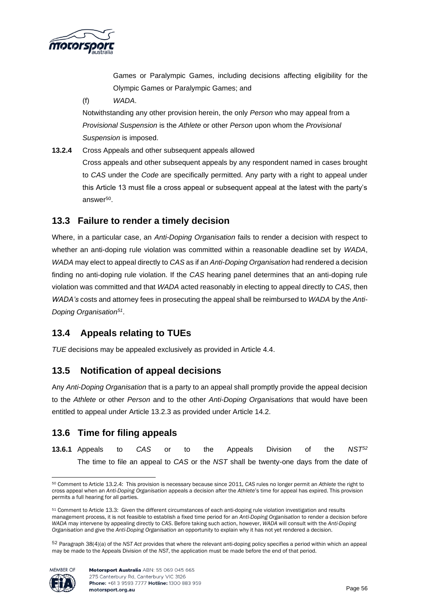

Games or Paralympic Games, including decisions affecting eligibility for the Olympic Games or Paralympic Games; and

(f) *WADA*.

Notwithstanding any other provision herein, the only *Person* who may appeal from a *Provisional Suspension* is the *Athlete* or other *Person* upon whom the *Provisional Suspension* is imposed.

**13.2.4** Cross Appeals and other subsequent appeals allowed Cross appeals and other subsequent appeals by any respondent named in cases brought to *CAS* under the *Code* are specifically permitted. Any party with a right to appeal under this Article 13 must file a cross appeal or subsequent appeal at the latest with the party's answer<sup>50</sup>.

### **13.3 Failure to render a timely decision**

Where, in a particular case, an *Anti-Doping Organisation* fails to render a decision with respect to whether an anti-doping rule violation was committed within a reasonable deadline set by *WADA*, *WADA* may elect to appeal directly to *CAS* as if an *Anti-Doping Organisation* had rendered a decision finding no anti-doping rule violation. If the *CAS* hearing panel determines that an anti-doping rule violation was committed and that *WADA* acted reasonably in electing to appeal directly to *CAS*, then *WADA's* costs and attorney fees in prosecuting the appeal shall be reimbursed to *WADA* by the *Anti-Doping Organisation<sup>51</sup>* .

### **13.4 Appeals relating to TUEs**

*TUE* decisions may be appealed exclusively as provided in Article 4.4.

### **13.5 Notification of appeal decisions**

Any *Anti-Doping Organisation* that is a party to an appeal shall promptly provide the appeal decision to the *Athlete* or other *Person* and to the other *Anti-Doping Organisations* that would have been entitled to appeal under Article 13.2.3 as provided under Article 14.2.

### **13.6 Time for filing appeals**

**13.6.1** Appeals to *CAS* or to the Appeals Division of the *NST<sup>52</sup>* The time to file an appeal to *CAS* or the *NST* shall be twenty-one days from the date of

<sup>52</sup> Paragraph 38(4)(a) of the *NST Act* provides that where the relevant anti-doping policy specifies a period within which an appeal may be made to the Appeals Division of the *NST*, the application must be made before the end of that period.



<sup>50</sup> Comment to Article 13.2.4: This provision is necessary because since 2011, *CAS* rules no longer permit an *Athlete* the right to cross appeal when an *Anti-Doping Organisation* appeals a decision after the *Athlete*'s time for appeal has expired. This provision permits a full hearing for all parties.

<sup>51</sup> Comment to Article 13.3: Given the different circumstances of each anti-doping rule violation investigation and results management process, it is not feasible to establish a fixed time period for an *Anti-Doping Organisation* to render a decision before *WADA* may intervene by appealing directly to *CAS*. Before taking such action, however, *WADA* will consult with the *Anti-Doping Organisation* and give the *Anti-Doping Organisation* an opportunity to explain why it has not yet rendered a decision.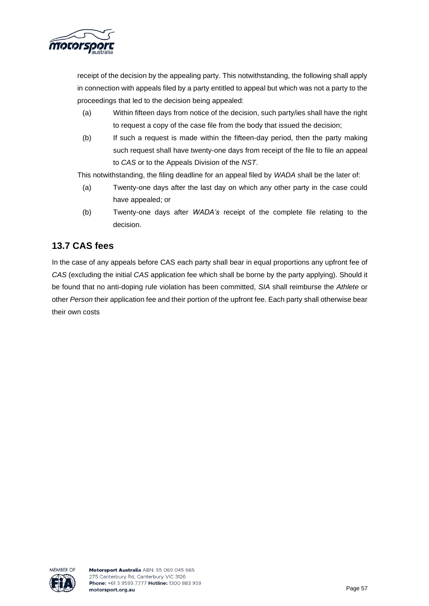

receipt of the decision by the appealing party. This notwithstanding, the following shall apply in connection with appeals filed by a party entitled to appeal but which was not a party to the proceedings that led to the decision being appealed:

- (a) Within fifteen days from notice of the decision, such party/ies shall have the right to request a copy of the case file from the body that issued the decision;
- (b) If such a request is made within the fifteen-day period, then the party making such request shall have twenty-one days from receipt of the file to file an appeal to *CAS* or to the Appeals Division of the *NST*.

This notwithstanding, the filing deadline for an appeal filed by *WADA* shall be the later of:

- (a) Twenty-one days after the last day on which any other party in the case could have appealed; or
- (b) Twenty-one days after *WADA's* receipt of the complete file relating to the decision.

### **13.7 CAS fees**

In the case of any appeals before CAS *e*ach party shall bear in equal proportions any upfront fee of *CAS* (excluding the initial *CAS* application fee which shall be borne by the party applying). Should it be found that no anti-doping rule violation has been committed, *SIA* shall reimburse the *Athlete* or other *Person* their application fee and their portion of the upfront fee. Each party shall otherwise bear their own costs

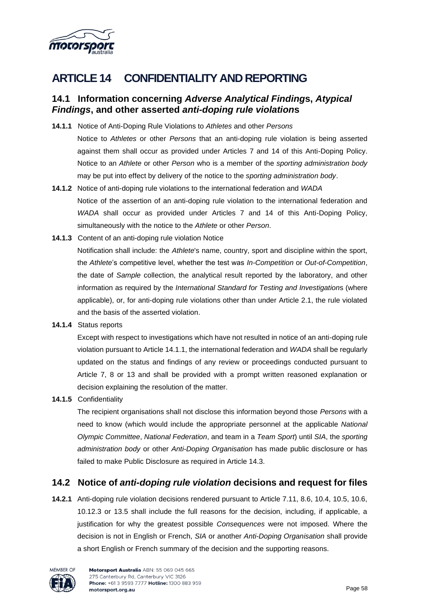

## **ARTICLE 14 CONFIDENTIALITY AND REPORTING**

### **14.1 Information concerning** *Adverse Analytical Finding***s,** *Atypical Findings***, and other asserted** *anti-doping rule violation***s**

**14.1.1** Notice of Anti-Doping Rule Violations to *Athletes* and other *Persons*

Notice to *Athletes* or other *Persons* that an anti-doping rule violation is being asserted against them shall occur as provided under Articles 7 and 14 of this Anti-Doping Policy. Notice to an *Athlete* or other *Person* who is a member of the *sporting administration body* may be put into effect by delivery of the notice to the *sporting administration body*.

- **14.1.2** Notice of anti-doping rule violations to the international federation and *WADA* Notice of the assertion of an anti-doping rule violation to the international federation and *WADA* shall occur as provided under Articles 7 and 14 of this Anti-Doping Policy, simultaneously with the notice to the *Athlete* or other *Person*.
- **14.1.3** Content of an anti-doping rule violation Notice

Notification shall include: the *Athlete*'s name, country, sport and discipline within the sport, the *Athlete*'s competitive level, whether the test was *In-Competition* or *Out-of-Competition*, the date of *Sample* collection, the analytical result reported by the laboratory, and other information as required by the *International Standard for Testing and Investigation*s (where applicable), or, for anti-doping rule violations other than under Article 2.1, the rule violated and the basis of the asserted violation.

**14.1.4** Status reports

Except with respect to investigations which have not resulted in notice of an anti-doping rule violation pursuant to Article 14.1.1, the international federation and *WADA* shall be regularly updated on the status and findings of any review or proceedings conducted pursuant to Article 7, 8 or 13 and shall be provided with a prompt written reasoned explanation or decision explaining the resolution of the matter.

**14.1.5** Confidentiality

The recipient organisations shall not disclose this information beyond those *Persons* with a need to know (which would include the appropriate personnel at the applicable *National Olympic Committee*, *National Federation*, and team in a *Team Sport*) until *SIA*, the *sporting administration body* or other *Anti-Doping Organisation* has made public disclosure or has failed to make Public Disclosure as required in Article 14.3.

### **14.2 Notice of** *anti-doping rule violation* **decisions and request for files**

**14.2.1** Anti-doping rule violation decisions rendered pursuant to Article 7.11, 8.6, 10.4, 10.5, 10.6, 10.12.3 or 13.5 shall include the full reasons for the decision, including, if applicable, a justification for why the greatest possible *Consequences* were not imposed. Where the decision is not in English or French, *SIA* or another *Anti-Doping Organisation* shall provide a short English or French summary of the decision and the supporting reasons.

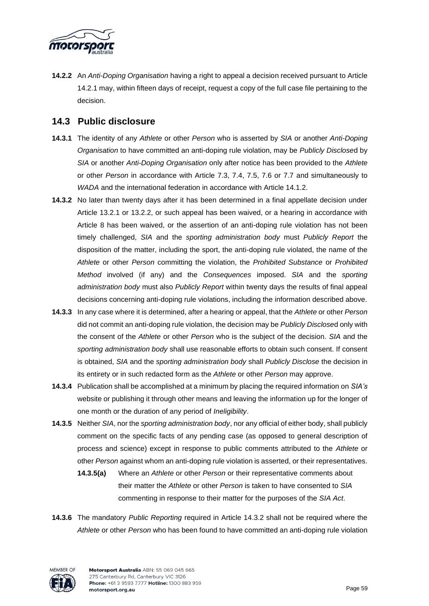

**14.2.2** An *Anti-Doping Organisation* having a right to appeal a decision received pursuant to Article 14.2.1 may, within fifteen days of receipt, request a copy of the full case file pertaining to the decision.

#### **14.3 Public disclosure**

- **14.3.1** The identity of any *Athlete* or other *Person* who is asserted by *SIA* or another *Anti-Doping Organisation* to have committed an anti-doping rule violation, may be *Publicly Disclose*d by *SIA* or another *Anti-Doping Organisation* only after notice has been provided to the *Athlete* or other *Person* in accordance with Article 7.3, 7.4, 7.5, 7.6 or 7.7 and simultaneously to *WADA* and the international federation in accordance with Article 14.1.2.
- **14.3.2** No later than twenty days after it has been determined in a final appellate decision under Article 13.2.1 or 13.2.2, or such appeal has been waived, or a hearing in accordance with Article 8 has been waived, or the assertion of an anti-doping rule violation has not been timely challenged, *SIA* and the *sporting administration body* must *Publicly Report* the disposition of the matter, including the sport, the anti-doping rule violated, the name of the *Athlete* or other *Person* committing the violation, the *Prohibited Substance* or *Prohibited Method* involved (if any) and the *Consequences* imposed. *SIA* and the *sporting administration body* must also *Publicly Report* within twenty days the results of final appeal decisions concerning anti-doping rule violations, including the information described above.
- **14.3.3** In any case where it is determined, after a hearing or appeal, that the *Athlete* or other *Person* did not commit an anti-doping rule violation, the decision may be *Publicly Disclose*d only with the consent of the *Athlete* or other *Person* who is the subject of the decision. *SIA* and the *sporting administration body* shall use reasonable efforts to obtain such consent. If consent is obtained, *SIA* and the *sporting administration body* shall *Publicly Disclose* the decision in its entirety or in such redacted form as the *Athlete* or other *Person* may approve.
- **14.3.4** Publication shall be accomplished at a minimum by placing the required information on *SIA's* website or publishing it through other means and leaving the information up for the longer of one month or the duration of any period of *Ineligibility*.
- **14.3.5** Neither *SIA*, nor the *sporting administration body*, nor any official of either body, shall publicly comment on the specific facts of any pending case (as opposed to general description of process and science) except in response to public comments attributed to the *Athlete* or other *Person* against whom an anti-doping rule violation is asserted, or their representatives.
	- **14.3.5(a)** Where an *Athlete* or other *Person* or their representative comments about their matter the *Athlete* or other *Person* is taken to have consented to *SIA* commenting in response to their matter for the purposes of the *SIA Act*.
- **14.3.6** The mandatory *Public Reporting* required in Article 14.3.2 shall not be required where the *Athlete* or other *Person* who has been found to have committed an anti-doping rule violation

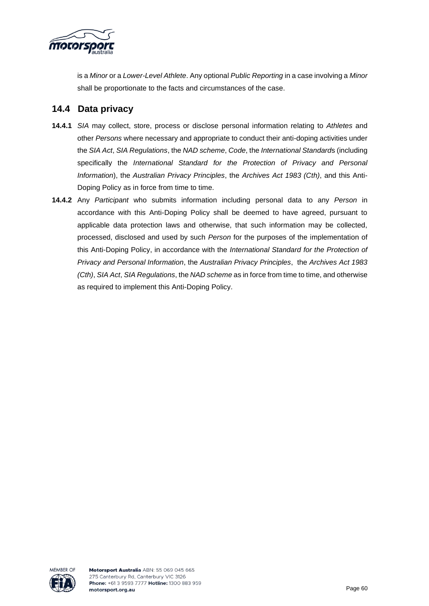

is a *Minor* or a *Lower-Level Athlete*. Any optional *Public Reporting* in a case involving a *Minor* shall be proportionate to the facts and circumstances of the case.

#### **14.4 Data privacy**

- **14.4.1** *SIA* may collect, store, process or disclose personal information relating to *Athletes* and other *Persons* where necessary and appropriate to conduct their anti-doping activities under the *SIA Act*, *SIA Regulations*, the *NAD scheme*, *Code*, the *International Standard*s (including specifically the *International Standard for the Protection of Privacy and Personal Information*), the *Australian Privacy Principles*, the *Archives Act 1983 (Cth)*, and this Anti-Doping Policy as in force from time to time.
- **14.4.2** Any *Participant* who submits information including personal data to any *Person* in accordance with this Anti-Doping Policy shall be deemed to have agreed, pursuant to applicable data protection laws and otherwise, that such information may be collected, processed, disclosed and used by such *Person* for the purposes of the implementation of this Anti-Doping Policy, in accordance with the *International Standard for the Protection of Privacy and Personal Information*, the *Australian Privacy Principles*, the *Archives Act 1983 (Cth)*, *SIA Act*, *SIA Regulations*, the *NAD scheme* as in force from time to time, and otherwise as required to implement this Anti-Doping Policy.

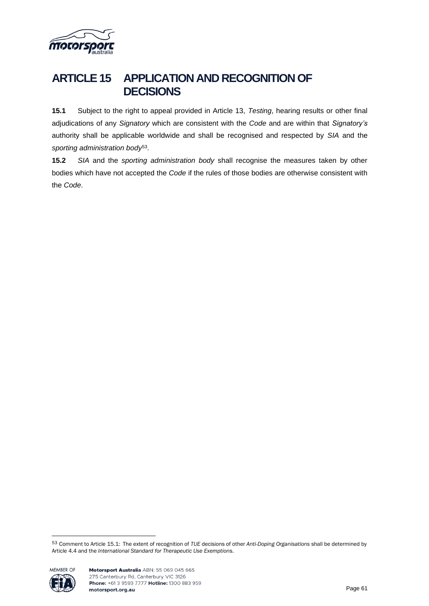

### **ARTICLE 15 APPLICATION AND RECOGNITION OF DECISIONS**

**15.1** Subject to the right to appeal provided in Article 13, *Testing*, hearing results or other final adjudications of any *Signatory* which are consistent with the *Code* and are within that *Signatory's* authority shall be applicable worldwide and shall be recognised and respected by *SIA* and the sporting administration body<sup>53</sup>.

**15.2** *SIA* and the *sporting administration body* shall recognise the measures taken by other bodies which have not accepted the *Code* if the rules of those bodies are otherwise consistent with the *Code*.

<sup>53</sup> Comment to Article 15.1: The extent of recognition of *TUE* decisions of other *Anti-Doping Organisations* shall be determined by Article 4.4 and the *International Standard for Therapeutic Use Exemption*s.

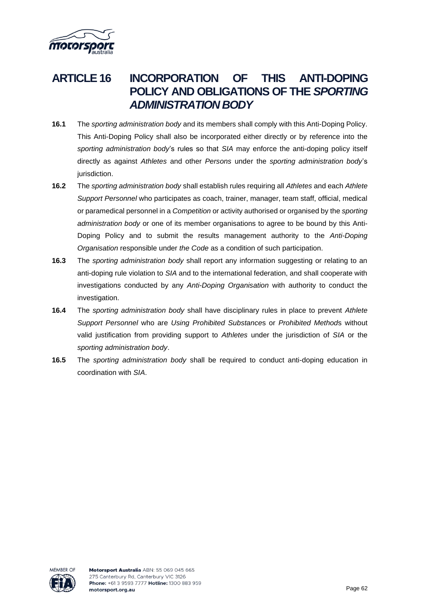

# **ARTICLE 16 INCORPORATION OF THIS ANTI-DOPING POLICY AND OBLIGATIONS OF THE** *SPORTING ADMINISTRATION BODY*

- **16.1** The *sporting administration body* and its members shall comply with this Anti-Doping Policy. This Anti-Doping Policy shall also be incorporated either directly or by reference into the *sporting administration body*'s rules so that *SIA* may enforce the anti-doping policy itself directly as against *Athletes* and other *Persons* under the *sporting administration body*'s jurisdiction.
- **16.2** The *sporting administration body* shall establish rules requiring all *Athletes* and each *Athlete Support Personnel* who participates as coach, trainer, manager, team staff, official, medical or paramedical personnel in a *Competition* or activity authorised or organised by the *sporting administration body* or one of its member organisations to agree to be bound by this Anti-Doping Policy and to submit the results management authority to the *Anti-Doping Organisation* responsible under *the Code* as a condition of such participation.
- **16.3** The *sporting administration body* shall report any information suggesting or relating to an anti-doping rule violation to *SIA* and to the international federation, and shall cooperate with investigations conducted by any *Anti-Doping Organisation* with authority to conduct the investigation.
- **16.4** The *sporting administration body* shall have disciplinary rules in place to prevent *Athlete Support Personnel* who are *Using Prohibited Substance*s or *Prohibited Method*s without valid justification from providing support to *Athletes* under the jurisdiction of *SIA* or the *sporting administration body*.
- **16.5** The *sporting administration body* shall be required to conduct anti-doping education in coordination with *SIA*.

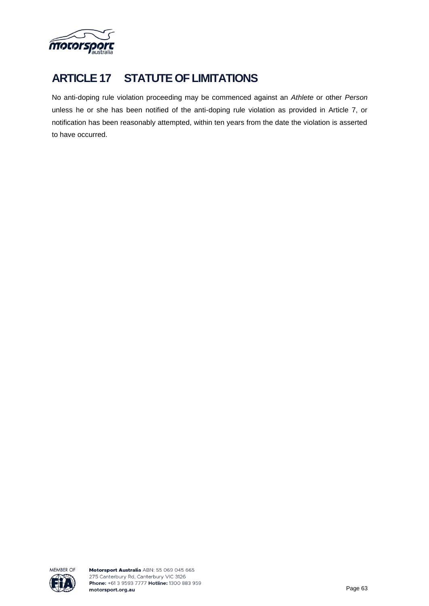

# **ARTICLE 17 STATUTE OF LIMITATIONS**

No anti-doping rule violation proceeding may be commenced against an *Athlete* or other *Person* unless he or she has been notified of the anti-doping rule violation as provided in Article 7, or notification has been reasonably attempted, within ten years from the date the violation is asserted to have occurred.

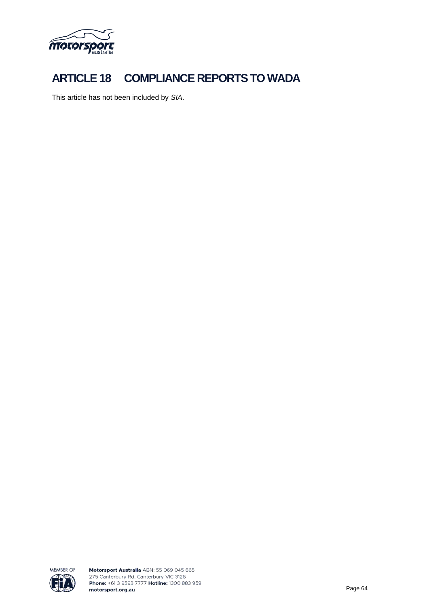

# **ARTICLE 18 COMPLIANCE REPORTS TO WADA**

This article has not been included by *SIA*.

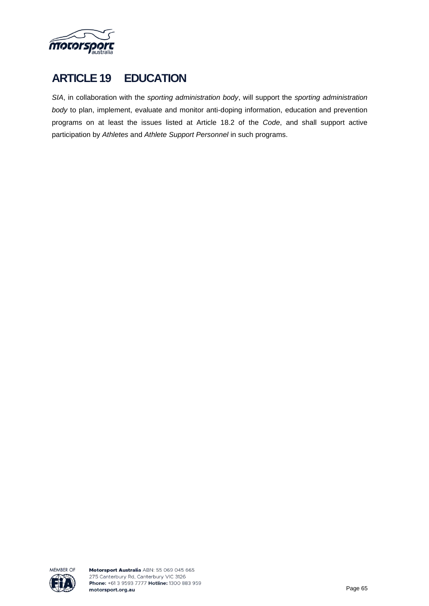

## **ARTICLE 19 EDUCATION**

*SIA*, in collaboration with the *sporting administration body*, will support the *sporting administration body* to plan, implement, evaluate and monitor anti-doping information, education and prevention programs on at least the issues listed at Article 18.2 of the *Code*, and shall support active participation by *Athletes* and *Athlete Support Personnel* in such programs.

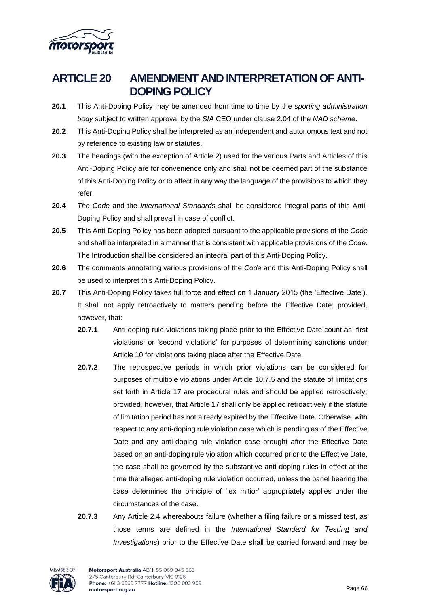

### **ARTICLE 20 AMENDMENT AND INTERPRETATION OF ANTI-DOPING POLICY**

- **20.1** This Anti-Doping Policy may be amended from time to time by the *sporting administration body* subject to written approval by the *SIA* CEO under clause 2.04 of the *NAD scheme*.
- **20.2** This Anti-Doping Policy shall be interpreted as an independent and autonomous text and not by reference to existing law or statutes.
- **20.3** The headings (with the exception of Article 2) used for the various Parts and Articles of this Anti-Doping Policy are for convenience only and shall not be deemed part of the substance of this Anti-Doping Policy or to affect in any way the language of the provisions to which they refer.
- **20.4** *The Code* and the *International Standard*s shall be considered integral parts of this Anti-Doping Policy and shall prevail in case of conflict.
- **20.5** This Anti-Doping Policy has been adopted pursuant to the applicable provisions of the *Code* and shall be interpreted in a manner that is consistent with applicable provisions of the *Code*. The Introduction shall be considered an integral part of this Anti-Doping Policy.
- **20.6** The comments annotating various provisions of the *Code* and this Anti-Doping Policy shall be used to interpret this Anti-Doping Policy.
- **20.7** This Anti-Doping Policy takes full force and effect on 1 January 2015 (the 'Effective Date'). It shall not apply retroactively to matters pending before the Effective Date; provided, however, that:
	- **20.7.1** Anti-doping rule violations taking place prior to the Effective Date count as 'first violations' or 'second violations' for purposes of determining sanctions under Article 10 for violations taking place after the Effective Date.
	- **20.7.2** The retrospective periods in which prior violations can be considered for purposes of multiple violations under Article 10.7.5 and the statute of limitations set forth in Article 17 are procedural rules and should be applied retroactively; provided, however, that Article 17 shall only be applied retroactively if the statute of limitation period has not already expired by the Effective Date. Otherwise, with respect to any anti-doping rule violation case which is pending as of the Effective Date and any anti-doping rule violation case brought after the Effective Date based on an anti-doping rule violation which occurred prior to the Effective Date, the case shall be governed by the substantive anti-doping rules in effect at the time the alleged anti-doping rule violation occurred, unless the panel hearing the case determines the principle of 'lex mitior' appropriately applies under the circumstances of the case.
	- **20.7.3** Any Article 2.4 whereabouts failure (whether a filing failure or a missed test, as those terms are defined in the *International Standard for Testing and Investigations*) prior to the Effective Date shall be carried forward and may be

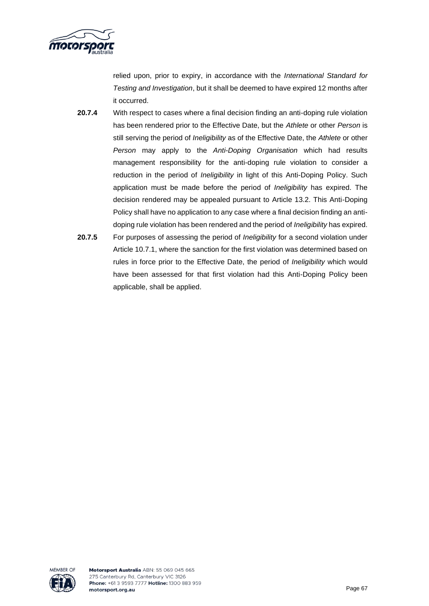

relied upon, prior to expiry, in accordance with the *International Standard for Testing and Investigation*, but it shall be deemed to have expired 12 months after it occurred.

- **20.7.4** With respect to cases where a final decision finding an anti-doping rule violation has been rendered prior to the Effective Date, but the *Athlete* or other *Person* is still serving the period of *Ineligibility* as of the Effective Date, the *Athlete* or other *Person* may apply to the *Anti-Doping Organisation* which had results management responsibility for the anti-doping rule violation to consider a reduction in the period of *Ineligibility* in light of this Anti-Doping Policy. Such application must be made before the period of *Ineligibility* has expired. The decision rendered may be appealed pursuant to Article 13.2. This Anti-Doping Policy shall have no application to any case where a final decision finding an antidoping rule violation has been rendered and the period of *Ineligibility* has expired.
- **20.7.5** For purposes of assessing the period of *Ineligibility* for a second violation under Article 10.7.1, where the sanction for the first violation was determined based on rules in force prior to the Effective Date, the period of *Ineligibility* which would have been assessed for that first violation had this Anti-Doping Policy been applicable, shall be applied.

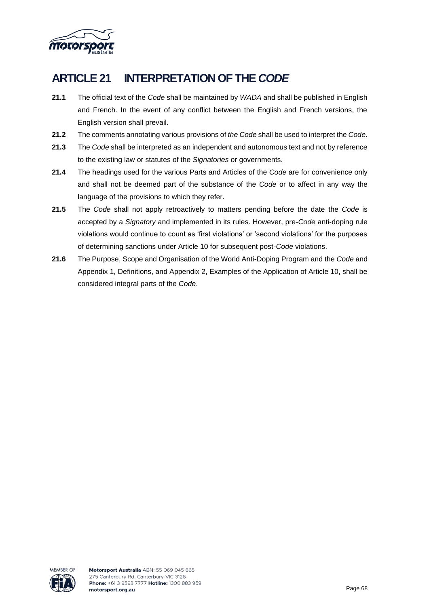

### **ARTICLE 21 INTERPRETATION OF THE** *CODE*

- **21.1** The official text of the *Code* shall be maintained by *WADA* and shall be published in English and French. In the event of any conflict between the English and French versions, the English version shall prevail.
- **21.2** The comments annotating various provisions of *the Code* shall be used to interpret the *Code*.
- **21.3** The *Code* shall be interpreted as an independent and autonomous text and not by reference to the existing law or statutes of the *Signatories* or governments.
- **21.4** The headings used for the various Parts and Articles of the *Code* are for convenience only and shall not be deemed part of the substance of the *Code* or to affect in any way the language of the provisions to which they refer.
- **21.5** The *Code* shall not apply retroactively to matters pending before the date the *Code* is accepted by a *Signatory* and implemented in its rules. However, pre-*Code* anti-doping rule violations would continue to count as 'first violations' or 'second violations' for the purposes of determining sanctions under Article 10 for subsequent post-*Code* violations.
- **21.6** The Purpose, Scope and Organisation of the World Anti-Doping Program and the *Code* and Appendix 1, Definitions, and Appendix 2, Examples of the Application of Article 10, shall be considered integral parts of the *Code*.

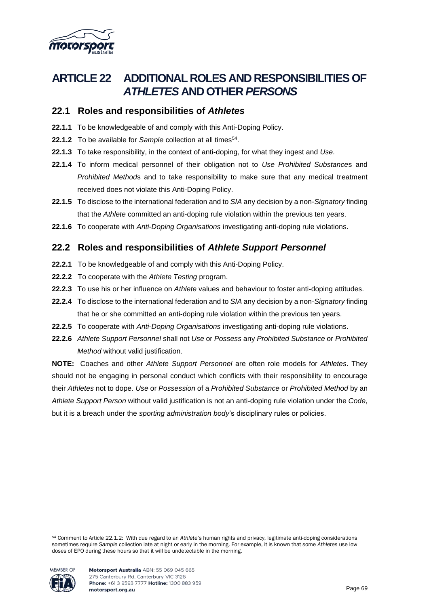

## **ARTICLE 22 ADDITIONAL ROLES AND RESPONSIBILITIES OF**  *ATHLETES* **AND OTHER** *PERSONS*

#### **22.1 Roles and responsibilities of** *Athletes*

- **22.1.1** To be knowledgeable of and comply with this Anti-Doping Policy.
- **22.1.2** To be available for Sample collection at all times<sup>54</sup>.
- **22.1.3** To take responsibility, in the context of anti-doping, for what they ingest and *Use*.
- **22.1.4** To inform medical personnel of their obligation not to *Use Prohibited Substance*s and *Prohibited Method*s and to take responsibility to make sure that any medical treatment received does not violate this Anti-Doping Policy.
- **22.1.5** To disclose to the international federation and to *SIA* any decision by a non-*Signatory* finding that the *Athlete* committed an anti-doping rule violation within the previous ten years.
- **22.1.6** To cooperate with *Anti-Doping Organisations* investigating anti-doping rule violations.

### **22.2 Roles and responsibilities of** *Athlete Support Personnel*

- **22.2.1** To be knowledgeable of and comply with this Anti-Doping Policy.
- **22.2.2** To cooperate with the *Athlete Testing* program.
- **22.2.3** To use his or her influence on *Athlete* values and behaviour to foster anti-doping attitudes.
- **22.2.4** To disclose to the international federation and to *SIA* any decision by a non-*Signatory* finding that he or she committed an anti-doping rule violation within the previous ten years.
- **22.2.5** To cooperate with *Anti-Doping Organisations* investigating anti-doping rule violations.
- **22.2.6** *Athlete Support Personnel* shall not *Use* or *Possess* any *Prohibited Substance* or *Prohibited Method* without valid justification.

**NOTE:** Coaches and other *Athlete Support Personnel* are often role models for *Athletes*. They should not be engaging in personal conduct which conflicts with their responsibility to encourage their *Athletes* not to dope. *Use* or *Possession* of a *Prohibited Substance* or *Prohibited Method* by an *Athlete Support Person* without valid justification is not an anti-doping rule violation under the *Code*, but it is a breach under the *sporting administration body*'s disciplinary rules or policies.

<sup>54</sup> Comment to Article 22.1.2: With due regard to an *Athlete*'s human rights and privacy, legitimate anti-doping considerations sometimes require *Sample* collection late at night or early in the morning. For example, it is known that some *Athletes* use low doses of EPO during these hours so that it will be undetectable in the morning.

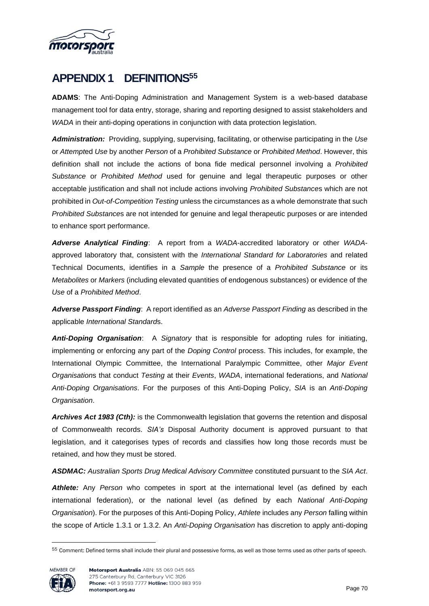

### **APPENDIX 1 DEFINITIONS<sup>55</sup>**

**ADAMS**: The Anti-Doping Administration and Management System is a web-based database management tool for data entry, storage, sharing and reporting designed to assist stakeholders and *WADA* in their anti-doping operations in conjunction with data protection legislation.

*Administration:* Providing, supplying, supervising, facilitating, or otherwise participating in the *Use* or *Attempt*ed *Use* by another *Person* of a *Prohibited Substance* or *Prohibited Method*. However, this definition shall not include the actions of bona fide medical personnel involving a *Prohibited Substance* or *Prohibited Method* used for genuine and legal therapeutic purposes or other acceptable justification and shall not include actions involving *Prohibited Substance*s which are not prohibited in *Out-of-Competition Testing* unless the circumstances as a whole demonstrate that such *Prohibited Substance*s are not intended for genuine and legal therapeutic purposes or are intended to enhance sport performance.

*Adverse Analytical Finding*: A report from a *WADA*-accredited laboratory or other *WADA*approved laboratory that, consistent with the *International Standard for Laboratories* and related Technical Documents, identifies in a *Sample* the presence of a *Prohibited Substance* or its *Metabolites* or *Markers* (including elevated quantities of endogenous substances) or evidence of the *Use* of a *Prohibited Method*.

*Adverse Passport Finding*: A report identified as an *Adverse Passport Finding* as described in the applicable *International Standard*s.

*Anti-Doping Organisation*: A *Signatory* that is responsible for adopting rules for initiating, implementing or enforcing any part of the *Doping Control* process. This includes, for example, the International Olympic Committee, the International Paralympic Committee, other *Major Event Organisation*s that conduct *Testing* at their *Events*, *WADA*, international federations, and *National Anti-Doping Organisations*. For the purposes of this Anti-Doping Policy, *SIA* is an *Anti-Doping Organisation*.

*Archives Act 1983 (Cth):* is the Commonwealth legislation that governs the retention and disposal of Commonwealth records. *SIA's* Disposal Authority document is approved pursuant to that legislation, and it categorises types of records and classifies how long those records must be retained, and how they must be stored.

*ASDMAC: Australian Sports Drug Medical Advisory Committee* constituted pursuant to the *SIA Act*.

*Athlete:* Any *Person* who competes in sport at the international level (as defined by each international federation), or the national level (as defined by each *National Anti-Doping Organisation*). For the purposes of this Anti-Doping Policy, *Athlete* includes any *Person* falling within the scope of Article 1.3.1 or 1.3.2. An *Anti-Doping Organisation* has discretion to apply anti-doping

<sup>55</sup> Comment: Defined terms shall include their plural and possessive forms, as well as those terms used as other parts of speech.

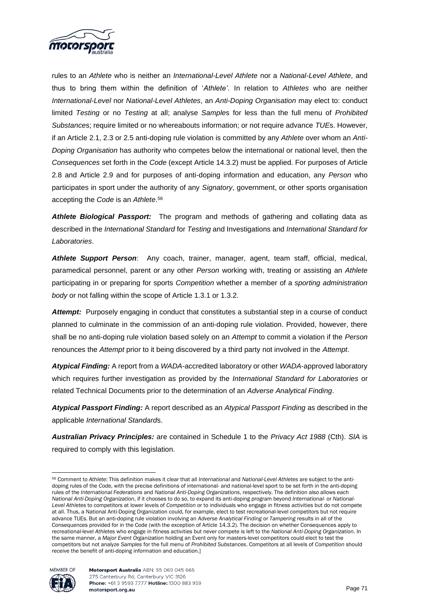

rules to an *Athlete* who is neither an *International-Level Athlete* nor a *National-Level Athlete*, and thus to bring them within the definition of '*Athlete'*. In relation to *Athletes* who are neither *International-Level* nor *National-Level Athletes*, an *Anti-Doping Organisation* may elect to: conduct limited *Testing* or no *Testing* at all; analyse *Sample*s for less than the full menu of *Prohibited Substance*s; require limited or no whereabouts information; or not require advance *TUE*s. However, if an Article 2.1, 2.3 or 2.5 anti-doping rule violation is committed by any *Athlete* over whom an *Anti-Doping Organisation* has authority who competes below the international or national level, then the *Consequences* set forth in the *Code* (except Article 14.3.2) must be applied. For purposes of Article 2.8 and Article 2.9 and for purposes of anti-doping information and education, any *Person* who participates in sport under the authority of any *Signatory*, government, or other sports organisation accepting the *Code* is an *Athlete*. 56

*Athlete Biological Passport:* The program and methods of gathering and collating data as described in the *International Standard* for *Testing* and Investigations and *International Standard for Laboratories*.

*Athlete Support Person*: Any coach, trainer, manager, agent, team staff, official, medical, paramedical personnel, parent or any other *Person* working with, treating or assisting an *Athlete* participating in or preparing for sports *Competition* whether a member of a *sporting administration body* or not falling within the scope of Article 1.3.1 or 1.3.2.

Attempt: Purposely engaging in conduct that constitutes a substantial step in a course of conduct planned to culminate in the commission of an anti-doping rule violation. Provided, however, there shall be no anti-doping rule violation based solely on an *Attempt* to commit a violation if the *Person* renounces the *Attempt* prior to it being discovered by a third party not involved in the *Attempt*.

*Atypical Finding:* A report from a *WADA*-accredited laboratory or other *WADA*-approved laboratory which requires further investigation as provided by the *International Standard for Laboratories* or related Technical Documents prior to the determination of an *Adverse Analytical Finding*.

*Atypical Passport Finding:* A report described as an *Atypical Passport Finding* as described in the applicable *International Standard*s.

*Australian Privacy Principles:* are contained in Schedule 1 to the *Privacy Act 1988* (Cth). *SIA* is required to comply with this legislation.

<sup>56</sup> Comment to *Athlete*: This definition makes it clear that all *International* and *National-Level Athletes* are subject to the antidoping rules of the *Code*, with the precise definitions of international- and national-level sport to be set forth in the anti-doping rules of the *International Federations* and *National Anti-Doping Organizations*, respectively. The definition also allows each *National Anti-Doping Organization*, if it chooses to do so, to expand its anti-doping program beyond *International*- or *National-Level Athletes* to competitors at lower levels of *Competition* or to individuals who engage in fitness activities but do not compete at all. Thus, a National Anti-Doping Organization could, for example, elect to test recreational-level competitors but not require advance TUEs. But an anti-doping rule violation involving an *Adverse Analytical Finding* or *Tampering* results in all of the Consequences provided for in the Code (with the exception of Article 14.3.2). The decision on whether Consequences apply to recreational-level *Athletes* who engage in fitness activities but never compete is left to the *National Anti-Doping Organization*. In the same manner, a *Major Event Organization* holding an Event only for masters-level competitors could elect to test the competitors but not analyze *Samples* for the full menu of *Prohibited Substances*. Competitors at all levels of *Competition* should receive the benefit of anti-doping information and education.]

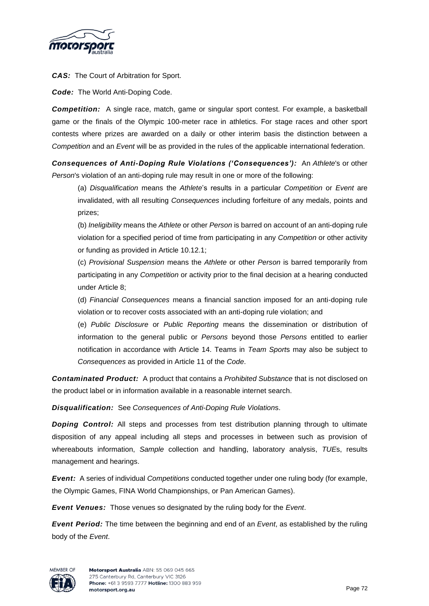

*CAS:* The Court of Arbitration for Sport.

*Code:* The World Anti-Doping Code.

*Competition:* A single race, match, game or singular sport contest. For example, a basketball game or the finals of the Olympic 100-meter race in athletics. For stage races and other sport contests where prizes are awarded on a daily or other interim basis the distinction between a *Competition* and an *Event* will be as provided in the rules of the applicable international federation.

*Consequences of Anti-Doping Rule Violations ('Consequences'):* An *Athlete*'s or other *Person*'s violation of an anti-doping rule may result in one or more of the following:

(a) *Disqualification* means the *Athlete*'s results in a particular *Competition* or *Event* are invalidated, with all resulting *Consequences* including forfeiture of any medals, points and prizes;

(b) *Ineligibility* means the *Athlete* or other *Person* is barred on account of an anti-doping rule violation for a specified period of time from participating in any *Competition* or other activity or funding as provided in Article 10.12.1;

(c) *Provisional Suspension* means the *Athlete* or other *Person* is barred temporarily from participating in any *Competition* or activity prior to the final decision at a hearing conducted under Article 8;

(d) *Financial Consequences* means a financial sanction imposed for an anti-doping rule violation or to recover costs associated with an anti-doping rule violation; and

(e) *Public Disclosure* or *Public Reporting* means the dissemination or distribution of information to the general public or *Persons* beyond those *Persons* entitled to earlier notification in accordance with Article 14. Teams in *Team Sport*s may also be subject to *Consequences* as provided in Article 11 of the *Code*.

*Contaminated Product:* A product that contains a *Prohibited Substance* that is not disclosed on the product label or in information available in a reasonable internet search.

*Disqualification:* See *Consequences of Anti-Doping Rule Violation*s.

**Doping Control:** All steps and processes from test distribution planning through to ultimate disposition of any appeal including all steps and processes in between such as provision of whereabouts information, *Sample* collection and handling, laboratory analysis, *TUE*s, results management and hearings.

*Event:* A series of individual *Competitions* conducted together under one ruling body (for example, the Olympic Games, FINA World Championships, or Pan American Games).

*Event Venues:* Those venues so designated by the ruling body for the *Event*.

*Event Period:* The time between the beginning and end of an *Event*, as established by the ruling body of the *Event*.

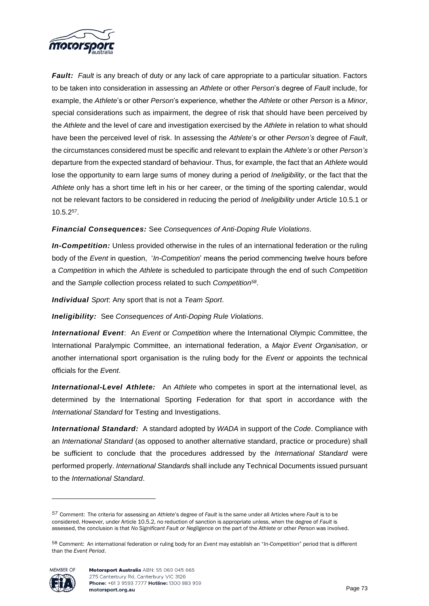

*Fault: Fault* is any breach of duty or any lack of care appropriate to a particular situation. Factors to be taken into consideration in assessing an *Athlete* or other *Person*'s degree of *Fault* include, for example, the *Athlete*'s or other *Person*'s experience, whether the *Athlete* or other *Person* is a *Minor*, special considerations such as impairment, the degree of risk that should have been perceived by the *Athlete* and the level of care and investigation exercised by the *Athlete* in relation to what should have been the perceived level of risk. In assessing the *Athlete*'s or other *Person's* degree of *Fault*, the circumstances considered must be specific and relevant to explain the *Athlete's* or other *Person's* departure from the expected standard of behaviour. Thus, for example, the fact that an *Athlete* would lose the opportunity to earn large sums of money during a period of *Ineligibility*, or the fact that the *Athlete* only has a short time left in his or her career, or the timing of the sporting calendar, would not be relevant factors to be considered in reducing the period of *Ineligibility* under Article 10.5.1 or 10.5.2<sup>57</sup> .

## *Financial Consequences:* See *Consequences of Anti-Doping Rule Violations*.

*In-Competition:* Unless provided otherwise in the rules of an international federation or the ruling body of the *Event* in question, '*In-Competition*' means the period commencing twelve hours before a *Competition* in which the *Athlete* is scheduled to participate through the end of such *Competition* and the *Sample* collection process related to such *Competition<sup>58</sup>* .

*Individual Sport*: Any sport that is not a *Team Sport*.

*Ineligibility:* See *Consequences of Anti-Doping Rule Violations*.

*International Event*: An *Event* or *Competition* where the International Olympic Committee, the International Paralympic Committee, an international federation, a *Major Event Organisation*, or another international sport organisation is the ruling body for the *Event* or appoints the technical officials for the *Event*.

*International-Level Athlete:* An *Athlete* who competes in sport at the international level, as determined by the International Sporting Federation for that sport in accordance with the *International Standard* for Testing and Investigations.

*International Standard:* A standard adopted by *WADA* in support of the *Code*. Compliance with an *International Standard* (as opposed to another alternative standard, practice or procedure) shall be sufficient to conclude that the procedures addressed by the *International Standard* were performed properly. *International Standard*s shall include any Technical Documents issued pursuant to the *International Standard*.

<sup>58</sup> Comment: An international federation or ruling body for an *Event* may establish an "*In-Competition*" period that is different than the *Event Period*.



*<sup>57</sup>* Comment: The criteria for assessing an *Athlete*'s degree of *Fault* is the same under all Articles where *Fault* is to be considered. However, under Article 10.5.2, no reduction of sanction is appropriate unless, when the degree of *Fault* is assessed, the conclusion is that *No Significant Fault or Negligence* on the part of the *Athlete* or other *Person* was involved.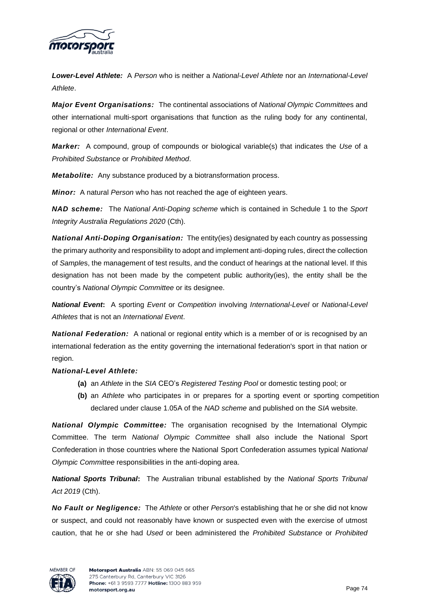

*Lower-Level Athlete:* A *Person* who is neither a *National-Level Athlete* nor an *International-Level Athlete*.

*Major Event Organisations:* The continental associations of *National Olympic Committee*s and other international multi-sport organisations that function as the ruling body for any continental, regional or other *International Event*.

*Marker:* A compound, group of compounds or biological variable(s) that indicates the *Use* of a *Prohibited Substance* or *Prohibited Method*.

*Metabolite:* Any substance produced by a biotransformation process.

*Minor:* A natural *Person* who has not reached the age of eighteen years.

*NAD scheme:* The *National Anti-Doping scheme* which is contained in Schedule 1 to the *Sport Integrity Australia Regulations 2020* (Cth).

*National Anti-Doping Organisation:* The entity(ies) designated by each country as possessing the primary authority and responsibility to adopt and implement anti-doping rules, direct the collection of *Sample*s, the management of test results, and the conduct of hearings at the national level. If this designation has not been made by the competent public authority(ies), the entity shall be the country's *National Olympic Committee* or its designee.

*National Event***:** A sporting *Event* or *Competition* involving *International-Level* or *National-Level Athletes* that is not an *International Event*.

**National Federation:** A national or regional entity which is a member of or is recognised by an international federation as the entity governing the international federation's sport in that nation or region.

## *National-Level Athlete:*

- **(a)** an *Athlete* in the *SIA* CEO's *Registered Testing Pool* or domestic testing pool; or
- **(b)** an *Athlete* who participates in or prepares for a sporting event or sporting competition declared under clause 1.05A of the *NAD scheme* and published on the *SIA* website.

*National Olympic Committee:* The organisation recognised by the International Olympic Committee. The term *National Olympic Committee* shall also include the National Sport Confederation in those countries where the National Sport Confederation assumes typical *National Olympic Committee* responsibilities in the anti-doping area.

*National Sports Tribunal***:** The Australian tribunal established by the *National Sports Tribunal Act 2019* (Cth).

*No Fault or Negligence:* The *Athlete* or other *Person*'s establishing that he or she did not know or suspect, and could not reasonably have known or suspected even with the exercise of utmost caution, that he or she had *Used* or been administered the *Prohibited Substance* or *Prohibited* 

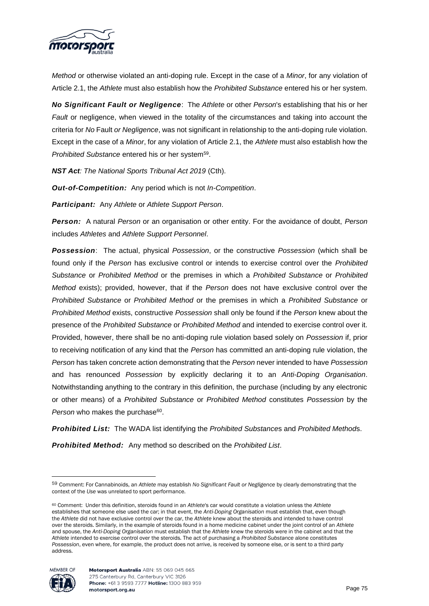

*Method* or otherwise violated an anti-doping rule. Except in the case of a *Minor*, for any violation of Article 2.1, the *Athlete* must also establish how the *Prohibited Substance* entered his or her system.

*No Significant Fault or Negligence*: The *Athlete* or other *Person*'s establishing that his or her *Fault* or negligence, when viewed in the totality of the circumstances and taking into account the criteria for *No* Fault *or Negligence*, was not significant in relationship to the anti-doping rule violation. Except in the case of a *Minor*, for any violation of Article 2.1, the *Athlete* must also establish how the Prohibited Substance entered his or her system<sup>59</sup>.

*NST Act: The National Sports Tribunal Act 2019* (Cth).

*Out-of-Competition:* Any period which is not *In-Competition*.

*Participant:* Any *Athlete* or *Athlete Support Person*.

*Person:* A natural *Person* or an organisation or other entity. For the avoidance of doubt, *Person* includes *Athletes* and *Athlete Support Personnel*.

*Possession*: The actual, physical *Possession*, or the constructive *Possession* (which shall be found only if the *Person* has exclusive control or intends to exercise control over the *Prohibited Substance* or *Prohibited Method* or the premises in which a *Prohibited Substance* or *Prohibited Method* exists); provided, however, that if the *Person* does not have exclusive control over the *Prohibited Substance* or *Prohibited Method* or the premises in which a *Prohibited Substance* or *Prohibited Method* exists, constructive *Possession* shall only be found if the *Person* knew about the presence of the *Prohibited Substance* or *Prohibited Method* and intended to exercise control over it. Provided, however, there shall be no anti-doping rule violation based solely on *Possession* if, prior to receiving notification of any kind that the *Person* has committed an anti-doping rule violation, the *Person* has taken concrete action demonstrating that the *Person* never intended to have *Possession* and has renounced *Possession* by explicitly declaring it to an *Anti-Doping Organisation*. Notwithstanding anything to the contrary in this definition, the purchase (including by any electronic or other means) of a *Prohibited Substance* or *Prohibited Method* constitutes *Possession* by the Person who makes the purchase<sup>60</sup>.

*Prohibited List:* The WADA list identifying the *Prohibited Substance*s and *Prohibited Method*s. *Prohibited Method:* Any method so described on the *Prohibited List*.

<sup>60</sup> Comment: Under this definition, steroids found in an *Athlete*'s car would constitute a violation unless the *Athlete* establishes that someone else used the car; in that event, the *Anti-Doping Organisation* must establish that, even though the *Athlete* did not have exclusive control over the car, the *Athlete* knew about the steroids and intended to have control over the steroids. Similarly, in the example of steroids found in a home medicine cabinet under the joint control of an *Athlete* and spouse, the *Anti-Doping Organisation* must establish that the *Athlete* knew the steroids were in the cabinet and that the *Athlete* intended to exercise control over the steroids. The act of purchasing a *Prohibited Substance* alone constitutes *Possession*, even where, for example, the product does not arrive, is received by someone else, or is sent to a third party address.



<sup>59</sup> Comment: For Cannabinoids, an *Athlete* may establish *No Significant Fault or Negligence* by clearly demonstrating that the context of the *Use* was unrelated to sport performance.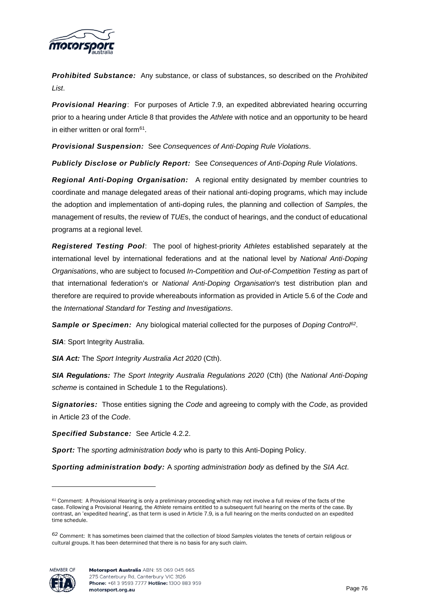

*Prohibited Substance:* Any substance, or class of substances, so described on the *Prohibited List*.

**Provisional Hearing**: For purposes of Article 7.9, an expedited abbreviated hearing occurring prior to a hearing under Article 8 that provides the *Athlete* with notice and an opportunity to be heard in either written or oral form<sup>61</sup>.

*Provisional Suspension:* See *Consequences of Anti-Doping Rule Violation*s.

*Publicly Disclose or Publicly Report:* See *Consequences of Anti-Doping Rule Violation*s.

*Regional Anti-Doping Organisation:* A regional entity designated by member countries to coordinate and manage delegated areas of their national anti-doping programs, which may include the adoption and implementation of anti-doping rules, the planning and collection of *Sample*s, the management of results, the review of *TUE*s, the conduct of hearings, and the conduct of educational programs at a regional level.

*Registered Testing Pool*: The pool of highest-priority *Athletes* established separately at the international level by international federations and at the national level by *National Anti-Doping Organisations*, who are subject to focused *In-Competition* and *Out-of-Competition Testing* as part of that international federation's or *National Anti-Doping Organisation*'s test distribution plan and therefore are required to provide whereabouts information as provided in Article 5.6 of the *Code* and the *International Standard for Testing and Investigations*.

*Sample or Specimen:* Any biological material collected for the purposes of *Doping Control<sup>62</sup>* .

*SIA: Sport Integrity Australia.* 

*SIA Act:* The *Sport Integrity Australia Act 2020* (Cth).

*SIA Regulations: The Sport Integrity Australia Regulations 2020* (Cth) (the *National Anti-Doping scheme* is contained in Schedule 1 to the Regulations).

*Signatories:* Those entities signing the *Code* and agreeing to comply with the *Code*, as provided in Article 23 of the *Code*.

*Specified Substance:* See Article 4.2.2.

*Sport:* The *sporting administration body* who is party to this Anti-Doping Policy.

*Sporting administration body:* A *sporting administration body* as defined by the *SIA Act*.

*<sup>62</sup>* Comment: It has sometimes been claimed that the collection of blood *Sample*s violates the tenets of certain religious or cultural groups. It has been determined that there is no basis for any such claim.



*<sup>61</sup>* Comment: A Provisional Hearing is only a preliminary proceeding which may not involve a full review of the facts of the case. Following a Provisional Hearing, the *Athlete* remains entitled to a subsequent full hearing on the merits of the case. By contrast, an 'expedited hearing', as that term is used in Article 7.9, is a full hearing on the merits conducted on an expedited time schedule.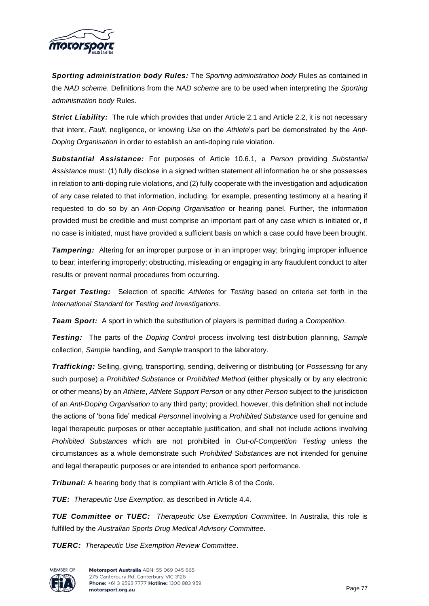

*Sporting administration body Rules:* The *Sporting administration body* Rules as contained in the *NAD scheme*. Definitions from the *NAD scheme* are to be used when interpreting the *Sporting administration body* Rules*.*

**Strict Liability:** The rule which provides that under Article 2.1 and Article 2.2, it is not necessary that intent, *Fault*, negligence, or knowing *Use* on the *Athlete*'s part be demonstrated by the *Anti-Doping Organisation* in order to establish an anti-doping rule violation.

*Substantial Assistance:* For purposes of Article 10.6.1, a *Person* providing *Substantial Assistance* must: (1) fully disclose in a signed written statement all information he or she possesses in relation to anti-doping rule violations, and (2) fully cooperate with the investigation and adjudication of any case related to that information, including, for example, presenting testimony at a hearing if requested to do so by an *Anti-Doping Organisation* or hearing panel. Further, the information provided must be credible and must comprise an important part of any case which is initiated or, if no case is initiated, must have provided a sufficient basis on which a case could have been brought.

*Tampering:* Altering for an improper purpose or in an improper way; bringing improper influence to bear; interfering improperly; obstructing, misleading or engaging in any fraudulent conduct to alter results or prevent normal procedures from occurring.

*Target Testing:* Selection of specific *Athletes* for *Testing* based on criteria set forth in the *International Standard for Testing and Investigations*.

*Team Sport:* A sport in which the substitution of players is permitted during a *Competition*.

*Testing:* The parts of the *Doping Control* process involving test distribution planning, *Sample* collection, *Sample* handling, and *Sample* transport to the laboratory.

*Trafficking:* Selling, giving, transporting, sending, delivering or distributing (or *Possessing* for any such purpose) a *Prohibited Substance* or *Prohibited Method* (either physically or by any electronic or other means) by an *Athlete*, *Athlete Support Person* or any other *Person* subject to the jurisdiction of an *Anti-Doping Organisation* to any third party; provided, however, this definition shall not include the actions of 'bona fide' medical *Person*nel involving a *Prohibited Substance* used for genuine and legal therapeutic purposes or other acceptable justification, and shall not include actions involving *Prohibited Substance*s which are not prohibited in *Out-of-Competition Testing* unless the circumstances as a whole demonstrate such *Prohibited Substance*s are not intended for genuine and legal therapeutic purposes or are intended to enhance sport performance.

*Tribunal:* A hearing body that is compliant with Article 8 of the *Code*.

*TUE: Therapeutic Use Exemption*, as described in Article 4.4.

*TUE Committee or TUEC: Therapeutic Use Exemption Committee*. In Australia, this role is fulfilled by the *Australian Sports Drug Medical Advisory Committee*.

*TUERC: Therapeutic Use Exemption Review Committee*.